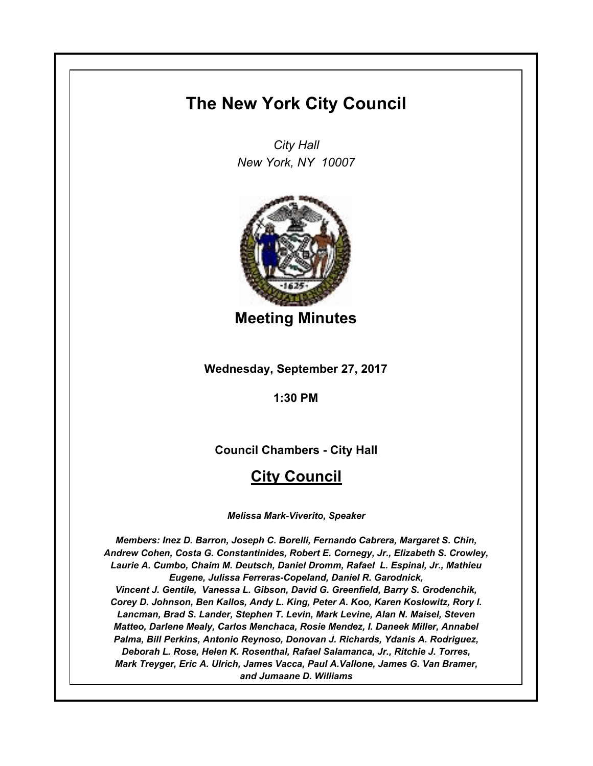# **The New York City Council**

*City Hall New York, NY 10007*



**Meeting Minutes**

**Wednesday, September 27, 2017**

**1:30 PM**

**Council Chambers - City Hall**

# **City Council**

*Melissa Mark-Viverito, Speaker*

*Members: Inez D. Barron, Joseph C. Borelli, Fernando Cabrera, Margaret S. Chin, Andrew Cohen, Costa G. Constantinides, Robert E. Cornegy, Jr., Elizabeth S. Crowley, Laurie A. Cumbo, Chaim M. Deutsch, Daniel Dromm, Rafael L. Espinal, Jr., Mathieu Eugene, Julissa Ferreras-Copeland, Daniel R. Garodnick, Vincent J. Gentile, Vanessa L. Gibson, David G. Greenfield, Barry S. Grodenchik, Corey D. Johnson, Ben Kallos, Andy L. King, Peter A. Koo, Karen Koslowitz, Rory I. Lancman, Brad S. Lander, Stephen T. Levin, Mark Levine, Alan N. Maisel, Steven Matteo, Darlene Mealy, Carlos Menchaca, Rosie Mendez, I. Daneek Miller, Annabel Palma, Bill Perkins, Antonio Reynoso, Donovan J. Richards, Ydanis A. Rodriguez, Deborah L. Rose, Helen K. Rosenthal, Rafael Salamanca, Jr., Ritchie J. Torres, Mark Treyger, Eric A. Ulrich, James Vacca, Paul A.Vallone, James G. Van Bramer, and Jumaane D. Williams*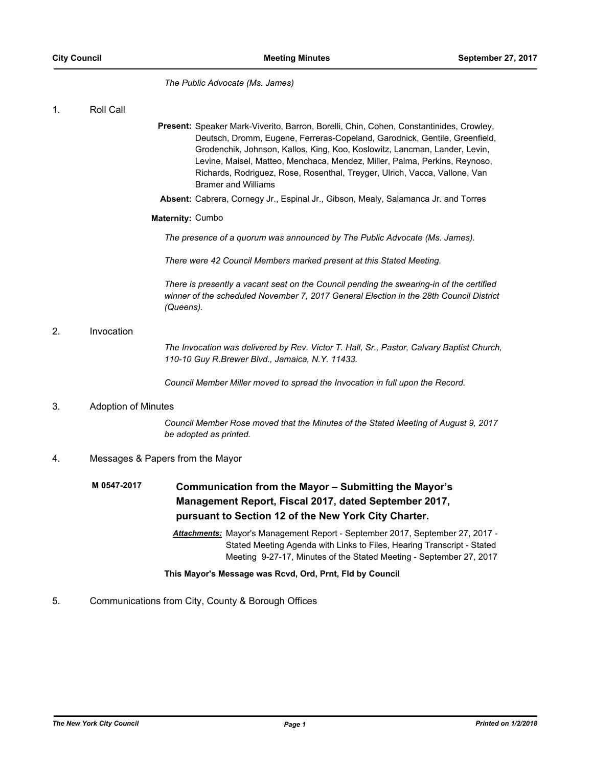*The Public Advocate (Ms. James)*

1. Roll Call

- Present: Speaker Mark-Viverito, Barron, Borelli, Chin, Cohen, Constantinides, Crowley, Deutsch, Dromm, Eugene, Ferreras-Copeland, Garodnick, Gentile, Greenfield, Grodenchik, Johnson, Kallos, King, Koo, Koslowitz, Lancman, Lander, Levin, Levine, Maisel, Matteo, Menchaca, Mendez, Miller, Palma, Perkins, Reynoso, Richards, Rodriguez, Rose, Rosenthal, Treyger, Ulrich, Vacca, Vallone, Van Bramer and Williams
- **Absent:** Cabrera, Cornegy Jr., Espinal Jr., Gibson, Mealy, Salamanca Jr. and Torres

# **Maternity:** Cumbo

*The presence of a quorum was announced by The Public Advocate (Ms. James).*

*There were 42 Council Members marked present at this Stated Meeting.*

*There is presently a vacant seat on the Council pending the swearing-in of the certified winner of the scheduled November 7, 2017 General Election in the 28th Council District (Queens).*

# 2. Invocation

*The Invocation was delivered by Rev. Victor T. Hall, Sr., Pastor, Calvary Baptist Church, 110-10 Guy R.Brewer Blvd., Jamaica, N.Y. 11433.*

*Council Member Miller moved to spread the Invocation in full upon the Record.*

# 3. Adoption of Minutes

*Council Member Rose moved that the Minutes of the Stated Meeting of August 9, 2017 be adopted as printed.*

# 4. Messages & Papers from the Mayor

## **Communication from the Mayor – Submitting the Mayor's Management Report, Fiscal 2017, dated September 2017, pursuant to Section 12 of the New York City Charter. M 0547-2017**

*Attachments:* Mayor's Management Report - September 2017, September 27, 2017 - Stated Meeting Agenda with Links to Files, Hearing Transcript - Stated Meeting 9-27-17, Minutes of the Stated Meeting - September 27, 2017

# **This Mayor's Message was Rcvd, Ord, Prnt, Fld by Council**

# 5. Communications from City, County & Borough Offices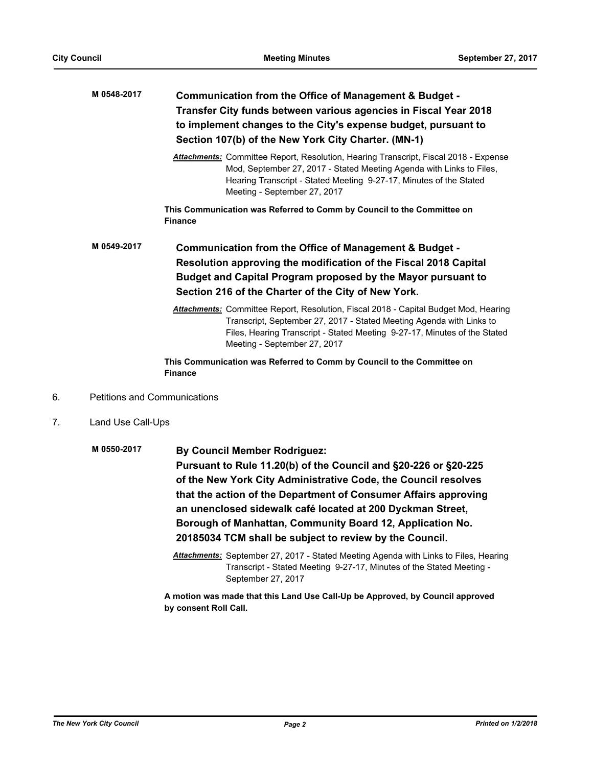|    | M 0548-2017                         | Communication from the Office of Management & Budget -<br>Transfer City funds between various agencies in Fiscal Year 2018<br>to implement changes to the City's expense budget, pursuant to<br>Section 107(b) of the New York City Charter. (MN-1)                                                                                                                                                                               |  |
|----|-------------------------------------|-----------------------------------------------------------------------------------------------------------------------------------------------------------------------------------------------------------------------------------------------------------------------------------------------------------------------------------------------------------------------------------------------------------------------------------|--|
|    |                                     | <b>Attachments:</b> Committee Report, Resolution, Hearing Transcript, Fiscal 2018 - Expense<br>Mod, September 27, 2017 - Stated Meeting Agenda with Links to Files,<br>Hearing Transcript - Stated Meeting 9-27-17, Minutes of the Stated<br>Meeting - September 27, 2017                                                                                                                                                         |  |
|    |                                     | This Communication was Referred to Comm by Council to the Committee on<br><b>Finance</b>                                                                                                                                                                                                                                                                                                                                          |  |
|    | M 0549-2017                         | Communication from the Office of Management & Budget -<br>Resolution approving the modification of the Fiscal 2018 Capital<br>Budget and Capital Program proposed by the Mayor pursuant to<br>Section 216 of the Charter of the City of New York.                                                                                                                                                                                 |  |
|    |                                     | Attachments: Committee Report, Resolution, Fiscal 2018 - Capital Budget Mod, Hearing<br>Transcript, September 27, 2017 - Stated Meeting Agenda with Links to<br>Files, Hearing Transcript - Stated Meeting 9-27-17, Minutes of the Stated<br>Meeting - September 27, 2017                                                                                                                                                         |  |
|    |                                     | This Communication was Referred to Comm by Council to the Committee on<br><b>Finance</b>                                                                                                                                                                                                                                                                                                                                          |  |
| 6. | <b>Petitions and Communications</b> |                                                                                                                                                                                                                                                                                                                                                                                                                                   |  |
| 7. | Land Use Call-Ups                   |                                                                                                                                                                                                                                                                                                                                                                                                                                   |  |
|    | M 0550-2017                         | <b>By Council Member Rodriguez:</b><br>Pursuant to Rule 11.20(b) of the Council and §20-226 or §20-225<br>of the New York City Administrative Code, the Council resolves<br>that the action of the Department of Consumer Affairs approving<br>an unenclosed sidewalk café located at 200 Dyckman Street,<br>Borough of Manhattan, Community Board 12, Application No.<br>20185034 TCM shall be subject to review by the Council. |  |

*Attachments:* September 27, 2017 - Stated Meeting Agenda with Links to Files, Hearing Transcript - Stated Meeting 9-27-17, Minutes of the Stated Meeting - September 27, 2017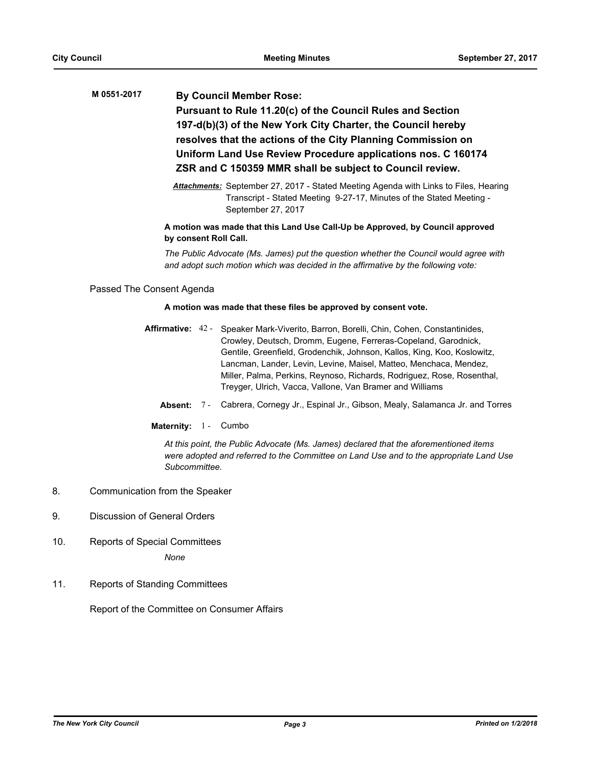# **By Council Member Rose: Pursuant to Rule 11.20(c) of the Council Rules and Section 197-d(b)(3) of the New York City Charter, the Council hereby resolves that the actions of the City Planning Commission on Uniform Land Use Review Procedure applications nos. C 160174 ZSR and C 150359 MMR shall be subject to Council review. M 0551-2017**

*Attachments:* September 27, 2017 - Stated Meeting Agenda with Links to Files, Hearing Transcript - Stated Meeting 9-27-17, Minutes of the Stated Meeting - September 27, 2017

# **A motion was made that this Land Use Call-Up be Approved, by Council approved by consent Roll Call.**

*The Public Advocate (Ms. James) put the question whether the Council would agree with and adopt such motion which was decided in the affirmative by the following vote:*

Passed The Consent Agenda

# **A motion was made that these files be approved by consent vote.**

- Affirmative: 42 Speaker Mark-Viverito, Barron, Borelli, Chin, Cohen, Constantinides, Crowley, Deutsch, Dromm, Eugene, Ferreras-Copeland, Garodnick, Gentile, Greenfield, Grodenchik, Johnson, Kallos, King, Koo, Koslowitz, Lancman, Lander, Levin, Levine, Maisel, Matteo, Menchaca, Mendez, Miller, Palma, Perkins, Reynoso, Richards, Rodriguez, Rose, Rosenthal, Treyger, Ulrich, Vacca, Vallone, Van Bramer and Williams
	- **Absent:** 7 Cabrera, Cornegy Jr., Espinal Jr., Gibson, Mealy, Salamanca Jr. and Torres
	- Maternity: 1 Cumbo

*At this point, the Public Advocate (Ms. James) declared that the aforementioned items were adopted and referred to the Committee on Land Use and to the appropriate Land Use Subcommittee.*

- 8. Communication from the Speaker
- 9. Discussion of General Orders
- 10. Reports of Special Committees

*None*

11. Reports of Standing Committees

Report of the Committee on Consumer Affairs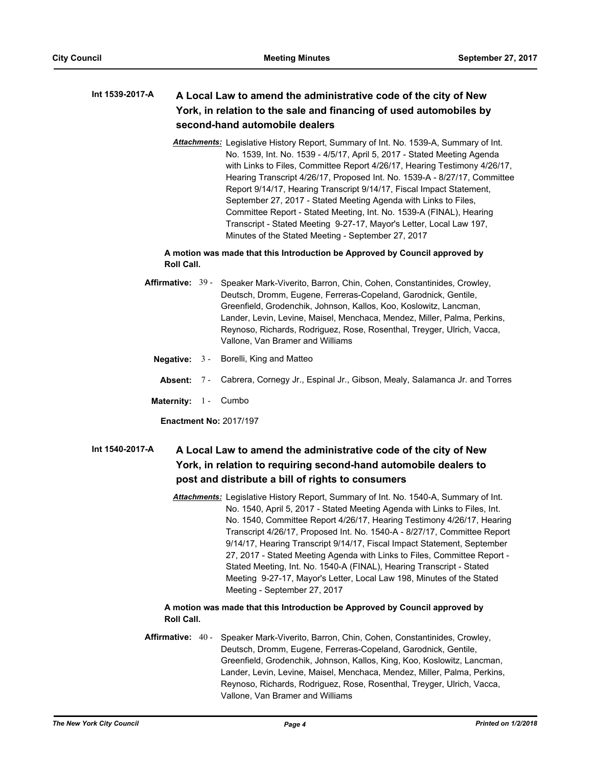# **A Local Law to amend the administrative code of the city of New York, in relation to the sale and financing of used automobiles by second-hand automobile dealers Int 1539-2017-A**

*Attachments:* Legislative History Report, Summary of Int. No. 1539-A, Summary of Int. No. 1539, Int. No. 1539 - 4/5/17, April 5, 2017 - Stated Meeting Agenda with Links to Files, Committee Report 4/26/17, Hearing Testimony 4/26/17, Hearing Transcript 4/26/17, Proposed Int. No. 1539-A - 8/27/17, Committee Report 9/14/17, Hearing Transcript 9/14/17, Fiscal Impact Statement, September 27, 2017 - Stated Meeting Agenda with Links to Files, Committee Report - Stated Meeting, Int. No. 1539-A (FINAL), Hearing Transcript - Stated Meeting 9-27-17, Mayor's Letter, Local Law 197, Minutes of the Stated Meeting - September 27, 2017

# **A motion was made that this Introduction be Approved by Council approved by Roll Call.**

- Affirmative: 39 Speaker Mark-Viverito, Barron, Chin, Cohen, Constantinides, Crowley, Deutsch, Dromm, Eugene, Ferreras-Copeland, Garodnick, Gentile, Greenfield, Grodenchik, Johnson, Kallos, Koo, Koslowitz, Lancman, Lander, Levin, Levine, Maisel, Menchaca, Mendez, Miller, Palma, Perkins, Reynoso, Richards, Rodriguez, Rose, Rosenthal, Treyger, Ulrich, Vacca, Vallone, Van Bramer and Williams
	- **Negative:** 3 Borelli, King and Matteo
	- **Absent:** 7 Cabrera, Cornegy Jr., Espinal Jr., Gibson, Mealy, Salamanca Jr. and Torres
	- **Maternity:** 1 Cumbo

**Enactment No:** 2017/197

## **A Local Law to amend the administrative code of the city of New York, in relation to requiring second-hand automobile dealers to post and distribute a bill of rights to consumers Int 1540-2017-A**

*Attachments:* Legislative History Report, Summary of Int. No. 1540-A, Summary of Int. No. 1540, April 5, 2017 - Stated Meeting Agenda with Links to Files, Int. No. 1540, Committee Report 4/26/17, Hearing Testimony 4/26/17, Hearing Transcript 4/26/17, Proposed Int. No. 1540-A - 8/27/17, Committee Report 9/14/17, Hearing Transcript 9/14/17, Fiscal Impact Statement, September 27, 2017 - Stated Meeting Agenda with Links to Files, Committee Report - Stated Meeting, Int. No. 1540-A (FINAL), Hearing Transcript - Stated Meeting 9-27-17, Mayor's Letter, Local Law 198, Minutes of the Stated Meeting - September 27, 2017

# **A motion was made that this Introduction be Approved by Council approved by Roll Call.**

Affirmative: 40 - Speaker Mark-Viverito, Barron, Chin, Cohen, Constantinides, Crowley, Deutsch, Dromm, Eugene, Ferreras-Copeland, Garodnick, Gentile, Greenfield, Grodenchik, Johnson, Kallos, King, Koo, Koslowitz, Lancman, Lander, Levin, Levine, Maisel, Menchaca, Mendez, Miller, Palma, Perkins, Reynoso, Richards, Rodriguez, Rose, Rosenthal, Treyger, Ulrich, Vacca, Vallone, Van Bramer and Williams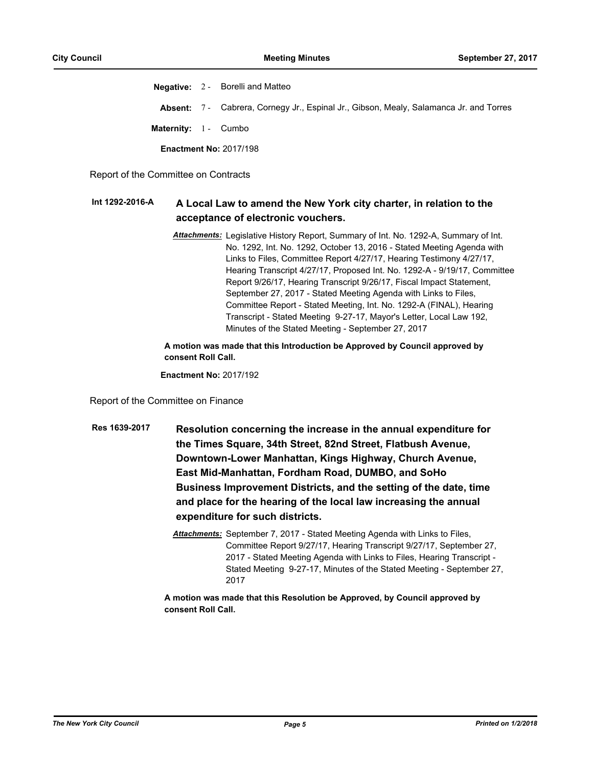**Negative:** 2 - Borelli and Matteo **Absent:** 7 - Cabrera, Cornegy Jr., Espinal Jr., Gibson, Mealy, Salamanca Jr. and Torres Maternity: 1 - Cumbo **Enactment No:** 2017/198

Report of the Committee on Contracts

#### **A Local Law to amend the New York city charter, in relation to the acceptance of electronic vouchers. Int 1292-2016-A**

*Attachments:* Legislative History Report, Summary of Int. No. 1292-A, Summary of Int. No. 1292, Int. No. 1292, October 13, 2016 - Stated Meeting Agenda with Links to Files, Committee Report 4/27/17, Hearing Testimony 4/27/17, Hearing Transcript 4/27/17, Proposed Int. No. 1292-A - 9/19/17, Committee Report 9/26/17, Hearing Transcript 9/26/17, Fiscal Impact Statement, September 27, 2017 - Stated Meeting Agenda with Links to Files, Committee Report - Stated Meeting, Int. No. 1292-A (FINAL), Hearing Transcript - Stated Meeting 9-27-17, Mayor's Letter, Local Law 192, Minutes of the Stated Meeting - September 27, 2017

# **A motion was made that this Introduction be Approved by Council approved by consent Roll Call.**

**Enactment No:** 2017/192

Report of the Committee on Finance

- **Resolution concerning the increase in the annual expenditure for the Times Square, 34th Street, 82nd Street, Flatbush Avenue, Downtown-Lower Manhattan, Kings Highway, Church Avenue, East Mid-Manhattan, Fordham Road, DUMBO, and SoHo Business Improvement Districts, and the setting of the date, time and place for the hearing of the local law increasing the annual expenditure for such districts. Res 1639-2017**
	- *Attachments:* September 7, 2017 Stated Meeting Agenda with Links to Files, Committee Report 9/27/17, Hearing Transcript 9/27/17, September 27, 2017 - Stated Meeting Agenda with Links to Files, Hearing Transcript - Stated Meeting 9-27-17, Minutes of the Stated Meeting - September 27, 2017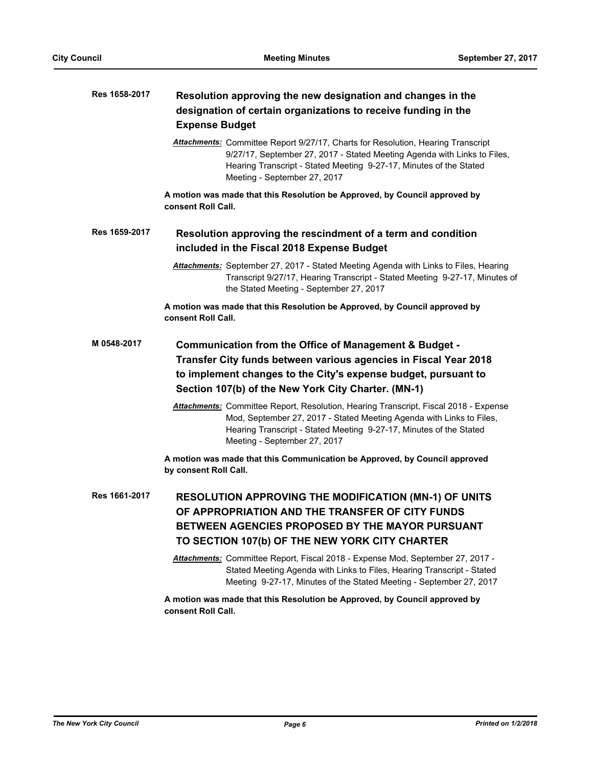| Res 1658-2017 | Resolution approving the new designation and changes in the<br>designation of certain organizations to receive funding in the<br><b>Expense Budget</b>                                                                                                             |  |  |
|---------------|--------------------------------------------------------------------------------------------------------------------------------------------------------------------------------------------------------------------------------------------------------------------|--|--|
|               | Attachments: Committee Report 9/27/17, Charts for Resolution, Hearing Transcript<br>9/27/17, September 27, 2017 - Stated Meeting Agenda with Links to Files,<br>Hearing Transcript - Stated Meeting 9-27-17, Minutes of the Stated<br>Meeting - September 27, 2017 |  |  |
|               | A motion was made that this Resolution be Approved, by Council approved by<br>consent Roll Call.                                                                                                                                                                   |  |  |
| Res 1659-2017 | Resolution approving the rescindment of a term and condition<br>included in the Fiscal 2018 Expense Budget                                                                                                                                                         |  |  |
|               | Attachments: September 27, 2017 - Stated Meeting Agenda with Links to Files, Hearing<br>Transcript 9/27/17, Hearing Transcript - Stated Meeting 9-27-17, Minutes of<br>the Stated Meeting - September 27, 2017                                                     |  |  |
|               | A motion was made that this Resolution be Approved, by Council approved by<br>consent Roll Call.                                                                                                                                                                   |  |  |
| M 0548-2017   | Communication from the Office of Management & Budget -<br>Transfer City funds between various agencies in Fiscal Year 2018<br>to implement changes to the City's expense budget, pursuant to<br>Section 107(b) of the New York City Charter. (MN-1)                |  |  |
|               | Attachments: Committee Report, Resolution, Hearing Transcript, Fiscal 2018 - Expense<br>Mod, September 27, 2017 - Stated Meeting Agenda with Links to Files,<br>Hearing Transcript - Stated Meeting 9-27-17, Minutes of the Stated<br>Meeting - September 27, 2017 |  |  |
|               | A motion was made that this Communication be Approved, by Council approved<br>by consent Roll Call.                                                                                                                                                                |  |  |
| Res 1661-2017 | RESOLUTION APPROVING THE MODIFICATION (MN-1) OF UNITS<br>OF APPROPRIATION AND THE TRANSFER OF CITY FUNDS<br>BETWEEN AGENCIES PROPOSED BY THE MAYOR PURSUANT<br>TO SECTION 107(b) OF THE NEW YORK CITY CHARTER                                                      |  |  |
|               | Attachments: Committee Report, Fiscal 2018 - Expense Mod, September 27, 2017 -<br>Stated Meeting Agenda with Links to Files, Hearing Transcript - Stated<br>Meeting 9-27-17, Minutes of the Stated Meeting - September 27, 2017                                    |  |  |
|               | A motion was made that this Resolution be Approved, by Council approved by<br>consent Roll Call.                                                                                                                                                                   |  |  |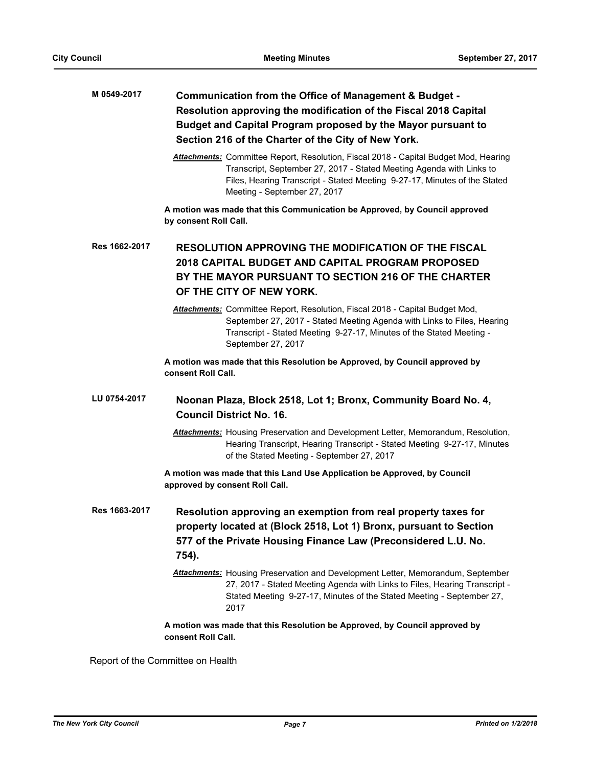# **Communication from the Office of Management & Budget - Resolution approving the modification of the Fiscal 2018 Capital Budget and Capital Program proposed by the Mayor pursuant to Section 216 of the Charter of the City of New York. M 0549-2017**

*Attachments:* Committee Report, Resolution, Fiscal 2018 - Capital Budget Mod, Hearing Transcript, September 27, 2017 - Stated Meeting Agenda with Links to Files, Hearing Transcript - Stated Meeting 9-27-17, Minutes of the Stated Meeting - September 27, 2017

**A motion was made that this Communication be Approved, by Council approved by consent Roll Call.**

# **RESOLUTION APPROVING THE MODIFICATION OF THE FISCAL 2018 CAPITAL BUDGET AND CAPITAL PROGRAM PROPOSED BY THE MAYOR PURSUANT TO SECTION 216 OF THE CHARTER OF THE CITY OF NEW YORK. Res 1662-2017**

*Attachments:* Committee Report, Resolution, Fiscal 2018 - Capital Budget Mod, September 27, 2017 - Stated Meeting Agenda with Links to Files, Hearing Transcript - Stated Meeting 9-27-17, Minutes of the Stated Meeting - September 27, 2017

**A motion was made that this Resolution be Approved, by Council approved by consent Roll Call.**

#### **Noonan Plaza, Block 2518, Lot 1; Bronx, Community Board No. 4, Council District No. 16. LU 0754-2017**

*Attachments:* Housing Preservation and Development Letter, Memorandum, Resolution, Hearing Transcript, Hearing Transcript - Stated Meeting 9-27-17, Minutes of the Stated Meeting - September 27, 2017

**A motion was made that this Land Use Application be Approved, by Council approved by consent Roll Call.**

- **Resolution approving an exemption from real property taxes for property located at (Block 2518, Lot 1) Bronx, pursuant to Section 577 of the Private Housing Finance Law (Preconsidered L.U. No. 754). Res 1663-2017**
	- *Attachments:* Housing Preservation and Development Letter, Memorandum, September 27, 2017 - Stated Meeting Agenda with Links to Files, Hearing Transcript - Stated Meeting 9-27-17, Minutes of the Stated Meeting - September 27, 2017

# **A motion was made that this Resolution be Approved, by Council approved by consent Roll Call.**

Report of the Committee on Health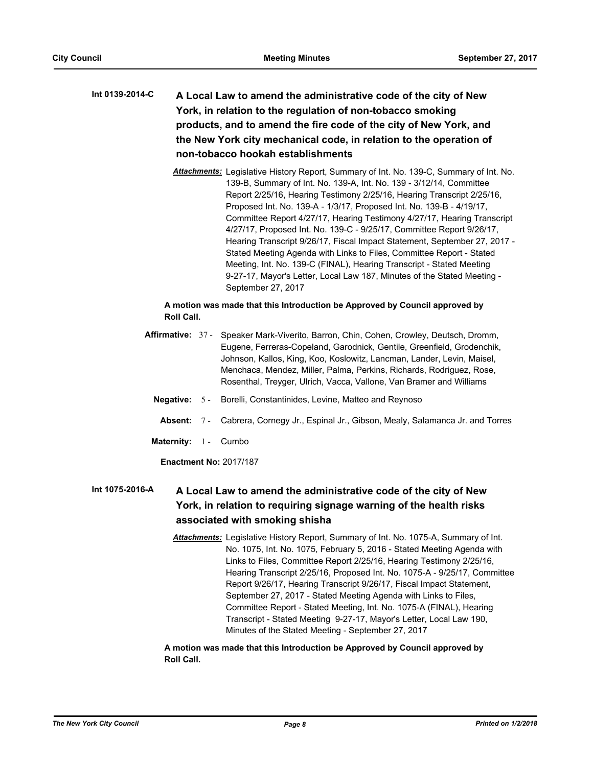# **A Local Law to amend the administrative code of the city of New York, in relation to the regulation of non-tobacco smoking products, and to amend the fire code of the city of New York, and the New York city mechanical code, in relation to the operation of non-tobacco hookah establishments Int 0139-2014-C**

*Attachments:* Legislative History Report, Summary of Int. No. 139-C, Summary of Int. No. 139-B, Summary of Int. No. 139-A, Int. No. 139 - 3/12/14, Committee Report 2/25/16, Hearing Testimony 2/25/16, Hearing Transcript 2/25/16, Proposed Int. No. 139-A - 1/3/17, Proposed Int. No. 139-B - 4/19/17, Committee Report 4/27/17, Hearing Testimony 4/27/17, Hearing Transcript 4/27/17, Proposed Int. No. 139-C - 9/25/17, Committee Report 9/26/17, Hearing Transcript 9/26/17, Fiscal Impact Statement, September 27, 2017 - Stated Meeting Agenda with Links to Files, Committee Report - Stated Meeting, Int. No. 139-C (FINAL), Hearing Transcript - Stated Meeting 9-27-17, Mayor's Letter, Local Law 187, Minutes of the Stated Meeting - September 27, 2017

# **A motion was made that this Introduction be Approved by Council approved by Roll Call.**

- Affirmative: 37 Speaker Mark-Viverito, Barron, Chin, Cohen, Crowley, Deutsch, Dromm, Eugene, Ferreras-Copeland, Garodnick, Gentile, Greenfield, Grodenchik, Johnson, Kallos, King, Koo, Koslowitz, Lancman, Lander, Levin, Maisel, Menchaca, Mendez, Miller, Palma, Perkins, Richards, Rodriguez, Rose, Rosenthal, Treyger, Ulrich, Vacca, Vallone, Van Bramer and Williams
	- **Negative:** 5 Borelli, Constantinides, Levine, Matteo and Reynoso
	- **Absent:** 7 Cabrera, Cornegy Jr., Espinal Jr., Gibson, Mealy, Salamanca Jr. and Torres
	- Maternity: 1 Cumbo

**Enactment No:** 2017/187

### **A Local Law to amend the administrative code of the city of New York, in relation to requiring signage warning of the health risks associated with smoking shisha Int 1075-2016-A**

*Attachments:* Legislative History Report, Summary of Int. No. 1075-A, Summary of Int. No. 1075, Int. No. 1075, February 5, 2016 - Stated Meeting Agenda with Links to Files, Committee Report 2/25/16, Hearing Testimony 2/25/16, Hearing Transcript 2/25/16, Proposed Int. No. 1075-A - 9/25/17, Committee Report 9/26/17, Hearing Transcript 9/26/17, Fiscal Impact Statement, September 27, 2017 - Stated Meeting Agenda with Links to Files, Committee Report - Stated Meeting, Int. No. 1075-A (FINAL), Hearing Transcript - Stated Meeting 9-27-17, Mayor's Letter, Local Law 190, Minutes of the Stated Meeting - September 27, 2017

**A motion was made that this Introduction be Approved by Council approved by Roll Call.**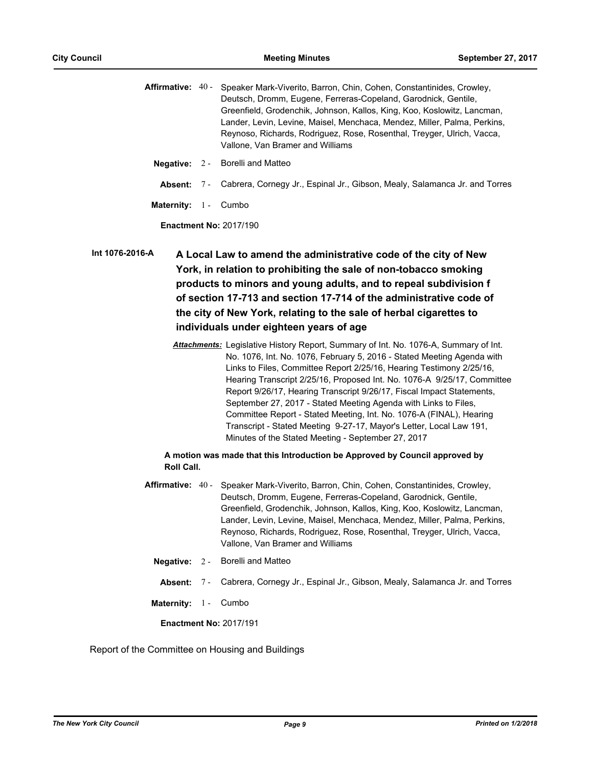Affirmative: 40 - Speaker Mark-Viverito, Barron, Chin, Cohen, Constantinides, Crowley, Deutsch, Dromm, Eugene, Ferreras-Copeland, Garodnick, Gentile, Greenfield, Grodenchik, Johnson, Kallos, King, Koo, Koslowitz, Lancman, Lander, Levin, Levine, Maisel, Menchaca, Mendez, Miller, Palma, Perkins, Reynoso, Richards, Rodriguez, Rose, Rosenthal, Treyger, Ulrich, Vacca, Vallone, Van Bramer and Williams

- **Negative:** 2 Borelli and Matteo
	- **Absent:** 7 Cabrera, Cornegy Jr., Espinal Jr., Gibson, Mealy, Salamanca Jr. and Torres
- **Maternity:** 1 Cumbo

**Enactment No:** 2017/190

**A Local Law to amend the administrative code of the city of New York, in relation to prohibiting the sale of non-tobacco smoking products to minors and young adults, and to repeal subdivision f of section 17-713 and section 17-714 of the administrative code of the city of New York, relating to the sale of herbal cigarettes to individuals under eighteen years of age Int 1076-2016-A**

> *Attachments:* Legislative History Report, Summary of Int. No. 1076-A, Summary of Int. No. 1076, Int. No. 1076, February 5, 2016 - Stated Meeting Agenda with Links to Files, Committee Report 2/25/16, Hearing Testimony 2/25/16, Hearing Transcript 2/25/16, Proposed Int. No. 1076-A 9/25/17, Committee Report 9/26/17, Hearing Transcript 9/26/17, Fiscal Impact Statements, September 27, 2017 - Stated Meeting Agenda with Links to Files, Committee Report - Stated Meeting, Int. No. 1076-A (FINAL), Hearing Transcript - Stated Meeting 9-27-17, Mayor's Letter, Local Law 191, Minutes of the Stated Meeting - September 27, 2017

# **A motion was made that this Introduction be Approved by Council approved by Roll Call.**

- Affirmative: 40 Speaker Mark-Viverito, Barron, Chin, Cohen, Constantinides, Crowley, Deutsch, Dromm, Eugene, Ferreras-Copeland, Garodnick, Gentile, Greenfield, Grodenchik, Johnson, Kallos, King, Koo, Koslowitz, Lancman, Lander, Levin, Levine, Maisel, Menchaca, Mendez, Miller, Palma, Perkins, Reynoso, Richards, Rodriguez, Rose, Rosenthal, Treyger, Ulrich, Vacca, Vallone, Van Bramer and Williams
- **Negative:** 2 Borelli and Matteo
	- **Absent:** 7 Cabrera, Cornegy Jr., Espinal Jr., Gibson, Mealy, Salamanca Jr. and Torres
- **Maternity:** 1 Cumbo

**Enactment No:** 2017/191

Report of the Committee on Housing and Buildings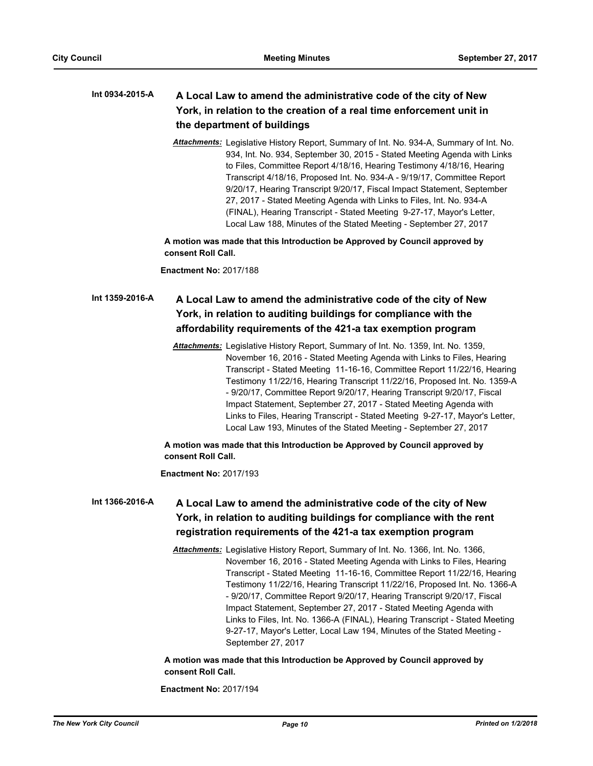## **A Local Law to amend the administrative code of the city of New York, in relation to the creation of a real time enforcement unit in the department of buildings Int 0934-2015-A**

*Attachments:* Legislative History Report, Summary of Int. No. 934-A, Summary of Int. No. 934, Int. No. 934, September 30, 2015 - Stated Meeting Agenda with Links to Files, Committee Report 4/18/16, Hearing Testimony 4/18/16, Hearing Transcript 4/18/16, Proposed Int. No. 934-A - 9/19/17, Committee Report 9/20/17, Hearing Transcript 9/20/17, Fiscal Impact Statement, September 27, 2017 - Stated Meeting Agenda with Links to Files, Int. No. 934-A (FINAL), Hearing Transcript - Stated Meeting 9-27-17, Mayor's Letter, Local Law 188, Minutes of the Stated Meeting - September 27, 2017

**A motion was made that this Introduction be Approved by Council approved by consent Roll Call.**

**Enactment No:** 2017/188

# **A Local Law to amend the administrative code of the city of New York, in relation to auditing buildings for compliance with the affordability requirements of the 421-a tax exemption program Int 1359-2016-A**

*Attachments:* Legislative History Report, Summary of Int. No. 1359, Int. No. 1359, November 16, 2016 - Stated Meeting Agenda with Links to Files, Hearing Transcript - Stated Meeting 11-16-16, Committee Report 11/22/16, Hearing Testimony 11/22/16, Hearing Transcript 11/22/16, Proposed Int. No. 1359-A - 9/20/17, Committee Report 9/20/17, Hearing Transcript 9/20/17, Fiscal Impact Statement, September 27, 2017 - Stated Meeting Agenda with Links to Files, Hearing Transcript - Stated Meeting 9-27-17, Mayor's Letter, Local Law 193, Minutes of the Stated Meeting - September 27, 2017

**A motion was made that this Introduction be Approved by Council approved by consent Roll Call.**

**Enactment No:** 2017/193

# **A Local Law to amend the administrative code of the city of New York, in relation to auditing buildings for compliance with the rent registration requirements of the 421-a tax exemption program Int 1366-2016-A**

*Attachments:* Legislative History Report, Summary of Int. No. 1366, Int. No. 1366, November 16, 2016 - Stated Meeting Agenda with Links to Files, Hearing Transcript - Stated Meeting 11-16-16, Committee Report 11/22/16, Hearing Testimony 11/22/16, Hearing Transcript 11/22/16, Proposed Int. No. 1366-A - 9/20/17, Committee Report 9/20/17, Hearing Transcript 9/20/17, Fiscal Impact Statement, September 27, 2017 - Stated Meeting Agenda with Links to Files, Int. No. 1366-A (FINAL), Hearing Transcript - Stated Meeting 9-27-17, Mayor's Letter, Local Law 194, Minutes of the Stated Meeting - September 27, 2017

**A motion was made that this Introduction be Approved by Council approved by consent Roll Call.**

**Enactment No:** 2017/194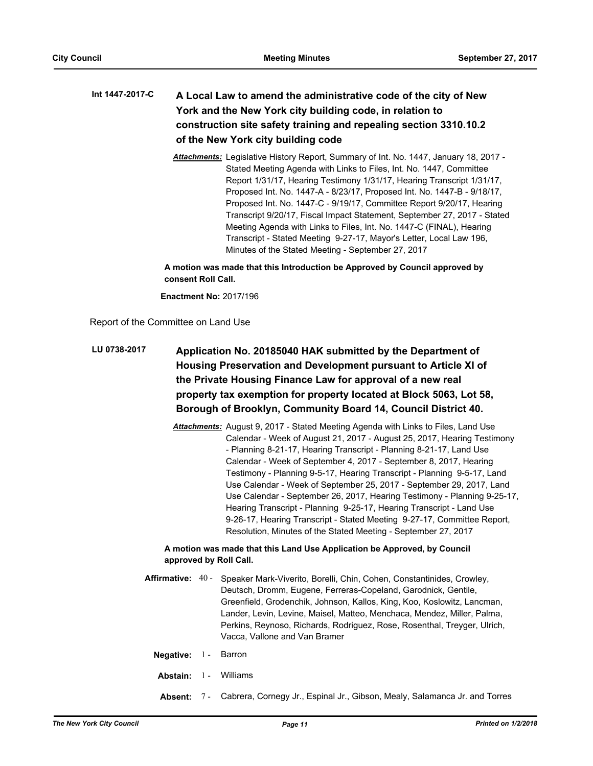# **A Local Law to amend the administrative code of the city of New York and the New York city building code, in relation to construction site safety training and repealing section 3310.10.2 of the New York city building code Int 1447-2017-C**

*Attachments:* Legislative History Report, Summary of Int. No. 1447, January 18, 2017 - Stated Meeting Agenda with Links to Files, Int. No. 1447, Committee Report 1/31/17, Hearing Testimony 1/31/17, Hearing Transcript 1/31/17, Proposed Int. No. 1447-A - 8/23/17, Proposed Int. No. 1447-B - 9/18/17, Proposed Int. No. 1447-C - 9/19/17, Committee Report 9/20/17, Hearing Transcript 9/20/17, Fiscal Impact Statement, September 27, 2017 - Stated Meeting Agenda with Links to Files, Int. No. 1447-C (FINAL), Hearing Transcript - Stated Meeting 9-27-17, Mayor's Letter, Local Law 196, Minutes of the Stated Meeting - September 27, 2017

**A motion was made that this Introduction be Approved by Council approved by consent Roll Call.**

**Enactment No:** 2017/196

Report of the Committee on Land Use

# **Application No. 20185040 HAK submitted by the Department of Housing Preservation and Development pursuant to Article XI of the Private Housing Finance Law for approval of a new real property tax exemption for property located at Block 5063, Lot 58, Borough of Brooklyn, Community Board 14, Council District 40. LU 0738-2017**

*Attachments:* August 9, 2017 - Stated Meeting Agenda with Links to Files, Land Use Calendar - Week of August 21, 2017 - August 25, 2017, Hearing Testimony - Planning 8-21-17, Hearing Transcript - Planning 8-21-17, Land Use Calendar - Week of September 4, 2017 - September 8, 2017, Hearing Testimony - Planning 9-5-17, Hearing Transcript - Planning 9-5-17, Land Use Calendar - Week of September 25, 2017 - September 29, 2017, Land Use Calendar - September 26, 2017, Hearing Testimony - Planning 9-25-17, Hearing Transcript - Planning 9-25-17, Hearing Transcript - Land Use 9-26-17, Hearing Transcript - Stated Meeting 9-27-17, Committee Report, Resolution, Minutes of the Stated Meeting - September 27, 2017

- Affirmative: 40 Speaker Mark-Viverito, Borelli, Chin, Cohen, Constantinides, Crowley, Deutsch, Dromm, Eugene, Ferreras-Copeland, Garodnick, Gentile, Greenfield, Grodenchik, Johnson, Kallos, King, Koo, Koslowitz, Lancman, Lander, Levin, Levine, Maisel, Matteo, Menchaca, Mendez, Miller, Palma, Perkins, Reynoso, Richards, Rodriguez, Rose, Rosenthal, Treyger, Ulrich, Vacca, Vallone and Van Bramer
	- **Negative:** 1 Barron
	- **Abstain:** 1 Williams
	- **Absent:** 7 Cabrera, Cornegy Jr., Espinal Jr., Gibson, Mealy, Salamanca Jr. and Torres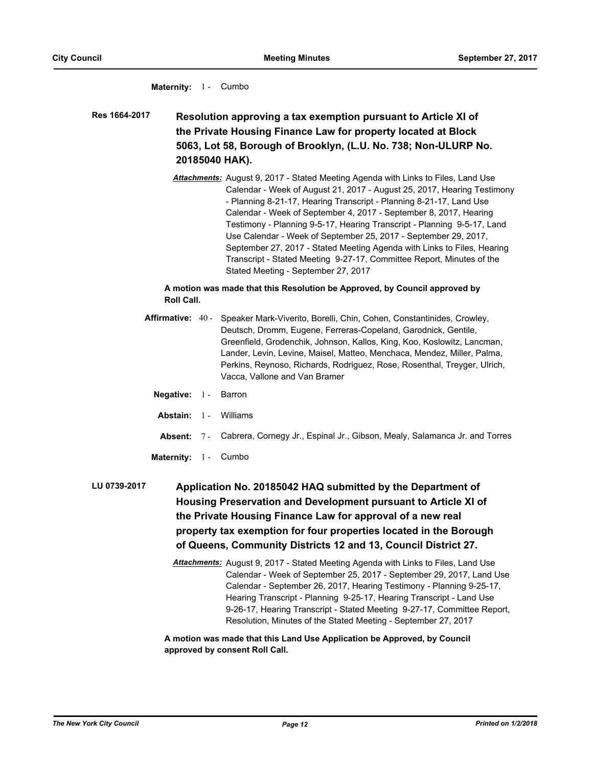# **Maternity:** 1 - Cumbo

**Resolution approving a tax exemption pursuant to Article XI of the Private Housing Finance Law for property located at Block 5063, Lot 58, Borough of Brooklyn, (L.U. No. 738; Non-ULURP No. 20185040 HAK). Res 1664-2017**

> *Attachments:* August 9, 2017 - Stated Meeting Agenda with Links to Files, Land Use Calendar - Week of August 21, 2017 - August 25, 2017, Hearing Testimony - Planning 8-21-17, Hearing Transcript - Planning 8-21-17, Land Use Calendar - Week of September 4, 2017 - September 8, 2017, Hearing Testimony - Planning 9-5-17, Hearing Transcript - Planning 9-5-17, Land Use Calendar - Week of September 25, 2017 - September 29, 2017, September 27, 2017 - Stated Meeting Agenda with Links to Files, Hearing Transcript - Stated Meeting 9-27-17, Committee Report, Minutes of the Stated Meeting - September 27, 2017

# **A motion was made that this Resolution be Approved, by Council approved by Roll Call.**

- **Affirmative:** Speaker Mark-Viverito, Borelli, Chin, Cohen, Constantinides, Crowley, Deutsch, Dromm, Eugene, Ferreras-Copeland, Garodnick, Gentile, Greenfield, Grodenchik, Johnson, Kallos, King, Koo, Koslowitz, Lancman, Lander, Levin, Levine, Maisel, Matteo, Menchaca, Mendez, Miller, Palma, Perkins, Reynoso, Richards, Rodriguez, Rose, Rosenthal, Treyger, Ulrich, Vacca, Vallone and Van Bramer Affirmative: 40 -
	- **Negative:** 1 Barron
	- **Abstain:** 1 Williams
	- **Absent:** 7 Cabrera, Cornegy Jr., Espinal Jr., Gibson, Mealy, Salamanca Jr. and Torres
	- Maternity: 1 Cumbo

**Application No. 20185042 HAQ submitted by the Department of Housing Preservation and Development pursuant to Article XI of the Private Housing Finance Law for approval of a new real property tax exemption for four properties located in the Borough of Queens, Community Districts 12 and 13, Council District 27. LU 0739-2017**

> *Attachments:* August 9, 2017 - Stated Meeting Agenda with Links to Files, Land Use Calendar - Week of September 25, 2017 - September 29, 2017, Land Use Calendar - September 26, 2017, Hearing Testimony - Planning 9-25-17, Hearing Transcript - Planning 9-25-17, Hearing Transcript - Land Use 9-26-17, Hearing Transcript - Stated Meeting 9-27-17, Committee Report, Resolution, Minutes of the Stated Meeting - September 27, 2017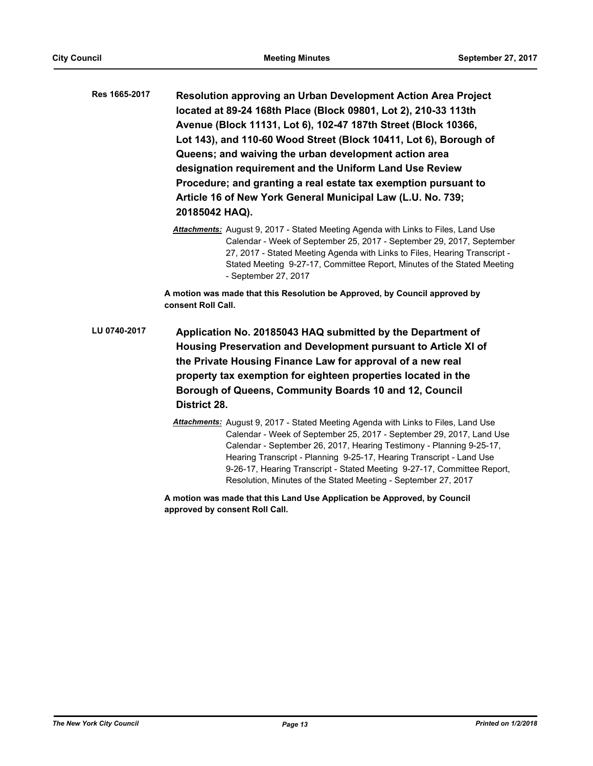**Resolution approving an Urban Development Action Area Project located at 89-24 168th Place (Block 09801, Lot 2), 210-33 113th Avenue (Block 11131, Lot 6), 102-47 187th Street (Block 10366, Lot 143), and 110-60 Wood Street (Block 10411, Lot 6), Borough of Queens; and waiving the urban development action area designation requirement and the Uniform Land Use Review Procedure; and granting a real estate tax exemption pursuant to Article 16 of New York General Municipal Law (L.U. No. 739; 20185042 HAQ). Res 1665-2017**

> *Attachments:* August 9, 2017 - Stated Meeting Agenda with Links to Files, Land Use Calendar - Week of September 25, 2017 - September 29, 2017, September 27, 2017 - Stated Meeting Agenda with Links to Files, Hearing Transcript - Stated Meeting 9-27-17, Committee Report, Minutes of the Stated Meeting - September 27, 2017

**A motion was made that this Resolution be Approved, by Council approved by consent Roll Call.**

**Application No. 20185043 HAQ submitted by the Department of Housing Preservation and Development pursuant to Article XI of the Private Housing Finance Law for approval of a new real property tax exemption for eighteen properties located in the Borough of Queens, Community Boards 10 and 12, Council District 28. LU 0740-2017**

> *Attachments:* August 9, 2017 - Stated Meeting Agenda with Links to Files, Land Use Calendar - Week of September 25, 2017 - September 29, 2017, Land Use Calendar - September 26, 2017, Hearing Testimony - Planning 9-25-17, Hearing Transcript - Planning 9-25-17, Hearing Transcript - Land Use 9-26-17, Hearing Transcript - Stated Meeting 9-27-17, Committee Report, Resolution, Minutes of the Stated Meeting - September 27, 2017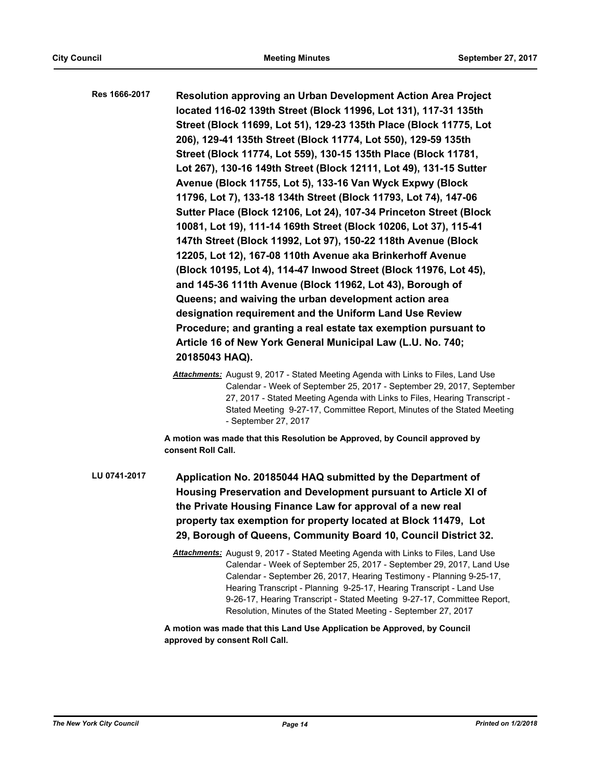**Resolution approving an Urban Development Action Area Project located 116-02 139th Street (Block 11996, Lot 131), 117-31 135th Street (Block 11699, Lot 51), 129-23 135th Place (Block 11775, Lot 206), 129-41 135th Street (Block 11774, Lot 550), 129-59 135th Street (Block 11774, Lot 559), 130-15 135th Place (Block 11781, Lot 267), 130-16 149th Street (Block 12111, Lot 49), 131-15 Sutter Avenue (Block 11755, Lot 5), 133-16 Van Wyck Expwy (Block 11796, Lot 7), 133-18 134th Street (Block 11793, Lot 74), 147-06 Sutter Place (Block 12106, Lot 24), 107-34 Princeton Street (Block 10081, Lot 19), 111-14 169th Street (Block 10206, Lot 37), 115-41 147th Street (Block 11992, Lot 97), 150-22 118th Avenue (Block 12205, Lot 12), 167-08 110th Avenue aka Brinkerhoff Avenue (Block 10195, Lot 4), 114-47 Inwood Street (Block 11976, Lot 45), and 145-36 111th Avenue (Block 11962, Lot 43), Borough of Queens; and waiving the urban development action area designation requirement and the Uniform Land Use Review Procedure; and granting a real estate tax exemption pursuant to Article 16 of New York General Municipal Law (L.U. No. 740; 20185043 HAQ). Res 1666-2017**

> *Attachments:* August 9, 2017 - Stated Meeting Agenda with Links to Files, Land Use Calendar - Week of September 25, 2017 - September 29, 2017, September 27, 2017 - Stated Meeting Agenda with Links to Files, Hearing Transcript - Stated Meeting 9-27-17, Committee Report, Minutes of the Stated Meeting - September 27, 2017

**A motion was made that this Resolution be Approved, by Council approved by consent Roll Call.**

**Application No. 20185044 HAQ submitted by the Department of Housing Preservation and Development pursuant to Article XI of the Private Housing Finance Law for approval of a new real property tax exemption for property located at Block 11479, Lot 29, Borough of Queens, Community Board 10, Council District 32. LU 0741-2017**

> *Attachments:* August 9, 2017 - Stated Meeting Agenda with Links to Files, Land Use Calendar - Week of September 25, 2017 - September 29, 2017, Land Use Calendar - September 26, 2017, Hearing Testimony - Planning 9-25-17, Hearing Transcript - Planning 9-25-17, Hearing Transcript - Land Use 9-26-17, Hearing Transcript - Stated Meeting 9-27-17, Committee Report, Resolution, Minutes of the Stated Meeting - September 27, 2017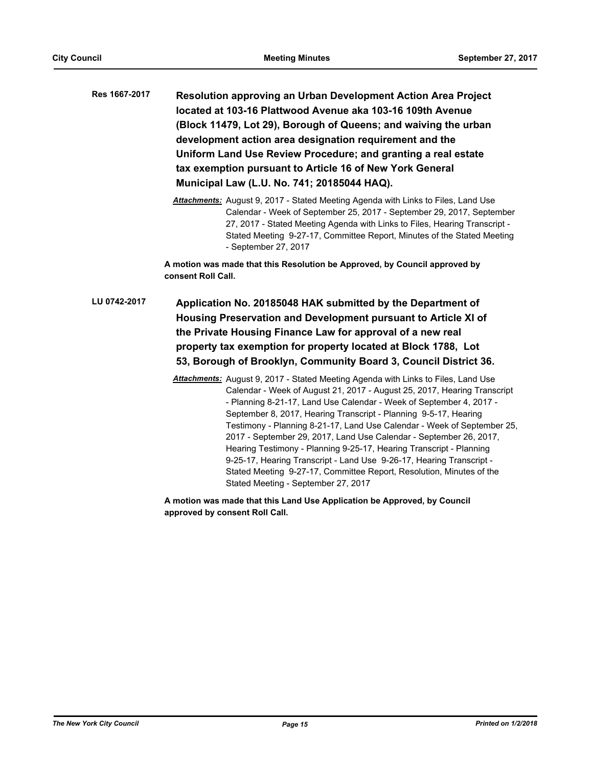**Resolution approving an Urban Development Action Area Project located at 103-16 Plattwood Avenue aka 103-16 109th Avenue (Block 11479, Lot 29), Borough of Queens; and waiving the urban development action area designation requirement and the Uniform Land Use Review Procedure; and granting a real estate tax exemption pursuant to Article 16 of New York General Municipal Law (L.U. No. 741; 20185044 HAQ). Res 1667-2017**

> *Attachments:* August 9, 2017 - Stated Meeting Agenda with Links to Files, Land Use Calendar - Week of September 25, 2017 - September 29, 2017, September 27, 2017 - Stated Meeting Agenda with Links to Files, Hearing Transcript - Stated Meeting 9-27-17, Committee Report, Minutes of the Stated Meeting - September 27, 2017

**A motion was made that this Resolution be Approved, by Council approved by consent Roll Call.**

**Application No. 20185048 HAK submitted by the Department of Housing Preservation and Development pursuant to Article XI of the Private Housing Finance Law for approval of a new real property tax exemption for property located at Block 1788, Lot 53, Borough of Brooklyn, Community Board 3, Council District 36. LU 0742-2017**

> *Attachments:* August 9, 2017 - Stated Meeting Agenda with Links to Files, Land Use Calendar - Week of August 21, 2017 - August 25, 2017, Hearing Transcript - Planning 8-21-17, Land Use Calendar - Week of September 4, 2017 - September 8, 2017, Hearing Transcript - Planning 9-5-17, Hearing Testimony - Planning 8-21-17, Land Use Calendar - Week of September 25, 2017 - September 29, 2017, Land Use Calendar - September 26, 2017, Hearing Testimony - Planning 9-25-17, Hearing Transcript - Planning 9-25-17, Hearing Transcript - Land Use 9-26-17, Hearing Transcript - Stated Meeting 9-27-17, Committee Report, Resolution, Minutes of the Stated Meeting - September 27, 2017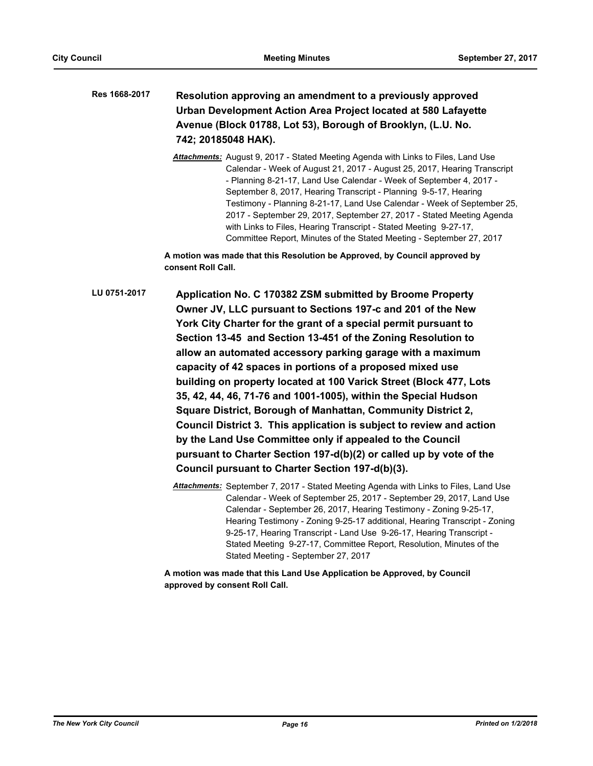# **Resolution approving an amendment to a previously approved Urban Development Action Area Project located at 580 Lafayette Avenue (Block 01788, Lot 53), Borough of Brooklyn, (L.U. No. 742; 20185048 HAK). Res 1668-2017**

*Attachments:* August 9, 2017 - Stated Meeting Agenda with Links to Files, Land Use Calendar - Week of August 21, 2017 - August 25, 2017, Hearing Transcript - Planning 8-21-17, Land Use Calendar - Week of September 4, 2017 - September 8, 2017, Hearing Transcript - Planning 9-5-17, Hearing Testimony - Planning 8-21-17, Land Use Calendar - Week of September 25, 2017 - September 29, 2017, September 27, 2017 - Stated Meeting Agenda with Links to Files, Hearing Transcript - Stated Meeting 9-27-17, Committee Report, Minutes of the Stated Meeting - September 27, 2017

**A motion was made that this Resolution be Approved, by Council approved by consent Roll Call.**

**Application No. C 170382 ZSM submitted by Broome Property Owner JV, LLC pursuant to Sections 197-c and 201 of the New York City Charter for the grant of a special permit pursuant to Section 13-45 and Section 13-451 of the Zoning Resolution to allow an automated accessory parking garage with a maximum capacity of 42 spaces in portions of a proposed mixed use building on property located at 100 Varick Street (Block 477, Lots 35, 42, 44, 46, 71-76 and 1001-1005), within the Special Hudson Square District, Borough of Manhattan, Community District 2, Council District 3. This application is subject to review and action by the Land Use Committee only if appealed to the Council pursuant to Charter Section 197-d(b)(2) or called up by vote of the Council pursuant to Charter Section 197-d(b)(3). LU 0751-2017**

> *Attachments:* September 7, 2017 - Stated Meeting Agenda with Links to Files, Land Use Calendar - Week of September 25, 2017 - September 29, 2017, Land Use Calendar - September 26, 2017, Hearing Testimony - Zoning 9-25-17, Hearing Testimony - Zoning 9-25-17 additional, Hearing Transcript - Zoning 9-25-17, Hearing Transcript - Land Use 9-26-17, Hearing Transcript - Stated Meeting 9-27-17, Committee Report, Resolution, Minutes of the Stated Meeting - September 27, 2017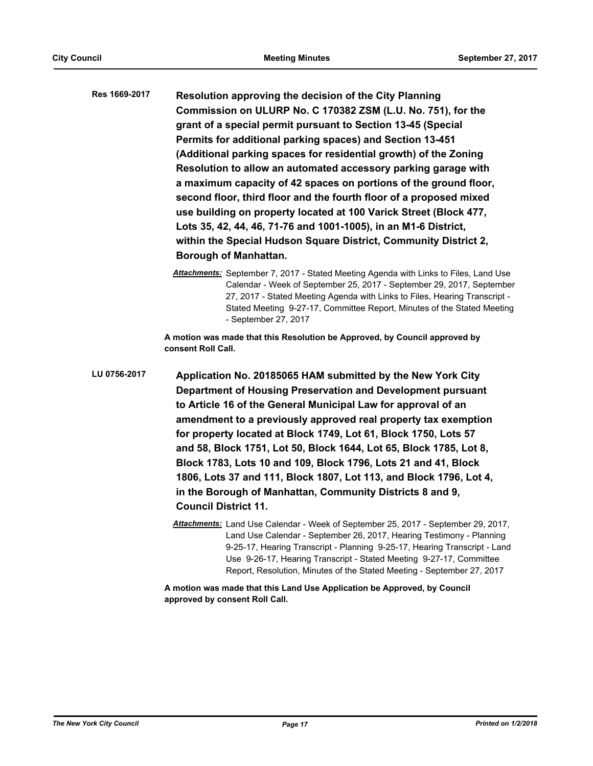- **Resolution approving the decision of the City Planning Commission on ULURP No. C 170382 ZSM (L.U. No. 751), for the grant of a special permit pursuant to Section 13-45 (Special Permits for additional parking spaces) and Section 13-451 (Additional parking spaces for residential growth) of the Zoning Resolution to allow an automated accessory parking garage with a maximum capacity of 42 spaces on portions of the ground floor, second floor, third floor and the fourth floor of a proposed mixed use building on property located at 100 Varick Street (Block 477, Lots 35, 42, 44, 46, 71-76 and 1001-1005), in an M1-6 District, within the Special Hudson Square District, Community District 2, Borough of Manhattan. Res 1669-2017**
	- *Attachments:* September 7, 2017 Stated Meeting Agenda with Links to Files, Land Use Calendar - Week of September 25, 2017 - September 29, 2017, September 27, 2017 - Stated Meeting Agenda with Links to Files, Hearing Transcript - Stated Meeting 9-27-17, Committee Report, Minutes of the Stated Meeting - September 27, 2017

**A motion was made that this Resolution be Approved, by Council approved by consent Roll Call.**

**Application No. 20185065 HAM submitted by the New York City Department of Housing Preservation and Development pursuant to Article 16 of the General Municipal Law for approval of an amendment to a previously approved real property tax exemption for property located at Block 1749, Lot 61, Block 1750, Lots 57 and 58, Block 1751, Lot 50, Block 1644, Lot 65, Block 1785, Lot 8, Block 1783, Lots 10 and 109, Block 1796, Lots 21 and 41, Block 1806, Lots 37 and 111, Block 1807, Lot 113, and Block 1796, Lot 4, in the Borough of Manhattan, Community Districts 8 and 9, Council District 11. LU 0756-2017**

> *Attachments:* Land Use Calendar - Week of September 25, 2017 - September 29, 2017, Land Use Calendar - September 26, 2017, Hearing Testimony - Planning 9-25-17, Hearing Transcript - Planning 9-25-17, Hearing Transcript - Land Use 9-26-17, Hearing Transcript - Stated Meeting 9-27-17, Committee Report, Resolution, Minutes of the Stated Meeting - September 27, 2017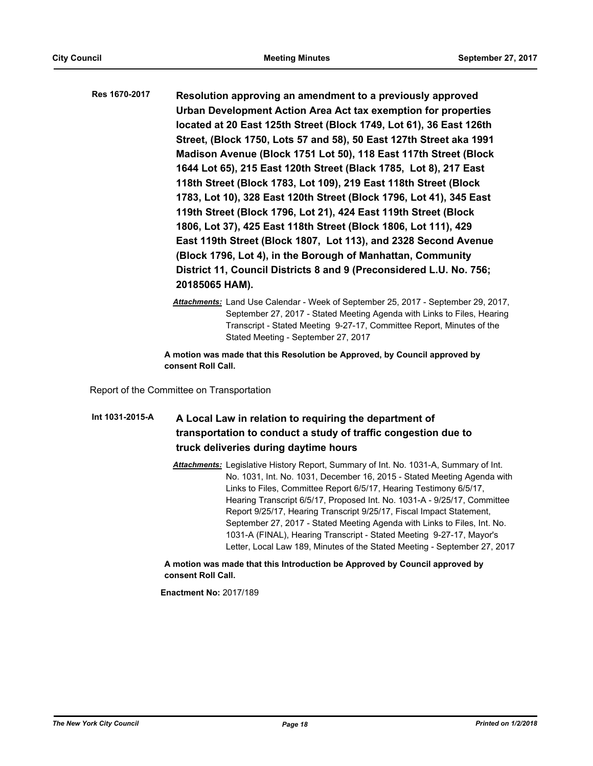**Resolution approving an amendment to a previously approved Urban Development Action Area Act tax exemption for properties located at 20 East 125th Street (Block 1749, Lot 61), 36 East 126th Street, (Block 1750, Lots 57 and 58), 50 East 127th Street aka 1991 Madison Avenue (Block 1751 Lot 50), 118 East 117th Street (Block 1644 Lot 65), 215 East 120th Street (Black 1785, Lot 8), 217 East 118th Street (Block 1783, Lot 109), 219 East 118th Street (Block 1783, Lot 10), 328 East 120th Street (Block 1796, Lot 41), 345 East 119th Street (Block 1796, Lot 21), 424 East 119th Street (Block 1806, Lot 37), 425 East 118th Street (Block 1806, Lot 111), 429 East 119th Street (Block 1807, Lot 113), and 2328 Second Avenue (Block 1796, Lot 4), in the Borough of Manhattan, Community District 11, Council Districts 8 and 9 (Preconsidered L.U. No. 756; 20185065 HAM). Res 1670-2017**

> *Attachments:* Land Use Calendar - Week of September 25, 2017 - September 29, 2017, September 27, 2017 - Stated Meeting Agenda with Links to Files, Hearing Transcript - Stated Meeting 9-27-17, Committee Report, Minutes of the Stated Meeting - September 27, 2017

**A motion was made that this Resolution be Approved, by Council approved by consent Roll Call.**

Report of the Committee on Transportation

# **A Local Law in relation to requiring the department of transportation to conduct a study of traffic congestion due to truck deliveries during daytime hours Int 1031-2015-A**

*Attachments:* Legislative History Report, Summary of Int. No. 1031-A, Summary of Int. No. 1031, Int. No. 1031, December 16, 2015 - Stated Meeting Agenda with Links to Files, Committee Report 6/5/17, Hearing Testimony 6/5/17, Hearing Transcript 6/5/17, Proposed Int. No. 1031-A - 9/25/17, Committee Report 9/25/17, Hearing Transcript 9/25/17, Fiscal Impact Statement, September 27, 2017 - Stated Meeting Agenda with Links to Files, Int. No. 1031-A (FINAL), Hearing Transcript - Stated Meeting 9-27-17, Mayor's Letter, Local Law 189, Minutes of the Stated Meeting - September 27, 2017

**A motion was made that this Introduction be Approved by Council approved by consent Roll Call.**

**Enactment No:** 2017/189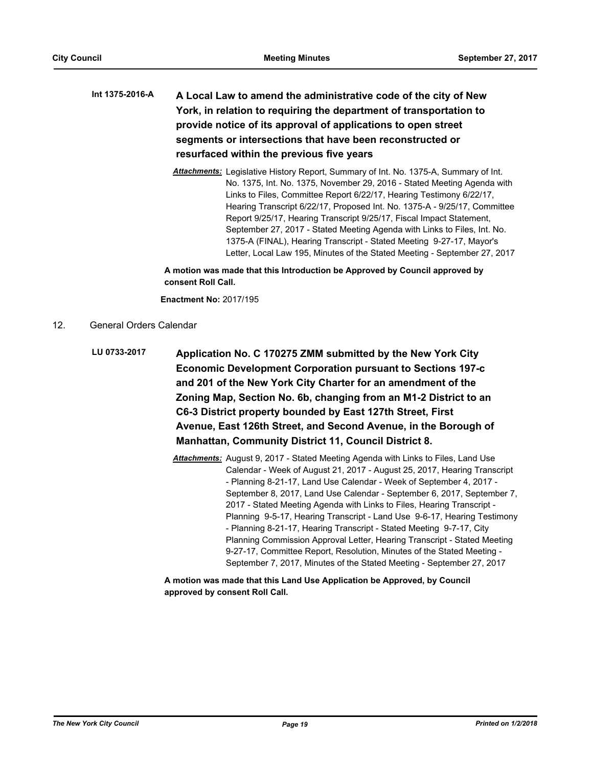# **A Local Law to amend the administrative code of the city of New York, in relation to requiring the department of transportation to provide notice of its approval of applications to open street segments or intersections that have been reconstructed or resurfaced within the previous five years Int 1375-2016-A**

*Attachments:* Legislative History Report, Summary of Int. No. 1375-A, Summary of Int. No. 1375, Int. No. 1375, November 29, 2016 - Stated Meeting Agenda with Links to Files, Committee Report 6/22/17, Hearing Testimony 6/22/17, Hearing Transcript 6/22/17, Proposed Int. No. 1375-A - 9/25/17, Committee Report 9/25/17, Hearing Transcript 9/25/17, Fiscal Impact Statement, September 27, 2017 - Stated Meeting Agenda with Links to Files, Int. No. 1375-A (FINAL), Hearing Transcript - Stated Meeting 9-27-17, Mayor's Letter, Local Law 195, Minutes of the Stated Meeting - September 27, 2017

**A motion was made that this Introduction be Approved by Council approved by consent Roll Call.**

**Enactment No:** 2017/195

- 12. General Orders Calendar
	- **Application No. C 170275 ZMM submitted by the New York City Economic Development Corporation pursuant to Sections 197-c and 201 of the New York City Charter for an amendment of the Zoning Map, Section No. 6b, changing from an M1-2 District to an C6-3 District property bounded by East 127th Street, First Avenue, East 126th Street, and Second Avenue, in the Borough of Manhattan, Community District 11, Council District 8. LU 0733-2017**
		- *Attachments:* August 9, 2017 Stated Meeting Agenda with Links to Files, Land Use Calendar - Week of August 21, 2017 - August 25, 2017, Hearing Transcript - Planning 8-21-17, Land Use Calendar - Week of September 4, 2017 - September 8, 2017, Land Use Calendar - September 6, 2017, September 7, 2017 - Stated Meeting Agenda with Links to Files, Hearing Transcript - Planning 9-5-17, Hearing Transcript - Land Use 9-6-17, Hearing Testimony - Planning 8-21-17, Hearing Transcript - Stated Meeting 9-7-17, City Planning Commission Approval Letter, Hearing Transcript - Stated Meeting 9-27-17, Committee Report, Resolution, Minutes of the Stated Meeting - September 7, 2017, Minutes of the Stated Meeting - September 27, 2017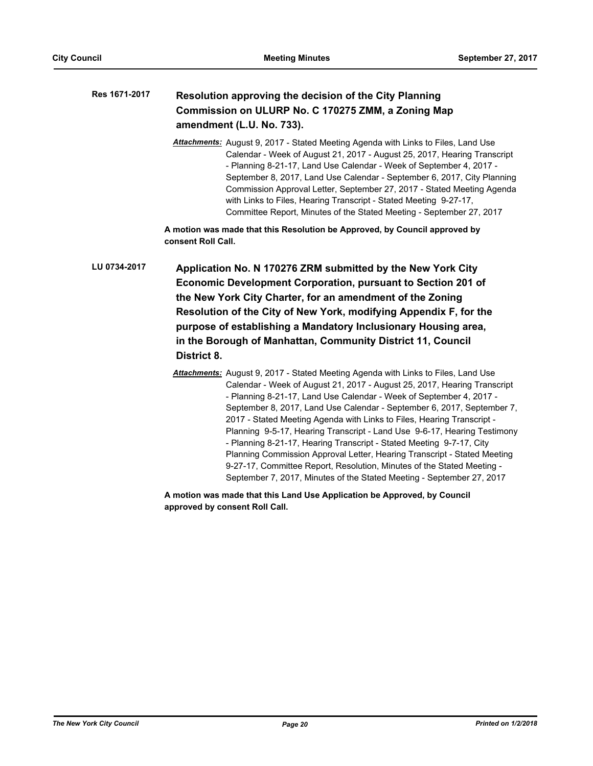| Res 1671-2017 | Resolution approving the decision of the City Planning |
|---------------|--------------------------------------------------------|
|               | Commission on ULURP No. C 170275 ZMM, a Zoning Map     |
|               | amendment (L.U. No. 733).                              |

*Attachments:* August 9, 2017 - Stated Meeting Agenda with Links to Files, Land Use Calendar - Week of August 21, 2017 - August 25, 2017, Hearing Transcript - Planning 8-21-17, Land Use Calendar - Week of September 4, 2017 - September 8, 2017, Land Use Calendar - September 6, 2017, City Planning Commission Approval Letter, September 27, 2017 - Stated Meeting Agenda with Links to Files, Hearing Transcript - Stated Meeting 9-27-17, Committee Report, Minutes of the Stated Meeting - September 27, 2017

**A motion was made that this Resolution be Approved, by Council approved by consent Roll Call.**

**Application No. N 170276 ZRM submitted by the New York City Economic Development Corporation, pursuant to Section 201 of the New York City Charter, for an amendment of the Zoning Resolution of the City of New York, modifying Appendix F, for the purpose of establishing a Mandatory Inclusionary Housing area, in the Borough of Manhattan, Community District 11, Council District 8. LU 0734-2017**

> *Attachments:* August 9, 2017 - Stated Meeting Agenda with Links to Files, Land Use Calendar - Week of August 21, 2017 - August 25, 2017, Hearing Transcript - Planning 8-21-17, Land Use Calendar - Week of September 4, 2017 - September 8, 2017, Land Use Calendar - September 6, 2017, September 7, 2017 - Stated Meeting Agenda with Links to Files, Hearing Transcript - Planning 9-5-17, Hearing Transcript - Land Use 9-6-17, Hearing Testimony - Planning 8-21-17, Hearing Transcript - Stated Meeting 9-7-17, City Planning Commission Approval Letter, Hearing Transcript - Stated Meeting 9-27-17, Committee Report, Resolution, Minutes of the Stated Meeting - September 7, 2017, Minutes of the Stated Meeting - September 27, 2017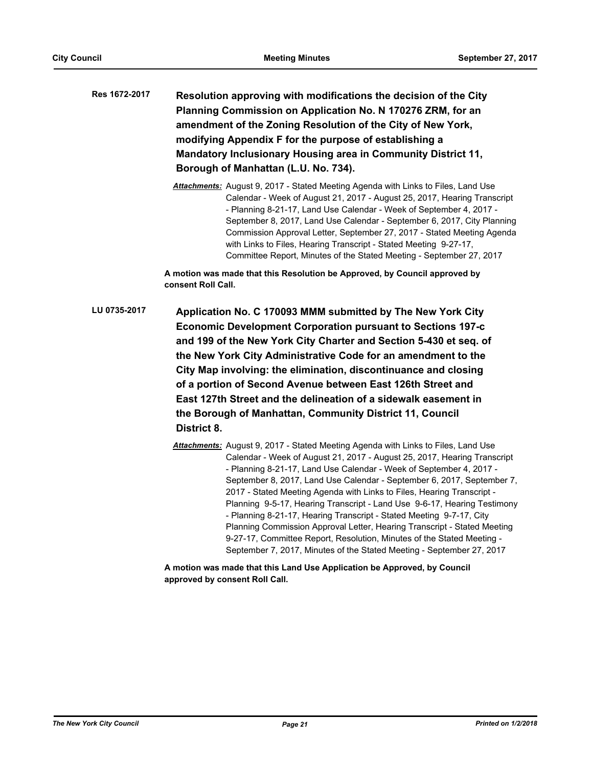**Resolution approving with modifications the decision of the City Planning Commission on Application No. N 170276 ZRM, for an amendment of the Zoning Resolution of the City of New York, modifying Appendix F for the purpose of establishing a Mandatory Inclusionary Housing area in Community District 11, Borough of Manhattan (L.U. No. 734). Res 1672-2017**

> *Attachments:* August 9, 2017 - Stated Meeting Agenda with Links to Files, Land Use Calendar - Week of August 21, 2017 - August 25, 2017, Hearing Transcript - Planning 8-21-17, Land Use Calendar - Week of September 4, 2017 - September 8, 2017, Land Use Calendar - September 6, 2017, City Planning Commission Approval Letter, September 27, 2017 - Stated Meeting Agenda with Links to Files, Hearing Transcript - Stated Meeting 9-27-17, Committee Report, Minutes of the Stated Meeting - September 27, 2017

**A motion was made that this Resolution be Approved, by Council approved by consent Roll Call.**

- **Application No. C 170093 MMM submitted by The New York City Economic Development Corporation pursuant to Sections 197-c and 199 of the New York City Charter and Section 5-430 et seq. of the New York City Administrative Code for an amendment to the City Map involving: the elimination, discontinuance and closing of a portion of Second Avenue between East 126th Street and East 127th Street and the delineation of a sidewalk easement in the Borough of Manhattan, Community District 11, Council District 8. LU 0735-2017**
	- *Attachments:* August 9, 2017 Stated Meeting Agenda with Links to Files, Land Use Calendar - Week of August 21, 2017 - August 25, 2017, Hearing Transcript - Planning 8-21-17, Land Use Calendar - Week of September 4, 2017 - September 8, 2017, Land Use Calendar - September 6, 2017, September 7, 2017 - Stated Meeting Agenda with Links to Files, Hearing Transcript - Planning 9-5-17, Hearing Transcript - Land Use 9-6-17, Hearing Testimony - Planning 8-21-17, Hearing Transcript - Stated Meeting 9-7-17, City Planning Commission Approval Letter, Hearing Transcript - Stated Meeting 9-27-17, Committee Report, Resolution, Minutes of the Stated Meeting - September 7, 2017, Minutes of the Stated Meeting - September 27, 2017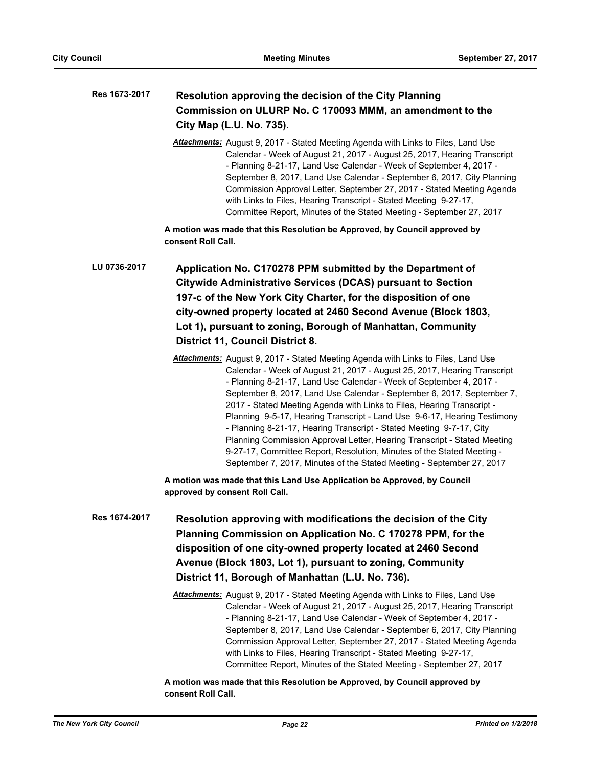| Res 1673-2017 | Resolution approving the decision of the City Planning<br>Commission on ULURP No. C 170093 MMM, an amendment to the<br>City Map (L.U. No. 735).                                                                                                                                                                                                                                                                                                                                                                                                                                                                                                                                                                                                                             |  |  |
|---------------|-----------------------------------------------------------------------------------------------------------------------------------------------------------------------------------------------------------------------------------------------------------------------------------------------------------------------------------------------------------------------------------------------------------------------------------------------------------------------------------------------------------------------------------------------------------------------------------------------------------------------------------------------------------------------------------------------------------------------------------------------------------------------------|--|--|
|               | Attachments: August 9, 2017 - Stated Meeting Agenda with Links to Files, Land Use<br>Calendar - Week of August 21, 2017 - August 25, 2017, Hearing Transcript<br>- Planning 8-21-17, Land Use Calendar - Week of September 4, 2017 -<br>September 8, 2017, Land Use Calendar - September 6, 2017, City Planning<br>Commission Approval Letter, September 27, 2017 - Stated Meeting Agenda<br>with Links to Files, Hearing Transcript - Stated Meeting 9-27-17,<br>Committee Report, Minutes of the Stated Meeting - September 27, 2017                                                                                                                                                                                                                                      |  |  |
|               | A motion was made that this Resolution be Approved, by Council approved by<br>consent Roll Call.                                                                                                                                                                                                                                                                                                                                                                                                                                                                                                                                                                                                                                                                            |  |  |
| LU 0736-2017  | Application No. C170278 PPM submitted by the Department of                                                                                                                                                                                                                                                                                                                                                                                                                                                                                                                                                                                                                                                                                                                  |  |  |
|               | <b>Citywide Administrative Services (DCAS) pursuant to Section</b>                                                                                                                                                                                                                                                                                                                                                                                                                                                                                                                                                                                                                                                                                                          |  |  |
|               | 197-c of the New York City Charter, for the disposition of one                                                                                                                                                                                                                                                                                                                                                                                                                                                                                                                                                                                                                                                                                                              |  |  |
|               | city-owned property located at 2460 Second Avenue (Block 1803,                                                                                                                                                                                                                                                                                                                                                                                                                                                                                                                                                                                                                                                                                                              |  |  |
|               | Lot 1), pursuant to zoning, Borough of Manhattan, Community                                                                                                                                                                                                                                                                                                                                                                                                                                                                                                                                                                                                                                                                                                                 |  |  |
|               | <b>District 11, Council District 8.</b>                                                                                                                                                                                                                                                                                                                                                                                                                                                                                                                                                                                                                                                                                                                                     |  |  |
|               | Attachments: August 9, 2017 - Stated Meeting Agenda with Links to Files, Land Use<br>Calendar - Week of August 21, 2017 - August 25, 2017, Hearing Transcript<br>- Planning 8-21-17, Land Use Calendar - Week of September 4, 2017 -<br>September 8, 2017, Land Use Calendar - September 6, 2017, September 7,<br>2017 - Stated Meeting Agenda with Links to Files, Hearing Transcript -<br>Planning 9-5-17, Hearing Transcript - Land Use 9-6-17, Hearing Testimony<br>- Planning 8-21-17, Hearing Transcript - Stated Meeting 9-7-17, City<br>Planning Commission Approval Letter, Hearing Transcript - Stated Meeting<br>9-27-17, Committee Report, Resolution, Minutes of the Stated Meeting -<br>September 7, 2017, Minutes of the Stated Meeting - September 27, 2017 |  |  |
|               | A motion was made that this Land Use Application be Approved, by Council<br>approved by consent Roll Call.                                                                                                                                                                                                                                                                                                                                                                                                                                                                                                                                                                                                                                                                  |  |  |
| Res 1674-2017 | Resolution approving with modifications the decision of the City<br>Planning Commission on Application No. C 170278 PPM, for the<br>disposition of one city-owned property located at 2460 Second<br>Avenue (Block 1803, Lot 1), pursuant to zoning, Community<br>District 11, Borough of Manhattan (L.U. No. 736).                                                                                                                                                                                                                                                                                                                                                                                                                                                         |  |  |
|               | Attachments: August 9, 2017 - Stated Meeting Agenda with Links to Files, Land Use<br>Calendar - Week of August 21, 2017 - August 25, 2017, Hearing Transcript<br>- Planning 8-21-17, Land Use Calendar - Week of September 4, 2017 -<br>September 8, 2017, Land Use Calendar - September 6, 2017, City Planning<br>Commission Approval Letter, September 27, 2017 - Stated Meeting Agenda<br>with Links to Files, Hearing Transcript - Stated Meeting 9-27-17,<br>Committee Report, Minutes of the Stated Meeting - September 27, 2017                                                                                                                                                                                                                                      |  |  |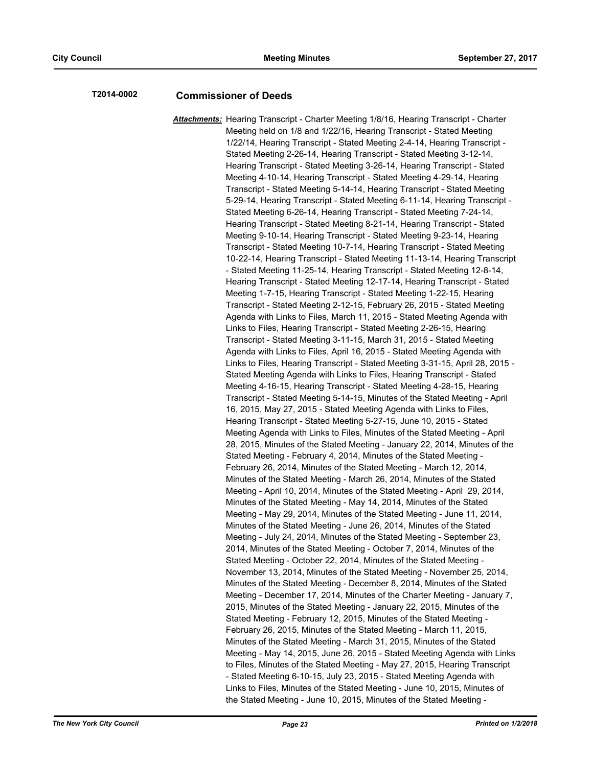# **T2014-0002 Commissioner of Deeds**

*Attachments:* Hearing Transcript - Charter Meeting 1/8/16, Hearing Transcript - Charter Meeting held on 1/8 and 1/22/16, Hearing Transcript - Stated Meeting 1/22/14, Hearing Transcript - Stated Meeting 2-4-14, Hearing Transcript - Stated Meeting 2-26-14, Hearing Transcript - Stated Meeting 3-12-14, Hearing Transcript - Stated Meeting 3-26-14, Hearing Transcript - Stated Meeting 4-10-14, Hearing Transcript - Stated Meeting 4-29-14, Hearing Transcript - Stated Meeting 5-14-14, Hearing Transcript - Stated Meeting 5-29-14, Hearing Transcript - Stated Meeting 6-11-14, Hearing Transcript - Stated Meeting 6-26-14, Hearing Transcript - Stated Meeting 7-24-14, Hearing Transcript - Stated Meeting 8-21-14, Hearing Transcript - Stated Meeting 9-10-14, Hearing Transcript - Stated Meeting 9-23-14, Hearing Transcript - Stated Meeting 10-7-14, Hearing Transcript - Stated Meeting 10-22-14, Hearing Transcript - Stated Meeting 11-13-14, Hearing Transcript - Stated Meeting 11-25-14, Hearing Transcript - Stated Meeting 12-8-14, Hearing Transcript - Stated Meeting 12-17-14, Hearing Transcript - Stated Meeting 1-7-15, Hearing Transcript - Stated Meeting 1-22-15, Hearing Transcript - Stated Meeting 2-12-15, February 26, 2015 - Stated Meeting Agenda with Links to Files, March 11, 2015 - Stated Meeting Agenda with Links to Files, Hearing Transcript - Stated Meeting 2-26-15, Hearing Transcript - Stated Meeting 3-11-15, March 31, 2015 - Stated Meeting Agenda with Links to Files, April 16, 2015 - Stated Meeting Agenda with Links to Files, Hearing Transcript - Stated Meeting 3-31-15, April 28, 2015 - Stated Meeting Agenda with Links to Files, Hearing Transcript - Stated Meeting 4-16-15, Hearing Transcript - Stated Meeting 4-28-15, Hearing Transcript - Stated Meeting 5-14-15, Minutes of the Stated Meeting - April 16, 2015, May 27, 2015 - Stated Meeting Agenda with Links to Files, Hearing Transcript - Stated Meeting 5-27-15, June 10, 2015 - Stated Meeting Agenda with Links to Files, Minutes of the Stated Meeting - April 28, 2015, Minutes of the Stated Meeting - January 22, 2014, Minutes of the Stated Meeting - February 4, 2014, Minutes of the Stated Meeting - February 26, 2014, Minutes of the Stated Meeting - March 12, 2014, Minutes of the Stated Meeting - March 26, 2014, Minutes of the Stated Meeting - April 10, 2014, Minutes of the Stated Meeting - April 29, 2014, Minutes of the Stated Meeting - May 14, 2014, Minutes of the Stated Meeting - May 29, 2014, Minutes of the Stated Meeting - June 11, 2014, Minutes of the Stated Meeting - June 26, 2014, Minutes of the Stated Meeting - July 24, 2014, Minutes of the Stated Meeting - September 23, 2014, Minutes of the Stated Meeting - October 7, 2014, Minutes of the Stated Meeting - October 22, 2014, Minutes of the Stated Meeting - November 13, 2014, Minutes of the Stated Meeting - November 25, 2014, Minutes of the Stated Meeting - December 8, 2014, Minutes of the Stated Meeting - December 17, 2014, Minutes of the Charter Meeting - January 7, 2015, Minutes of the Stated Meeting - January 22, 2015, Minutes of the Stated Meeting - February 12, 2015, Minutes of the Stated Meeting - February 26, 2015, Minutes of the Stated Meeting - March 11, 2015, Minutes of the Stated Meeting - March 31, 2015, Minutes of the Stated Meeting - May 14, 2015, June 26, 2015 - Stated Meeting Agenda with Links to Files, Minutes of the Stated Meeting - May 27, 2015, Hearing Transcript - Stated Meeting 6-10-15, July 23, 2015 - Stated Meeting Agenda with Links to Files, Minutes of the Stated Meeting - June 10, 2015, Minutes of the Stated Meeting - June 10, 2015, Minutes of the Stated Meeting -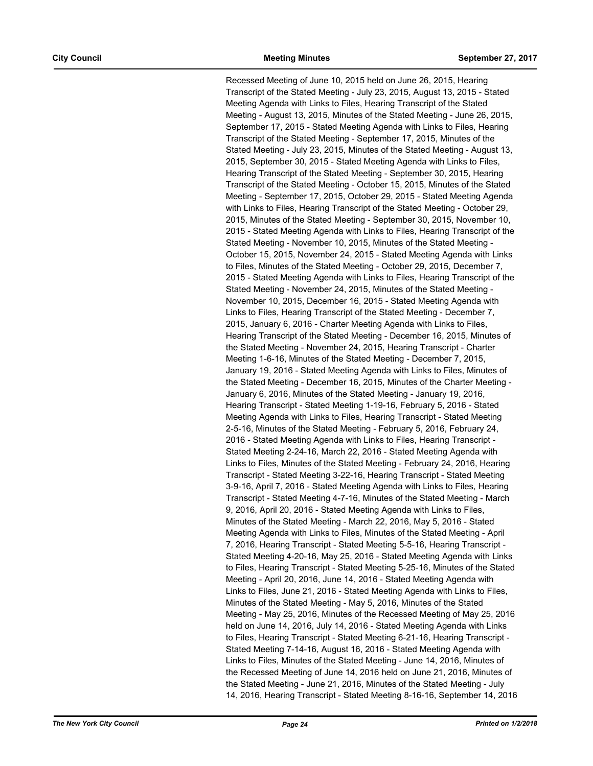Recessed Meeting of June 10, 2015 held on June 26, 2015, Hearing Transcript of the Stated Meeting - July 23, 2015, August 13, 2015 - Stated Meeting Agenda with Links to Files, Hearing Transcript of the Stated Meeting - August 13, 2015, Minutes of the Stated Meeting - June 26, 2015, September 17, 2015 - Stated Meeting Agenda with Links to Files, Hearing Transcript of the Stated Meeting - September 17, 2015, Minutes of the Stated Meeting - July 23, 2015, Minutes of the Stated Meeting - August 13, 2015, September 30, 2015 - Stated Meeting Agenda with Links to Files, Hearing Transcript of the Stated Meeting - September 30, 2015, Hearing Transcript of the Stated Meeting - October 15, 2015, Minutes of the Stated Meeting - September 17, 2015, October 29, 2015 - Stated Meeting Agenda with Links to Files, Hearing Transcript of the Stated Meeting - October 29, 2015, Minutes of the Stated Meeting - September 30, 2015, November 10, 2015 - Stated Meeting Agenda with Links to Files, Hearing Transcript of the Stated Meeting - November 10, 2015, Minutes of the Stated Meeting - October 15, 2015, November 24, 2015 - Stated Meeting Agenda with Links to Files, Minutes of the Stated Meeting - October 29, 2015, December 7, 2015 - Stated Meeting Agenda with Links to Files, Hearing Transcript of the Stated Meeting - November 24, 2015, Minutes of the Stated Meeting - November 10, 2015, December 16, 2015 - Stated Meeting Agenda with Links to Files, Hearing Transcript of the Stated Meeting - December 7, 2015, January 6, 2016 - Charter Meeting Agenda with Links to Files, Hearing Transcript of the Stated Meeting - December 16, 2015, Minutes of the Stated Meeting - November 24, 2015, Hearing Transcript - Charter Meeting 1-6-16, Minutes of the Stated Meeting - December 7, 2015, January 19, 2016 - Stated Meeting Agenda with Links to Files, Minutes of the Stated Meeting - December 16, 2015, Minutes of the Charter Meeting - January 6, 2016, Minutes of the Stated Meeting - January 19, 2016, Hearing Transcript - Stated Meeting 1-19-16, February 5, 2016 - Stated Meeting Agenda with Links to Files, Hearing Transcript - Stated Meeting 2-5-16, Minutes of the Stated Meeting - February 5, 2016, February 24, 2016 - Stated Meeting Agenda with Links to Files, Hearing Transcript - Stated Meeting 2-24-16, March 22, 2016 - Stated Meeting Agenda with Links to Files, Minutes of the Stated Meeting - February 24, 2016, Hearing Transcript - Stated Meeting 3-22-16, Hearing Transcript - Stated Meeting 3-9-16, April 7, 2016 - Stated Meeting Agenda with Links to Files, Hearing Transcript - Stated Meeting 4-7-16, Minutes of the Stated Meeting - March 9, 2016, April 20, 2016 - Stated Meeting Agenda with Links to Files, Minutes of the Stated Meeting - March 22, 2016, May 5, 2016 - Stated Meeting Agenda with Links to Files, Minutes of the Stated Meeting - April 7, 2016, Hearing Transcript - Stated Meeting 5-5-16, Hearing Transcript - Stated Meeting 4-20-16, May 25, 2016 - Stated Meeting Agenda with Links to Files, Hearing Transcript - Stated Meeting 5-25-16, Minutes of the Stated Meeting - April 20, 2016, June 14, 2016 - Stated Meeting Agenda with Links to Files, June 21, 2016 - Stated Meeting Agenda with Links to Files, Minutes of the Stated Meeting - May 5, 2016, Minutes of the Stated Meeting - May 25, 2016, Minutes of the Recessed Meeting of May 25, 2016 held on June 14, 2016, July 14, 2016 - Stated Meeting Agenda with Links to Files, Hearing Transcript - Stated Meeting 6-21-16, Hearing Transcript - Stated Meeting 7-14-16, August 16, 2016 - Stated Meeting Agenda with Links to Files, Minutes of the Stated Meeting - June 14, 2016, Minutes of the Recessed Meeting of June 14, 2016 held on June 21, 2016, Minutes of the Stated Meeting - June 21, 2016, Minutes of the Stated Meeting - July 14, 2016, Hearing Transcript - Stated Meeting 8-16-16, September 14, 2016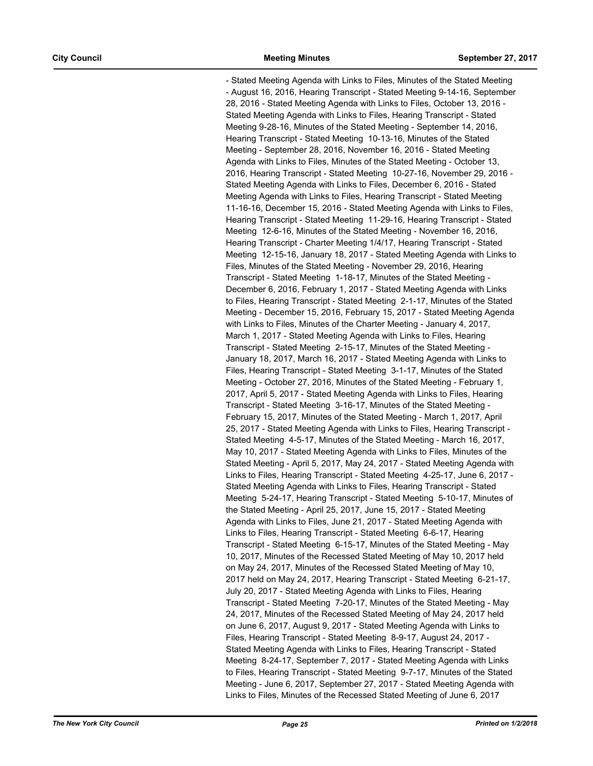- Stated Meeting Agenda with Links to Files, Minutes of the Stated Meeting - August 16, 2016, Hearing Transcript - Stated Meeting 9-14-16, September 28, 2016 - Stated Meeting Agenda with Links to Files, October 13, 2016 - Stated Meeting Agenda with Links to Files, Hearing Transcript - Stated Meeting 9-28-16, Minutes of the Stated Meeting - September 14, 2016, Hearing Transcript - Stated Meeting 10-13-16, Minutes of the Stated Meeting - September 28, 2016, November 16, 2016 - Stated Meeting Agenda with Links to Files, Minutes of the Stated Meeting - October 13, 2016, Hearing Transcript - Stated Meeting 10-27-16, November 29, 2016 - Stated Meeting Agenda with Links to Files, December 6, 2016 - Stated Meeting Agenda with Links to Files, Hearing Transcript - Stated Meeting 11-16-16, December 15, 2016 - Stated Meeting Agenda with Links to Files, Hearing Transcript - Stated Meeting 11-29-16, Hearing Transcript - Stated Meeting 12-6-16, Minutes of the Stated Meeting - November 16, 2016, Hearing Transcript - Charter Meeting 1/4/17, Hearing Transcript - Stated Meeting 12-15-16, January 18, 2017 - Stated Meeting Agenda with Links to Files, Minutes of the Stated Meeting - November 29, 2016, Hearing Transcript - Stated Meeting 1-18-17, Minutes of the Stated Meeting - December 6, 2016, February 1, 2017 - Stated Meeting Agenda with Links to Files, Hearing Transcript - Stated Meeting 2-1-17, Minutes of the Stated Meeting - December 15, 2016, February 15, 2017 - Stated Meeting Agenda with Links to Files, Minutes of the Charter Meeting - January 4, 2017, March 1, 2017 - Stated Meeting Agenda with Links to Files, Hearing Transcript - Stated Meeting 2-15-17, Minutes of the Stated Meeting - January 18, 2017, March 16, 2017 - Stated Meeting Agenda with Links to Files, Hearing Transcript - Stated Meeting 3-1-17, Minutes of the Stated Meeting - October 27, 2016, Minutes of the Stated Meeting - February 1, 2017, April 5, 2017 - Stated Meeting Agenda with Links to Files, Hearing Transcript - Stated Meeting 3-16-17, Minutes of the Stated Meeting - February 15, 2017, Minutes of the Stated Meeting - March 1, 2017, April 25, 2017 - Stated Meeting Agenda with Links to Files, Hearing Transcript - Stated Meeting 4-5-17, Minutes of the Stated Meeting - March 16, 2017, May 10, 2017 - Stated Meeting Agenda with Links to Files, Minutes of the Stated Meeting - April 5, 2017, May 24, 2017 - Stated Meeting Agenda with Links to Files, Hearing Transcript - Stated Meeting 4-25-17, June 6, 2017 - Stated Meeting Agenda with Links to Files, Hearing Transcript - Stated Meeting 5-24-17, Hearing Transcript - Stated Meeting 5-10-17, Minutes of the Stated Meeting - April 25, 2017, June 15, 2017 - Stated Meeting Agenda with Links to Files, June 21, 2017 - Stated Meeting Agenda with Links to Files, Hearing Transcript - Stated Meeting 6-6-17, Hearing Transcript - Stated Meeting 6-15-17, Minutes of the Stated Meeting - May 10, 2017, Minutes of the Recessed Stated Meeting of May 10, 2017 held on May 24, 2017, Minutes of the Recessed Stated Meeting of May 10, 2017 held on May 24, 2017, Hearing Transcript - Stated Meeting 6-21-17, July 20, 2017 - Stated Meeting Agenda with Links to Files, Hearing Transcript - Stated Meeting 7-20-17, Minutes of the Stated Meeting - May 24, 2017, Minutes of the Recessed Stated Meeting of May 24, 2017 held on June 6, 2017, August 9, 2017 - Stated Meeting Agenda with Links to Files, Hearing Transcript - Stated Meeting 8-9-17, August 24, 2017 - Stated Meeting Agenda with Links to Files, Hearing Transcript - Stated Meeting 8-24-17, September 7, 2017 - Stated Meeting Agenda with Links to Files, Hearing Transcript - Stated Meeting 9-7-17, Minutes of the Stated Meeting - June 6, 2017, September 27, 2017 - Stated Meeting Agenda with Links to Files, Minutes of the Recessed Stated Meeting of June 6, 2017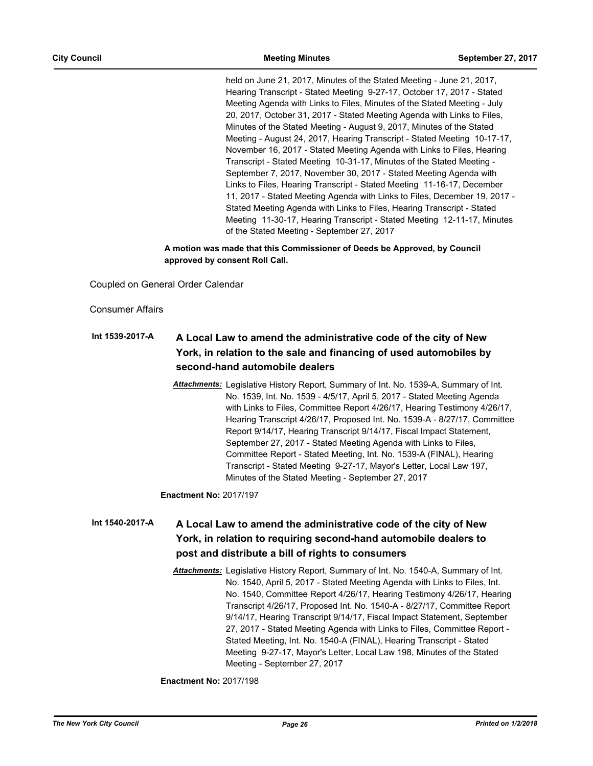held on June 21, 2017, Minutes of the Stated Meeting - June 21, 2017, Hearing Transcript - Stated Meeting 9-27-17, October 17, 2017 - Stated Meeting Agenda with Links to Files, Minutes of the Stated Meeting - July 20, 2017, October 31, 2017 - Stated Meeting Agenda with Links to Files, Minutes of the Stated Meeting - August 9, 2017, Minutes of the Stated Meeting - August 24, 2017, Hearing Transcript - Stated Meeting 10-17-17, November 16, 2017 - Stated Meeting Agenda with Links to Files, Hearing Transcript - Stated Meeting 10-31-17, Minutes of the Stated Meeting - September 7, 2017, November 30, 2017 - Stated Meeting Agenda with Links to Files, Hearing Transcript - Stated Meeting 11-16-17, December 11, 2017 - Stated Meeting Agenda with Links to Files, December 19, 2017 - Stated Meeting Agenda with Links to Files, Hearing Transcript - Stated Meeting 11-30-17, Hearing Transcript - Stated Meeting 12-11-17, Minutes of the Stated Meeting - September 27, 2017

**A motion was made that this Commissioner of Deeds be Approved, by Council approved by consent Roll Call.**

Coupled on General Order Calendar

Consumer Affairs

## **A Local Law to amend the administrative code of the city of New York, in relation to the sale and financing of used automobiles by second-hand automobile dealers Int 1539-2017-A**

*Attachments:* Legislative History Report, Summary of Int. No. 1539-A, Summary of Int. No. 1539, Int. No. 1539 - 4/5/17, April 5, 2017 - Stated Meeting Agenda with Links to Files, Committee Report 4/26/17, Hearing Testimony 4/26/17, Hearing Transcript 4/26/17, Proposed Int. No. 1539-A - 8/27/17, Committee Report 9/14/17, Hearing Transcript 9/14/17, Fiscal Impact Statement, September 27, 2017 - Stated Meeting Agenda with Links to Files, Committee Report - Stated Meeting, Int. No. 1539-A (FINAL), Hearing Transcript - Stated Meeting 9-27-17, Mayor's Letter, Local Law 197, Minutes of the Stated Meeting - September 27, 2017

**Enactment No:** 2017/197

## **A Local Law to amend the administrative code of the city of New York, in relation to requiring second-hand automobile dealers to post and distribute a bill of rights to consumers Int 1540-2017-A**

*Attachments:* Legislative History Report, Summary of Int. No. 1540-A, Summary of Int. No. 1540, April 5, 2017 - Stated Meeting Agenda with Links to Files, Int. No. 1540, Committee Report 4/26/17, Hearing Testimony 4/26/17, Hearing Transcript 4/26/17, Proposed Int. No. 1540-A - 8/27/17, Committee Report 9/14/17, Hearing Transcript 9/14/17, Fiscal Impact Statement, September 27, 2017 - Stated Meeting Agenda with Links to Files, Committee Report - Stated Meeting, Int. No. 1540-A (FINAL), Hearing Transcript - Stated Meeting 9-27-17, Mayor's Letter, Local Law 198, Minutes of the Stated Meeting - September 27, 2017

**Enactment No:** 2017/198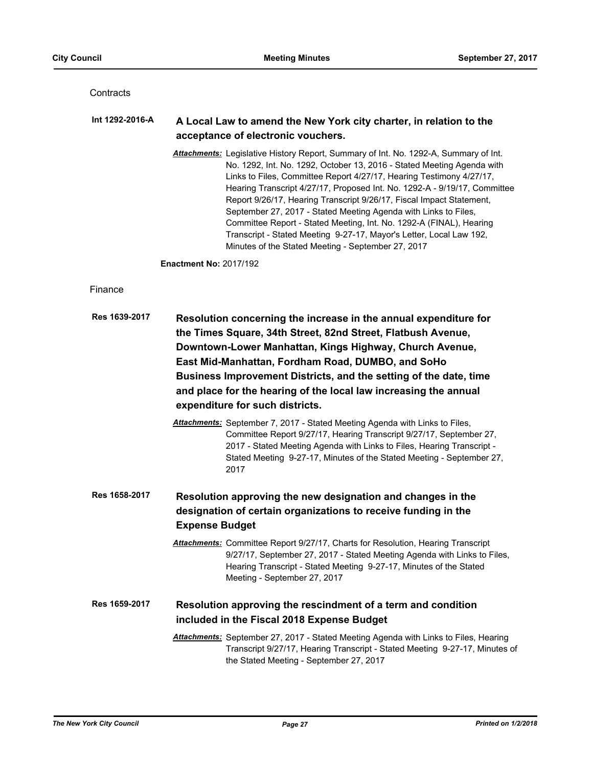**Contracts** 

#### **A Local Law to amend the New York city charter, in relation to the acceptance of electronic vouchers. Int 1292-2016-A**

*Attachments:* Legislative History Report, Summary of Int. No. 1292-A, Summary of Int. No. 1292, Int. No. 1292, October 13, 2016 - Stated Meeting Agenda with Links to Files, Committee Report 4/27/17, Hearing Testimony 4/27/17, Hearing Transcript 4/27/17, Proposed Int. No. 1292-A - 9/19/17, Committee Report 9/26/17, Hearing Transcript 9/26/17, Fiscal Impact Statement, September 27, 2017 - Stated Meeting Agenda with Links to Files, Committee Report - Stated Meeting, Int. No. 1292-A (FINAL), Hearing Transcript - Stated Meeting 9-27-17, Mayor's Letter, Local Law 192, Minutes of the Stated Meeting - September 27, 2017

**Enactment No:** 2017/192

Finance

| Res 1639-2017 | Resolution concerning the increase in the annual expenditure for<br>the Times Square, 34th Street, 82nd Street, Flatbush Avenue,<br>Downtown-Lower Manhattan, Kings Highway, Church Avenue,<br>East Mid-Manhattan, Fordham Road, DUMBO, and SoHo<br>Business Improvement Districts, and the setting of the date, time<br>and place for the hearing of the local law increasing the annual<br>expenditure for such districts. |  |
|---------------|------------------------------------------------------------------------------------------------------------------------------------------------------------------------------------------------------------------------------------------------------------------------------------------------------------------------------------------------------------------------------------------------------------------------------|--|
|               | <b>Attachments:</b> September 7, 2017 - Stated Meeting Agenda with Links to Files,<br>Committee Report 9/27/17, Hearing Transcript 9/27/17, September 27,<br>2017 - Stated Meeting Agenda with Links to Files, Hearing Transcript -<br>Stated Meeting 9-27-17, Minutes of the Stated Meeting - September 27,<br>2017                                                                                                         |  |
| Res 1658-2017 | Resolution approving the new designation and changes in the<br>designation of certain organizations to receive funding in the<br><b>Expense Budget</b>                                                                                                                                                                                                                                                                       |  |
|               | <b>Attachments:</b> Committee Report 9/27/17, Charts for Resolution, Hearing Transcript<br>9/27/17, September 27, 2017 - Stated Meeting Agenda with Links to Files,<br>Hearing Transcript - Stated Meeting 9-27-17, Minutes of the Stated<br>Meeting - September 27, 2017                                                                                                                                                    |  |
| Res 1659-2017 | Resolution approving the rescindment of a term and condition<br>included in the Fiscal 2018 Expense Budget                                                                                                                                                                                                                                                                                                                   |  |
|               | Attachments: September 27, 2017 - Stated Meeting Agenda with Links to Files, Hearing<br>Transcript 9/27/17, Hearing Transcript - Stated Meeting 9-27-17, Minutes of<br>the Stated Meeting - September 27, 2017                                                                                                                                                                                                               |  |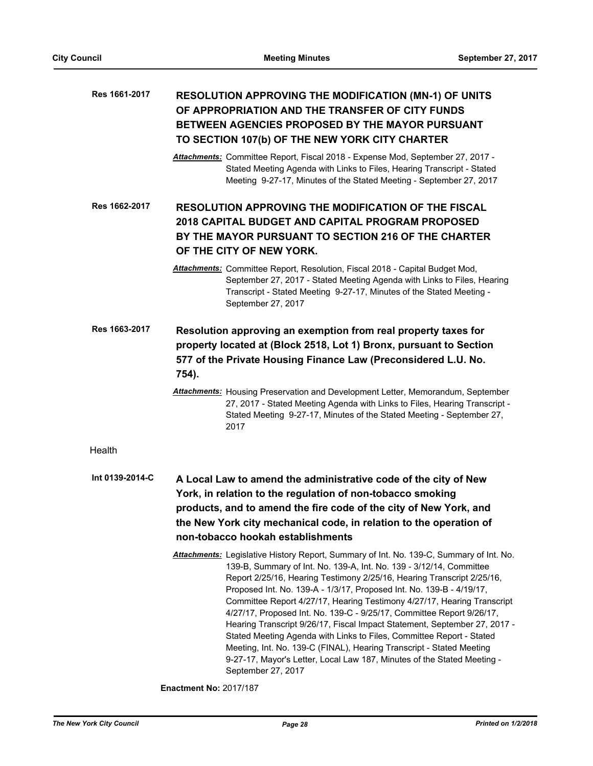# **RESOLUTION APPROVING THE MODIFICATION (MN-1) OF UNITS OF APPROPRIATION AND THE TRANSFER OF CITY FUNDS BETWEEN AGENCIES PROPOSED BY THE MAYOR PURSUANT TO SECTION 107(b) OF THE NEW YORK CITY CHARTER Res 1661-2017**

*Attachments:* Committee Report, Fiscal 2018 - Expense Mod, September 27, 2017 - Stated Meeting Agenda with Links to Files, Hearing Transcript - Stated Meeting 9-27-17, Minutes of the Stated Meeting - September 27, 2017

**RESOLUTION APPROVING THE MODIFICATION OF THE FISCAL 2018 CAPITAL BUDGET AND CAPITAL PROGRAM PROPOSED BY THE MAYOR PURSUANT TO SECTION 216 OF THE CHARTER OF THE CITY OF NEW YORK. Res 1662-2017**

**Resolution approving an exemption from real property taxes for property located at (Block 2518, Lot 1) Bronx, pursuant to Section 577 of the Private Housing Finance Law (Preconsidered L.U. No. 754). Res 1663-2017**

> *Attachments:* Housing Preservation and Development Letter, Memorandum, September 27, 2017 - Stated Meeting Agenda with Links to Files, Hearing Transcript - Stated Meeting 9-27-17, Minutes of the Stated Meeting - September 27, 2017

Health

**A Local Law to amend the administrative code of the city of New York, in relation to the regulation of non-tobacco smoking products, and to amend the fire code of the city of New York, and the New York city mechanical code, in relation to the operation of non-tobacco hookah establishments Int 0139-2014-C**

> *Attachments:* Legislative History Report, Summary of Int. No. 139-C, Summary of Int. No. 139-B, Summary of Int. No. 139-A, Int. No. 139 - 3/12/14, Committee Report 2/25/16, Hearing Testimony 2/25/16, Hearing Transcript 2/25/16, Proposed Int. No. 139-A - 1/3/17, Proposed Int. No. 139-B - 4/19/17, Committee Report 4/27/17, Hearing Testimony 4/27/17, Hearing Transcript 4/27/17, Proposed Int. No. 139-C - 9/25/17, Committee Report 9/26/17, Hearing Transcript 9/26/17, Fiscal Impact Statement, September 27, 2017 - Stated Meeting Agenda with Links to Files, Committee Report - Stated Meeting, Int. No. 139-C (FINAL), Hearing Transcript - Stated Meeting 9-27-17, Mayor's Letter, Local Law 187, Minutes of the Stated Meeting - September 27, 2017

**Enactment No:** 2017/187

*Attachments:* Committee Report, Resolution, Fiscal 2018 - Capital Budget Mod, September 27, 2017 - Stated Meeting Agenda with Links to Files, Hearing Transcript - Stated Meeting 9-27-17, Minutes of the Stated Meeting - September 27, 2017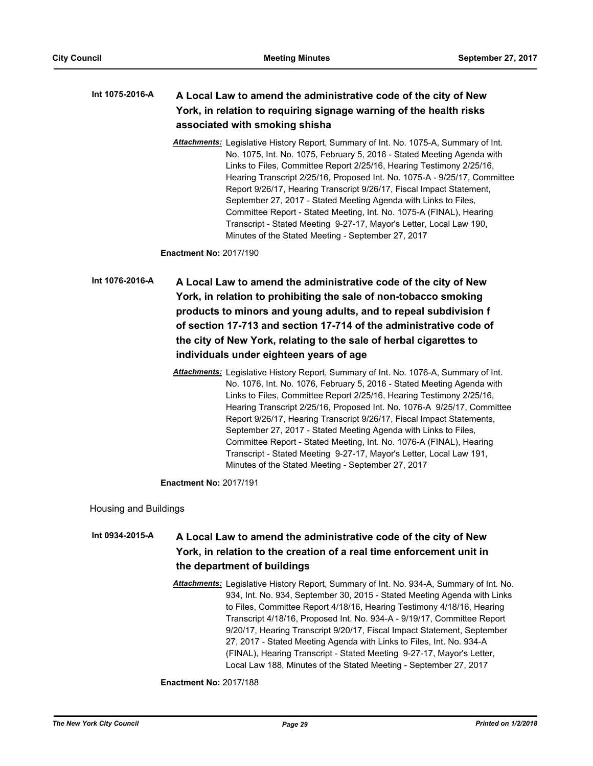# **A Local Law to amend the administrative code of the city of New York, in relation to requiring signage warning of the health risks associated with smoking shisha Int 1075-2016-A**

*Attachments:* Legislative History Report, Summary of Int. No. 1075-A, Summary of Int. No. 1075, Int. No. 1075, February 5, 2016 - Stated Meeting Agenda with Links to Files, Committee Report 2/25/16, Hearing Testimony 2/25/16, Hearing Transcript 2/25/16, Proposed Int. No. 1075-A - 9/25/17, Committee Report 9/26/17, Hearing Transcript 9/26/17, Fiscal Impact Statement, September 27, 2017 - Stated Meeting Agenda with Links to Files, Committee Report - Stated Meeting, Int. No. 1075-A (FINAL), Hearing Transcript - Stated Meeting 9-27-17, Mayor's Letter, Local Law 190, Minutes of the Stated Meeting - September 27, 2017

**Enactment No:** 2017/190

**A Local Law to amend the administrative code of the city of New York, in relation to prohibiting the sale of non-tobacco smoking products to minors and young adults, and to repeal subdivision f of section 17-713 and section 17-714 of the administrative code of the city of New York, relating to the sale of herbal cigarettes to individuals under eighteen years of age Int 1076-2016-A**

> *Attachments:* Legislative History Report, Summary of Int. No. 1076-A, Summary of Int. No. 1076, Int. No. 1076, February 5, 2016 - Stated Meeting Agenda with Links to Files, Committee Report 2/25/16, Hearing Testimony 2/25/16, Hearing Transcript 2/25/16, Proposed Int. No. 1076-A 9/25/17, Committee Report 9/26/17, Hearing Transcript 9/26/17, Fiscal Impact Statements, September 27, 2017 - Stated Meeting Agenda with Links to Files, Committee Report - Stated Meeting, Int. No. 1076-A (FINAL), Hearing Transcript - Stated Meeting 9-27-17, Mayor's Letter, Local Law 191, Minutes of the Stated Meeting - September 27, 2017

**Enactment No:** 2017/191

Housing and Buildings

## **A Local Law to amend the administrative code of the city of New York, in relation to the creation of a real time enforcement unit in the department of buildings Int 0934-2015-A**

*Attachments:* Legislative History Report, Summary of Int. No. 934-A, Summary of Int. No. 934, Int. No. 934, September 30, 2015 - Stated Meeting Agenda with Links to Files, Committee Report 4/18/16, Hearing Testimony 4/18/16, Hearing Transcript 4/18/16, Proposed Int. No. 934-A - 9/19/17, Committee Report 9/20/17, Hearing Transcript 9/20/17, Fiscal Impact Statement, September 27, 2017 - Stated Meeting Agenda with Links to Files, Int. No. 934-A (FINAL), Hearing Transcript - Stated Meeting 9-27-17, Mayor's Letter, Local Law 188, Minutes of the Stated Meeting - September 27, 2017

**Enactment No:** 2017/188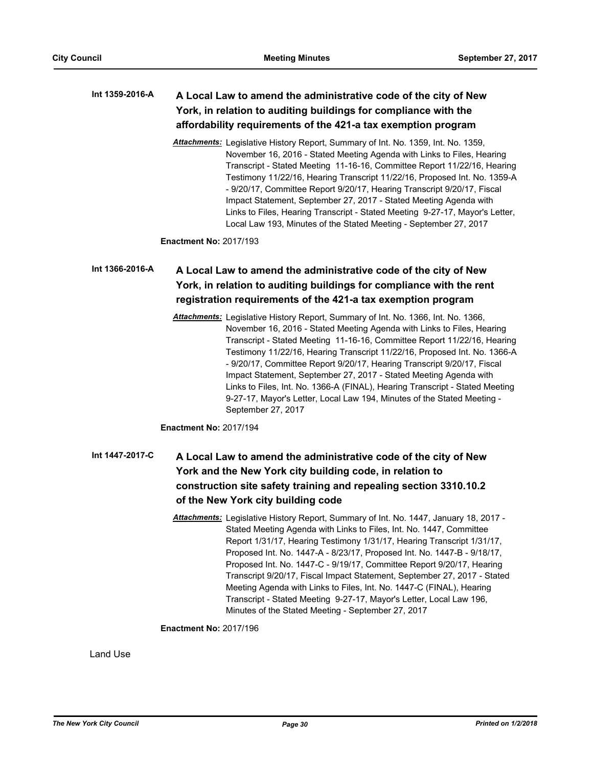# **A Local Law to amend the administrative code of the city of New York, in relation to auditing buildings for compliance with the affordability requirements of the 421-a tax exemption program Int 1359-2016-A**

*Attachments:* Legislative History Report, Summary of Int. No. 1359, Int. No. 1359, November 16, 2016 - Stated Meeting Agenda with Links to Files, Hearing Transcript - Stated Meeting 11-16-16, Committee Report 11/22/16, Hearing Testimony 11/22/16, Hearing Transcript 11/22/16, Proposed Int. No. 1359-A - 9/20/17, Committee Report 9/20/17, Hearing Transcript 9/20/17, Fiscal Impact Statement, September 27, 2017 - Stated Meeting Agenda with Links to Files, Hearing Transcript - Stated Meeting 9-27-17, Mayor's Letter, Local Law 193, Minutes of the Stated Meeting - September 27, 2017

**Enactment No:** 2017/193

# **A Local Law to amend the administrative code of the city of New York, in relation to auditing buildings for compliance with the rent registration requirements of the 421-a tax exemption program Int 1366-2016-A**

*Attachments:* Legislative History Report, Summary of Int. No. 1366, Int. No. 1366, November 16, 2016 - Stated Meeting Agenda with Links to Files, Hearing Transcript - Stated Meeting 11-16-16, Committee Report 11/22/16, Hearing Testimony 11/22/16, Hearing Transcript 11/22/16, Proposed Int. No. 1366-A - 9/20/17, Committee Report 9/20/17, Hearing Transcript 9/20/17, Fiscal Impact Statement, September 27, 2017 - Stated Meeting Agenda with Links to Files, Int. No. 1366-A (FINAL), Hearing Transcript - Stated Meeting 9-27-17, Mayor's Letter, Local Law 194, Minutes of the Stated Meeting - September 27, 2017

**Enactment No:** 2017/194

- **A Local Law to amend the administrative code of the city of New York and the New York city building code, in relation to construction site safety training and repealing section 3310.10.2 of the New York city building code Int 1447-2017-C**
	- *Attachments:* Legislative History Report, Summary of Int. No. 1447, January 18, 2017 Stated Meeting Agenda with Links to Files, Int. No. 1447, Committee Report 1/31/17, Hearing Testimony 1/31/17, Hearing Transcript 1/31/17, Proposed Int. No. 1447-A - 8/23/17, Proposed Int. No. 1447-B - 9/18/17, Proposed Int. No. 1447-C - 9/19/17, Committee Report 9/20/17, Hearing Transcript 9/20/17, Fiscal Impact Statement, September 27, 2017 - Stated Meeting Agenda with Links to Files, Int. No. 1447-C (FINAL), Hearing Transcript - Stated Meeting 9-27-17, Mayor's Letter, Local Law 196, Minutes of the Stated Meeting - September 27, 2017

# **Enactment No:** 2017/196

Land Use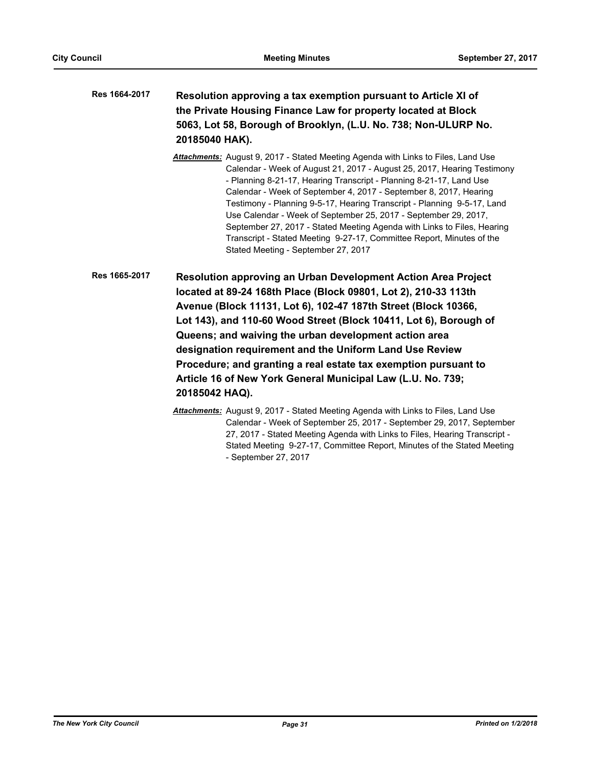| <b>Res 1664-2017</b> | Resolution approving a tax exemption pursuant to Article XI of  |
|----------------------|-----------------------------------------------------------------|
|                      | the Private Housing Finance Law for property located at Block   |
|                      | 5063, Lot 58, Borough of Brooklyn, (L.U. No. 738; Non-ULURP No. |
|                      | 20185040 HAK).                                                  |

- *Attachments:* August 9, 2017 Stated Meeting Agenda with Links to Files, Land Use Calendar - Week of August 21, 2017 - August 25, 2017, Hearing Testimony - Planning 8-21-17, Hearing Transcript - Planning 8-21-17, Land Use Calendar - Week of September 4, 2017 - September 8, 2017, Hearing Testimony - Planning 9-5-17, Hearing Transcript - Planning 9-5-17, Land Use Calendar - Week of September 25, 2017 - September 29, 2017, September 27, 2017 - Stated Meeting Agenda with Links to Files, Hearing Transcript - Stated Meeting 9-27-17, Committee Report, Minutes of the Stated Meeting - September 27, 2017
- **Resolution approving an Urban Development Action Area Project located at 89-24 168th Place (Block 09801, Lot 2), 210-33 113th Avenue (Block 11131, Lot 6), 102-47 187th Street (Block 10366, Lot 143), and 110-60 Wood Street (Block 10411, Lot 6), Borough of Queens; and waiving the urban development action area designation requirement and the Uniform Land Use Review Procedure; and granting a real estate tax exemption pursuant to Article 16 of New York General Municipal Law (L.U. No. 739; 20185042 HAQ). Res 1665-2017**
	- *Attachments:* August 9, 2017 Stated Meeting Agenda with Links to Files, Land Use Calendar - Week of September 25, 2017 - September 29, 2017, September 27, 2017 - Stated Meeting Agenda with Links to Files, Hearing Transcript - Stated Meeting 9-27-17, Committee Report, Minutes of the Stated Meeting - September 27, 2017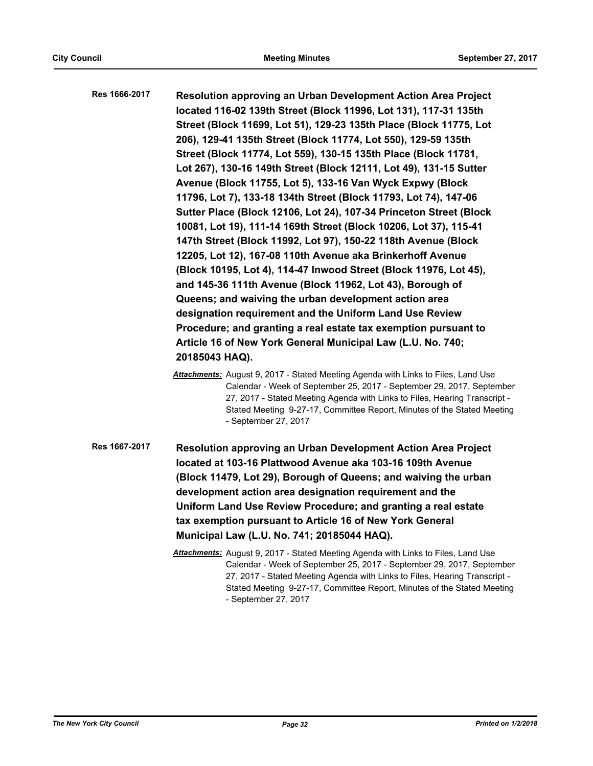**Resolution approving an Urban Development Action Area Project located 116-02 139th Street (Block 11996, Lot 131), 117-31 135th Street (Block 11699, Lot 51), 129-23 135th Place (Block 11775, Lot 206), 129-41 135th Street (Block 11774, Lot 550), 129-59 135th Street (Block 11774, Lot 559), 130-15 135th Place (Block 11781, Lot 267), 130-16 149th Street (Block 12111, Lot 49), 131-15 Sutter Avenue (Block 11755, Lot 5), 133-16 Van Wyck Expwy (Block 11796, Lot 7), 133-18 134th Street (Block 11793, Lot 74), 147-06 Sutter Place (Block 12106, Lot 24), 107-34 Princeton Street (Block 10081, Lot 19), 111-14 169th Street (Block 10206, Lot 37), 115-41 147th Street (Block 11992, Lot 97), 150-22 118th Avenue (Block 12205, Lot 12), 167-08 110th Avenue aka Brinkerhoff Avenue (Block 10195, Lot 4), 114-47 Inwood Street (Block 11976, Lot 45), and 145-36 111th Avenue (Block 11962, Lot 43), Borough of Queens; and waiving the urban development action area designation requirement and the Uniform Land Use Review Procedure; and granting a real estate tax exemption pursuant to Article 16 of New York General Municipal Law (L.U. No. 740; 20185043 HAQ). Res 1666-2017**

- *Attachments:* August 9, 2017 Stated Meeting Agenda with Links to Files, Land Use Calendar - Week of September 25, 2017 - September 29, 2017, September 27, 2017 - Stated Meeting Agenda with Links to Files, Hearing Transcript - Stated Meeting 9-27-17, Committee Report, Minutes of the Stated Meeting - September 27, 2017
- **Resolution approving an Urban Development Action Area Project located at 103-16 Plattwood Avenue aka 103-16 109th Avenue (Block 11479, Lot 29), Borough of Queens; and waiving the urban development action area designation requirement and the Uniform Land Use Review Procedure; and granting a real estate tax exemption pursuant to Article 16 of New York General Municipal Law (L.U. No. 741; 20185044 HAQ). Res 1667-2017**
	- *Attachments:* August 9, 2017 Stated Meeting Agenda with Links to Files, Land Use Calendar - Week of September 25, 2017 - September 29, 2017, September 27, 2017 - Stated Meeting Agenda with Links to Files, Hearing Transcript - Stated Meeting 9-27-17, Committee Report, Minutes of the Stated Meeting - September 27, 2017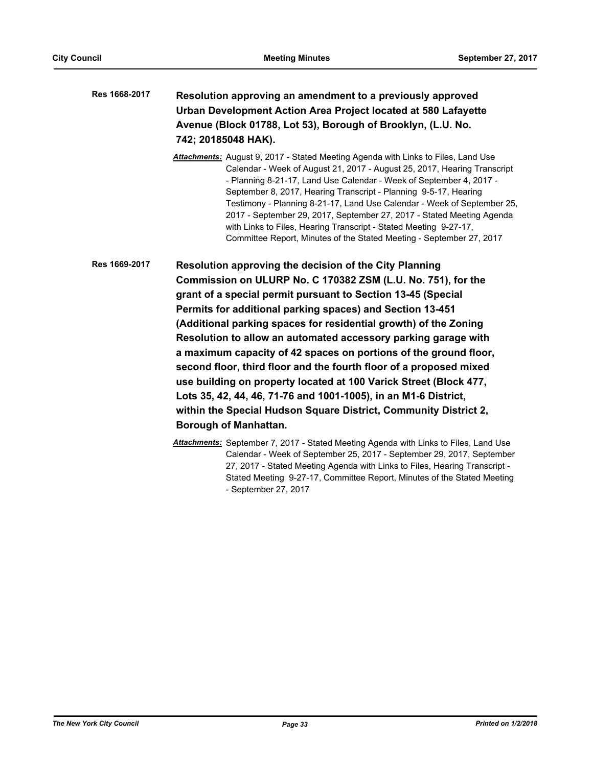# **Resolution approving an amendment to a previously approved Urban Development Action Area Project located at 580 Lafayette Avenue (Block 01788, Lot 53), Borough of Brooklyn, (L.U. No. 742; 20185048 HAK). Res 1668-2017**

*Attachments:* August 9, 2017 - Stated Meeting Agenda with Links to Files, Land Use Calendar - Week of August 21, 2017 - August 25, 2017, Hearing Transcript - Planning 8-21-17, Land Use Calendar - Week of September 4, 2017 - September 8, 2017, Hearing Transcript - Planning 9-5-17, Hearing Testimony - Planning 8-21-17, Land Use Calendar - Week of September 25, 2017 - September 29, 2017, September 27, 2017 - Stated Meeting Agenda with Links to Files, Hearing Transcript - Stated Meeting 9-27-17, Committee Report, Minutes of the Stated Meeting - September 27, 2017

**Resolution approving the decision of the City Planning Commission on ULURP No. C 170382 ZSM (L.U. No. 751), for the grant of a special permit pursuant to Section 13-45 (Special Permits for additional parking spaces) and Section 13-451 (Additional parking spaces for residential growth) of the Zoning Resolution to allow an automated accessory parking garage with a maximum capacity of 42 spaces on portions of the ground floor, second floor, third floor and the fourth floor of a proposed mixed use building on property located at 100 Varick Street (Block 477, Lots 35, 42, 44, 46, 71-76 and 1001-1005), in an M1-6 District, within the Special Hudson Square District, Community District 2, Borough of Manhattan. Res 1669-2017**

> *Attachments:* September 7, 2017 - Stated Meeting Agenda with Links to Files, Land Use Calendar - Week of September 25, 2017 - September 29, 2017, September 27, 2017 - Stated Meeting Agenda with Links to Files, Hearing Transcript - Stated Meeting 9-27-17, Committee Report, Minutes of the Stated Meeting - September 27, 2017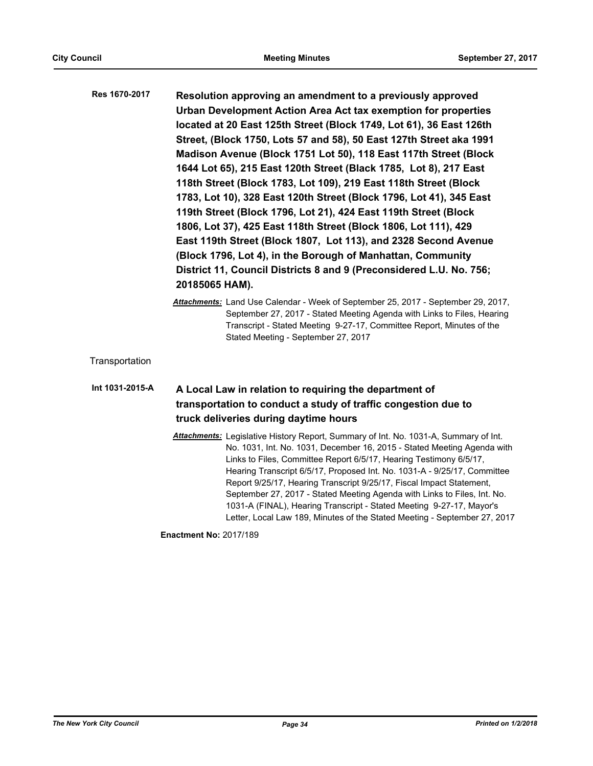| Res 1670-2017 | Resolution approving an amendment to a previously approved          |
|---------------|---------------------------------------------------------------------|
|               | Urban Development Action Area Act tax exemption for properties      |
|               | located at 20 East 125th Street (Block 1749, Lot 61), 36 East 126th |
|               | Street, (Block 1750, Lots 57 and 58), 50 East 127th Street aka 1991 |
|               | Madison Avenue (Block 1751 Lot 50), 118 East 117th Street (Block    |
|               | 1644 Lot 65), 215 East 120th Street (Black 1785, Lot 8), 217 East   |
|               | 118th Street (Block 1783, Lot 109), 219 East 118th Street (Block    |
|               | 1783, Lot 10), 328 East 120th Street (Block 1796, Lot 41), 345 East |
|               | 119th Street (Block 1796, Lot 21), 424 East 119th Street (Block     |
|               | 1806, Lot 37), 425 East 118th Street (Block 1806, Lot 111), 429     |
|               | East 119th Street (Block 1807, Lot 113), and 2328 Second Avenue     |
|               | (Block 1796, Lot 4), in the Borough of Manhattan, Community         |
|               | District 11, Council Districts 8 and 9 (Preconsidered L.U. No. 756; |
|               | 20185065 HAM).                                                      |

*Attachments:* Land Use Calendar - Week of September 25, 2017 - September 29, 2017, September 27, 2017 - Stated Meeting Agenda with Links to Files, Hearing Transcript - Stated Meeting 9-27-17, Committee Report, Minutes of the Stated Meeting - September 27, 2017

**Transportation** 

# **A Local Law in relation to requiring the department of transportation to conduct a study of traffic congestion due to truck deliveries during daytime hours Int 1031-2015-A**

*Attachments:* Legislative History Report, Summary of Int. No. 1031-A, Summary of Int. No. 1031, Int. No. 1031, December 16, 2015 - Stated Meeting Agenda with Links to Files, Committee Report 6/5/17, Hearing Testimony 6/5/17, Hearing Transcript 6/5/17, Proposed Int. No. 1031-A - 9/25/17, Committee Report 9/25/17, Hearing Transcript 9/25/17, Fiscal Impact Statement, September 27, 2017 - Stated Meeting Agenda with Links to Files, Int. No. 1031-A (FINAL), Hearing Transcript - Stated Meeting 9-27-17, Mayor's Letter, Local Law 189, Minutes of the Stated Meeting - September 27, 2017

**Enactment No:** 2017/189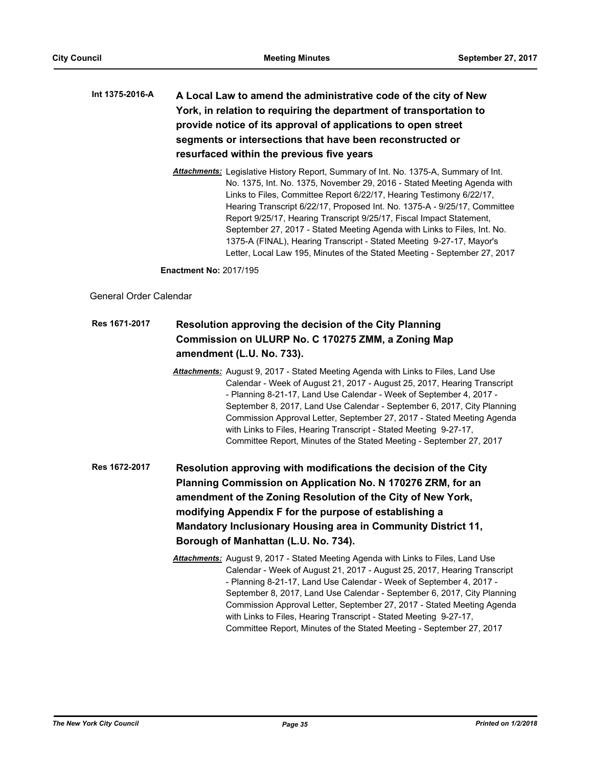# **A Local Law to amend the administrative code of the city of New York, in relation to requiring the department of transportation to provide notice of its approval of applications to open street segments or intersections that have been reconstructed or resurfaced within the previous five years Int 1375-2016-A**

*Attachments:* Legislative History Report, Summary of Int. No. 1375-A, Summary of Int. No. 1375, Int. No. 1375, November 29, 2016 - Stated Meeting Agenda with Links to Files, Committee Report 6/22/17, Hearing Testimony 6/22/17, Hearing Transcript 6/22/17, Proposed Int. No. 1375-A - 9/25/17, Committee Report 9/25/17, Hearing Transcript 9/25/17, Fiscal Impact Statement, September 27, 2017 - Stated Meeting Agenda with Links to Files, Int. No. 1375-A (FINAL), Hearing Transcript - Stated Meeting 9-27-17, Mayor's Letter, Local Law 195, Minutes of the Stated Meeting - September 27, 2017

**Enactment No:** 2017/195

# General Order Calendar

## **Resolution approving the decision of the City Planning Commission on ULURP No. C 170275 ZMM, a Zoning Map amendment (L.U. No. 733). Res 1671-2017**

*Attachments:* August 9, 2017 - Stated Meeting Agenda with Links to Files, Land Use Calendar - Week of August 21, 2017 - August 25, 2017, Hearing Transcript - Planning 8-21-17, Land Use Calendar - Week of September 4, 2017 - September 8, 2017, Land Use Calendar - September 6, 2017, City Planning Commission Approval Letter, September 27, 2017 - Stated Meeting Agenda with Links to Files, Hearing Transcript - Stated Meeting 9-27-17, Committee Report, Minutes of the Stated Meeting - September 27, 2017

**Resolution approving with modifications the decision of the City Planning Commission on Application No. N 170276 ZRM, for an amendment of the Zoning Resolution of the City of New York, modifying Appendix F for the purpose of establishing a Mandatory Inclusionary Housing area in Community District 11, Borough of Manhattan (L.U. No. 734). Res 1672-2017**

> *Attachments:* August 9, 2017 - Stated Meeting Agenda with Links to Files, Land Use Calendar - Week of August 21, 2017 - August 25, 2017, Hearing Transcript - Planning 8-21-17, Land Use Calendar - Week of September 4, 2017 - September 8, 2017, Land Use Calendar - September 6, 2017, City Planning Commission Approval Letter, September 27, 2017 - Stated Meeting Agenda with Links to Files, Hearing Transcript - Stated Meeting 9-27-17, Committee Report, Minutes of the Stated Meeting - September 27, 2017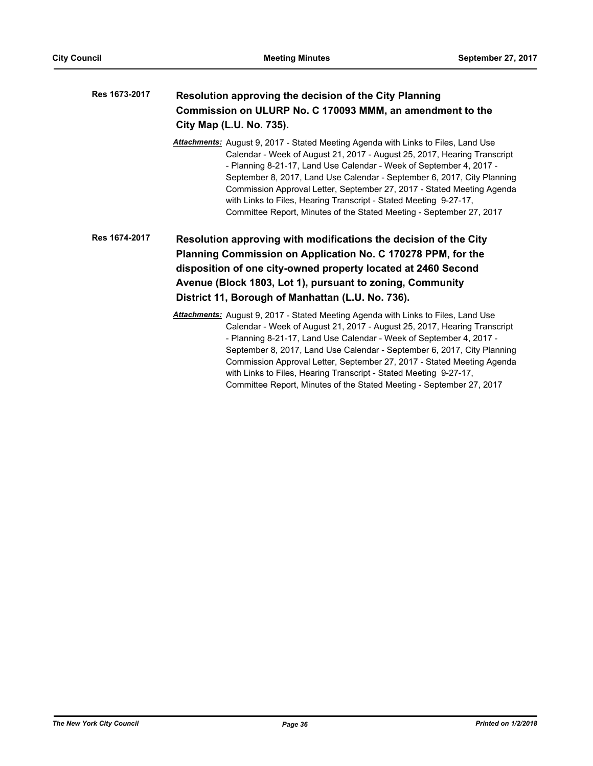| Res 1673-2017 | Resolution approving the decision of the City Planning<br>Commission on ULURP No. C 170093 MMM, an amendment to the<br>City Map (L.U. No. 735). |  |
|---------------|-------------------------------------------------------------------------------------------------------------------------------------------------|--|
|               | <b>Attachments:</b> August 9, 2017 - Stated Meeting Agenda with Links to Files, Land Use                                                        |  |
|               | Calendar - Week of August 21, 2017 - August 25, 2017, Hearing Transcript                                                                        |  |
|               | Dlanning 0.04.47 Land Llee Colondor, Maak of Contember 4, 2047                                                                                  |  |

- Planning 8-21-17, Land Use Calendar - Week of September 4, 2017 - September 8, 2017, Land Use Calendar - September 6, 2017, City Planning Commission Approval Letter, September 27, 2017 - Stated Meeting Agenda with Links to Files, Hearing Transcript - Stated Meeting 9-27-17, Committee Report, Minutes of the Stated Meeting - September 27, 2017

**Resolution approving with modifications the decision of the City Planning Commission on Application No. C 170278 PPM, for the disposition of one city-owned property located at 2460 Second Avenue (Block 1803, Lot 1), pursuant to zoning, Community District 11, Borough of Manhattan (L.U. No. 736). Res 1674-2017**

> *Attachments:* August 9, 2017 - Stated Meeting Agenda with Links to Files, Land Use Calendar - Week of August 21, 2017 - August 25, 2017, Hearing Transcript - Planning 8-21-17, Land Use Calendar - Week of September 4, 2017 - September 8, 2017, Land Use Calendar - September 6, 2017, City Planning Commission Approval Letter, September 27, 2017 - Stated Meeting Agenda with Links to Files, Hearing Transcript - Stated Meeting 9-27-17, Committee Report, Minutes of the Stated Meeting - September 27, 2017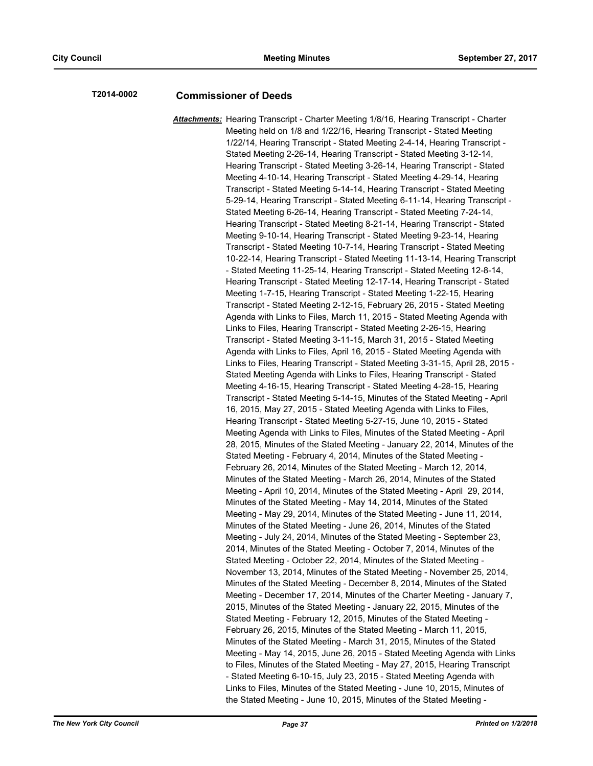# **T2014-0002 Commissioner of Deeds**

*Attachments:* Hearing Transcript - Charter Meeting 1/8/16, Hearing Transcript - Charter Meeting held on 1/8 and 1/22/16, Hearing Transcript - Stated Meeting 1/22/14, Hearing Transcript - Stated Meeting 2-4-14, Hearing Transcript - Stated Meeting 2-26-14, Hearing Transcript - Stated Meeting 3-12-14, Hearing Transcript - Stated Meeting 3-26-14, Hearing Transcript - Stated Meeting 4-10-14, Hearing Transcript - Stated Meeting 4-29-14, Hearing Transcript - Stated Meeting 5-14-14, Hearing Transcript - Stated Meeting 5-29-14, Hearing Transcript - Stated Meeting 6-11-14, Hearing Transcript - Stated Meeting 6-26-14, Hearing Transcript - Stated Meeting 7-24-14, Hearing Transcript - Stated Meeting 8-21-14, Hearing Transcript - Stated Meeting 9-10-14, Hearing Transcript - Stated Meeting 9-23-14, Hearing Transcript - Stated Meeting 10-7-14, Hearing Transcript - Stated Meeting 10-22-14, Hearing Transcript - Stated Meeting 11-13-14, Hearing Transcript - Stated Meeting 11-25-14, Hearing Transcript - Stated Meeting 12-8-14, Hearing Transcript - Stated Meeting 12-17-14, Hearing Transcript - Stated Meeting 1-7-15, Hearing Transcript - Stated Meeting 1-22-15, Hearing Transcript - Stated Meeting 2-12-15, February 26, 2015 - Stated Meeting Agenda with Links to Files, March 11, 2015 - Stated Meeting Agenda with Links to Files, Hearing Transcript - Stated Meeting 2-26-15, Hearing Transcript - Stated Meeting 3-11-15, March 31, 2015 - Stated Meeting Agenda with Links to Files, April 16, 2015 - Stated Meeting Agenda with Links to Files, Hearing Transcript - Stated Meeting 3-31-15, April 28, 2015 - Stated Meeting Agenda with Links to Files, Hearing Transcript - Stated Meeting 4-16-15, Hearing Transcript - Stated Meeting 4-28-15, Hearing Transcript - Stated Meeting 5-14-15, Minutes of the Stated Meeting - April 16, 2015, May 27, 2015 - Stated Meeting Agenda with Links to Files, Hearing Transcript - Stated Meeting 5-27-15, June 10, 2015 - Stated Meeting Agenda with Links to Files, Minutes of the Stated Meeting - April 28, 2015, Minutes of the Stated Meeting - January 22, 2014, Minutes of the Stated Meeting - February 4, 2014, Minutes of the Stated Meeting - February 26, 2014, Minutes of the Stated Meeting - March 12, 2014, Minutes of the Stated Meeting - March 26, 2014, Minutes of the Stated Meeting - April 10, 2014, Minutes of the Stated Meeting - April 29, 2014, Minutes of the Stated Meeting - May 14, 2014, Minutes of the Stated Meeting - May 29, 2014, Minutes of the Stated Meeting - June 11, 2014, Minutes of the Stated Meeting - June 26, 2014, Minutes of the Stated Meeting - July 24, 2014, Minutes of the Stated Meeting - September 23, 2014, Minutes of the Stated Meeting - October 7, 2014, Minutes of the Stated Meeting - October 22, 2014, Minutes of the Stated Meeting - November 13, 2014, Minutes of the Stated Meeting - November 25, 2014, Minutes of the Stated Meeting - December 8, 2014, Minutes of the Stated Meeting - December 17, 2014, Minutes of the Charter Meeting - January 7, 2015, Minutes of the Stated Meeting - January 22, 2015, Minutes of the Stated Meeting - February 12, 2015, Minutes of the Stated Meeting - February 26, 2015, Minutes of the Stated Meeting - March 11, 2015, Minutes of the Stated Meeting - March 31, 2015, Minutes of the Stated Meeting - May 14, 2015, June 26, 2015 - Stated Meeting Agenda with Links to Files, Minutes of the Stated Meeting - May 27, 2015, Hearing Transcript - Stated Meeting 6-10-15, July 23, 2015 - Stated Meeting Agenda with Links to Files, Minutes of the Stated Meeting - June 10, 2015, Minutes of the Stated Meeting - June 10, 2015, Minutes of the Stated Meeting -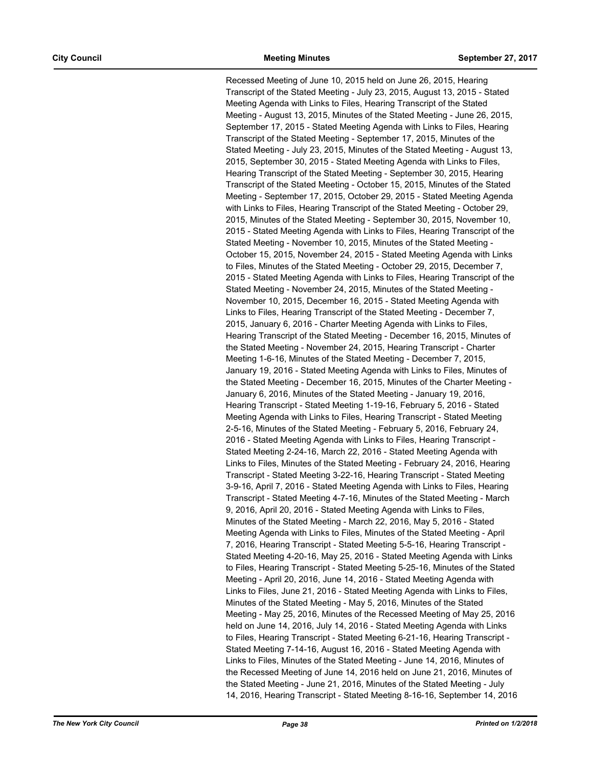Recessed Meeting of June 10, 2015 held on June 26, 2015, Hearing Transcript of the Stated Meeting - July 23, 2015, August 13, 2015 - Stated Meeting Agenda with Links to Files, Hearing Transcript of the Stated Meeting - August 13, 2015, Minutes of the Stated Meeting - June 26, 2015, September 17, 2015 - Stated Meeting Agenda with Links to Files, Hearing Transcript of the Stated Meeting - September 17, 2015, Minutes of the Stated Meeting - July 23, 2015, Minutes of the Stated Meeting - August 13, 2015, September 30, 2015 - Stated Meeting Agenda with Links to Files, Hearing Transcript of the Stated Meeting - September 30, 2015, Hearing Transcript of the Stated Meeting - October 15, 2015, Minutes of the Stated Meeting - September 17, 2015, October 29, 2015 - Stated Meeting Agenda with Links to Files, Hearing Transcript of the Stated Meeting - October 29, 2015, Minutes of the Stated Meeting - September 30, 2015, November 10, 2015 - Stated Meeting Agenda with Links to Files, Hearing Transcript of the Stated Meeting - November 10, 2015, Minutes of the Stated Meeting - October 15, 2015, November 24, 2015 - Stated Meeting Agenda with Links to Files, Minutes of the Stated Meeting - October 29, 2015, December 7, 2015 - Stated Meeting Agenda with Links to Files, Hearing Transcript of the Stated Meeting - November 24, 2015, Minutes of the Stated Meeting - November 10, 2015, December 16, 2015 - Stated Meeting Agenda with Links to Files, Hearing Transcript of the Stated Meeting - December 7, 2015, January 6, 2016 - Charter Meeting Agenda with Links to Files, Hearing Transcript of the Stated Meeting - December 16, 2015, Minutes of the Stated Meeting - November 24, 2015, Hearing Transcript - Charter Meeting 1-6-16, Minutes of the Stated Meeting - December 7, 2015, January 19, 2016 - Stated Meeting Agenda with Links to Files, Minutes of the Stated Meeting - December 16, 2015, Minutes of the Charter Meeting - January 6, 2016, Minutes of the Stated Meeting - January 19, 2016, Hearing Transcript - Stated Meeting 1-19-16, February 5, 2016 - Stated Meeting Agenda with Links to Files, Hearing Transcript - Stated Meeting 2-5-16, Minutes of the Stated Meeting - February 5, 2016, February 24, 2016 - Stated Meeting Agenda with Links to Files, Hearing Transcript - Stated Meeting 2-24-16, March 22, 2016 - Stated Meeting Agenda with Links to Files, Minutes of the Stated Meeting - February 24, 2016, Hearing Transcript - Stated Meeting 3-22-16, Hearing Transcript - Stated Meeting 3-9-16, April 7, 2016 - Stated Meeting Agenda with Links to Files, Hearing Transcript - Stated Meeting 4-7-16, Minutes of the Stated Meeting - March 9, 2016, April 20, 2016 - Stated Meeting Agenda with Links to Files, Minutes of the Stated Meeting - March 22, 2016, May 5, 2016 - Stated Meeting Agenda with Links to Files, Minutes of the Stated Meeting - April 7, 2016, Hearing Transcript - Stated Meeting 5-5-16, Hearing Transcript - Stated Meeting 4-20-16, May 25, 2016 - Stated Meeting Agenda with Links to Files, Hearing Transcript - Stated Meeting 5-25-16, Minutes of the Stated Meeting - April 20, 2016, June 14, 2016 - Stated Meeting Agenda with Links to Files, June 21, 2016 - Stated Meeting Agenda with Links to Files, Minutes of the Stated Meeting - May 5, 2016, Minutes of the Stated Meeting - May 25, 2016, Minutes of the Recessed Meeting of May 25, 2016 held on June 14, 2016, July 14, 2016 - Stated Meeting Agenda with Links to Files, Hearing Transcript - Stated Meeting 6-21-16, Hearing Transcript - Stated Meeting 7-14-16, August 16, 2016 - Stated Meeting Agenda with Links to Files, Minutes of the Stated Meeting - June 14, 2016, Minutes of the Recessed Meeting of June 14, 2016 held on June 21, 2016, Minutes of the Stated Meeting - June 21, 2016, Minutes of the Stated Meeting - July 14, 2016, Hearing Transcript - Stated Meeting 8-16-16, September 14, 2016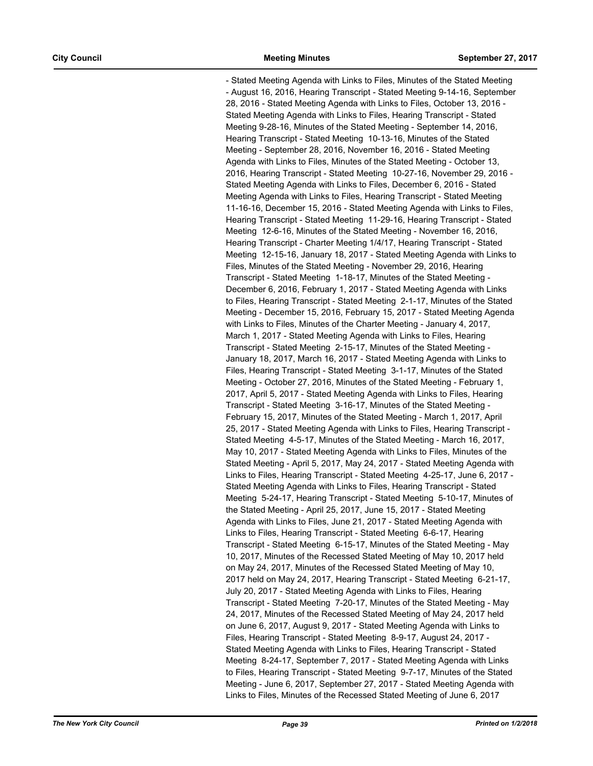- Stated Meeting Agenda with Links to Files, Minutes of the Stated Meeting - August 16, 2016, Hearing Transcript - Stated Meeting 9-14-16, September 28, 2016 - Stated Meeting Agenda with Links to Files, October 13, 2016 - Stated Meeting Agenda with Links to Files, Hearing Transcript - Stated Meeting 9-28-16, Minutes of the Stated Meeting - September 14, 2016, Hearing Transcript - Stated Meeting 10-13-16, Minutes of the Stated Meeting - September 28, 2016, November 16, 2016 - Stated Meeting Agenda with Links to Files, Minutes of the Stated Meeting - October 13, 2016, Hearing Transcript - Stated Meeting 10-27-16, November 29, 2016 - Stated Meeting Agenda with Links to Files, December 6, 2016 - Stated Meeting Agenda with Links to Files, Hearing Transcript - Stated Meeting 11-16-16, December 15, 2016 - Stated Meeting Agenda with Links to Files, Hearing Transcript - Stated Meeting 11-29-16, Hearing Transcript - Stated Meeting 12-6-16, Minutes of the Stated Meeting - November 16, 2016, Hearing Transcript - Charter Meeting 1/4/17, Hearing Transcript - Stated Meeting 12-15-16, January 18, 2017 - Stated Meeting Agenda with Links to Files, Minutes of the Stated Meeting - November 29, 2016, Hearing Transcript - Stated Meeting 1-18-17, Minutes of the Stated Meeting - December 6, 2016, February 1, 2017 - Stated Meeting Agenda with Links to Files, Hearing Transcript - Stated Meeting 2-1-17, Minutes of the Stated Meeting - December 15, 2016, February 15, 2017 - Stated Meeting Agenda with Links to Files, Minutes of the Charter Meeting - January 4, 2017, March 1, 2017 - Stated Meeting Agenda with Links to Files, Hearing Transcript - Stated Meeting 2-15-17, Minutes of the Stated Meeting - January 18, 2017, March 16, 2017 - Stated Meeting Agenda with Links to Files, Hearing Transcript - Stated Meeting 3-1-17, Minutes of the Stated Meeting - October 27, 2016, Minutes of the Stated Meeting - February 1, 2017, April 5, 2017 - Stated Meeting Agenda with Links to Files, Hearing Transcript - Stated Meeting 3-16-17, Minutes of the Stated Meeting - February 15, 2017, Minutes of the Stated Meeting - March 1, 2017, April 25, 2017 - Stated Meeting Agenda with Links to Files, Hearing Transcript - Stated Meeting 4-5-17, Minutes of the Stated Meeting - March 16, 2017, May 10, 2017 - Stated Meeting Agenda with Links to Files, Minutes of the Stated Meeting - April 5, 2017, May 24, 2017 - Stated Meeting Agenda with Links to Files, Hearing Transcript - Stated Meeting 4-25-17, June 6, 2017 - Stated Meeting Agenda with Links to Files, Hearing Transcript - Stated Meeting 5-24-17, Hearing Transcript - Stated Meeting 5-10-17, Minutes of the Stated Meeting - April 25, 2017, June 15, 2017 - Stated Meeting Agenda with Links to Files, June 21, 2017 - Stated Meeting Agenda with Links to Files, Hearing Transcript - Stated Meeting 6-6-17, Hearing Transcript - Stated Meeting 6-15-17, Minutes of the Stated Meeting - May 10, 2017, Minutes of the Recessed Stated Meeting of May 10, 2017 held on May 24, 2017, Minutes of the Recessed Stated Meeting of May 10, 2017 held on May 24, 2017, Hearing Transcript - Stated Meeting 6-21-17, July 20, 2017 - Stated Meeting Agenda with Links to Files, Hearing Transcript - Stated Meeting 7-20-17, Minutes of the Stated Meeting - May 24, 2017, Minutes of the Recessed Stated Meeting of May 24, 2017 held on June 6, 2017, August 9, 2017 - Stated Meeting Agenda with Links to Files, Hearing Transcript - Stated Meeting 8-9-17, August 24, 2017 - Stated Meeting Agenda with Links to Files, Hearing Transcript - Stated Meeting 8-24-17, September 7, 2017 - Stated Meeting Agenda with Links to Files, Hearing Transcript - Stated Meeting 9-7-17, Minutes of the Stated Meeting - June 6, 2017, September 27, 2017 - Stated Meeting Agenda with Links to Files, Minutes of the Recessed Stated Meeting of June 6, 2017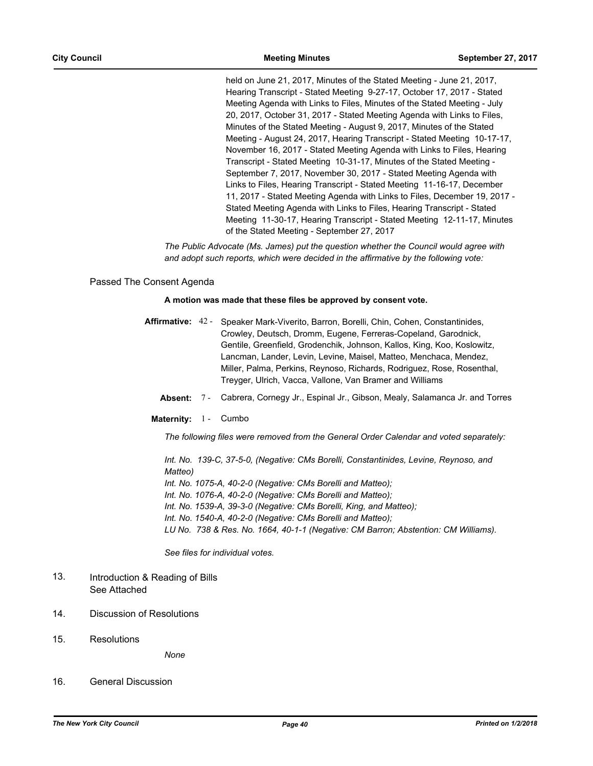held on June 21, 2017, Minutes of the Stated Meeting - June 21, 2017, Hearing Transcript - Stated Meeting 9-27-17, October 17, 2017 - Stated Meeting Agenda with Links to Files, Minutes of the Stated Meeting - July 20, 2017, October 31, 2017 - Stated Meeting Agenda with Links to Files, Minutes of the Stated Meeting - August 9, 2017, Minutes of the Stated Meeting - August 24, 2017, Hearing Transcript - Stated Meeting 10-17-17, November 16, 2017 - Stated Meeting Agenda with Links to Files, Hearing Transcript - Stated Meeting 10-31-17, Minutes of the Stated Meeting - September 7, 2017, November 30, 2017 - Stated Meeting Agenda with Links to Files, Hearing Transcript - Stated Meeting 11-16-17, December 11, 2017 - Stated Meeting Agenda with Links to Files, December 19, 2017 - Stated Meeting Agenda with Links to Files, Hearing Transcript - Stated Meeting 11-30-17, Hearing Transcript - Stated Meeting 12-11-17, Minutes of the Stated Meeting - September 27, 2017

*The Public Advocate (Ms. James) put the question whether the Council would agree with and adopt such reports, which were decided in the affirmative by the following vote:*

# Passed The Consent Agenda

## **A motion was made that these files be approved by consent vote.**

- Affirmative: 42 Speaker Mark-Viverito, Barron, Borelli, Chin, Cohen, Constantinides, Crowley, Deutsch, Dromm, Eugene, Ferreras-Copeland, Garodnick, Gentile, Greenfield, Grodenchik, Johnson, Kallos, King, Koo, Koslowitz, Lancman, Lander, Levin, Levine, Maisel, Matteo, Menchaca, Mendez, Miller, Palma, Perkins, Reynoso, Richards, Rodriguez, Rose, Rosenthal, Treyger, Ulrich, Vacca, Vallone, Van Bramer and Williams
	- **Absent:** 7 Cabrera, Cornegy Jr., Espinal Jr., Gibson, Mealy, Salamanca Jr. and Torres
	- Maternity: 1 Cumbo

*The following files were removed from the General Order Calendar and voted separately:*

*Int. No. 139-C, 37-5-0, (Negative: CMs Borelli, Constantinides, Levine, Reynoso, and Matteo) Int. No. 1075-A, 40-2-0 (Negative: CMs Borelli and Matteo); Int. No. 1076-A, 40-2-0 (Negative: CMs Borelli and Matteo); Int. No. 1539-A, 39-3-0 (Negative: CMs Borelli, King, and Matteo); Int. No. 1540-A, 40-2-0 (Negative: CMs Borelli and Matteo); LU No. 738 & Res. No. 1664, 40-1-1 (Negative: CM Barron; Abstention: CM Williams).*

*See files for individual votes.*

- Introduction & Reading of Bills See Attached 13.
- 14. Discussion of Resolutions
- 15. Resolutions

*None*

16. General Discussion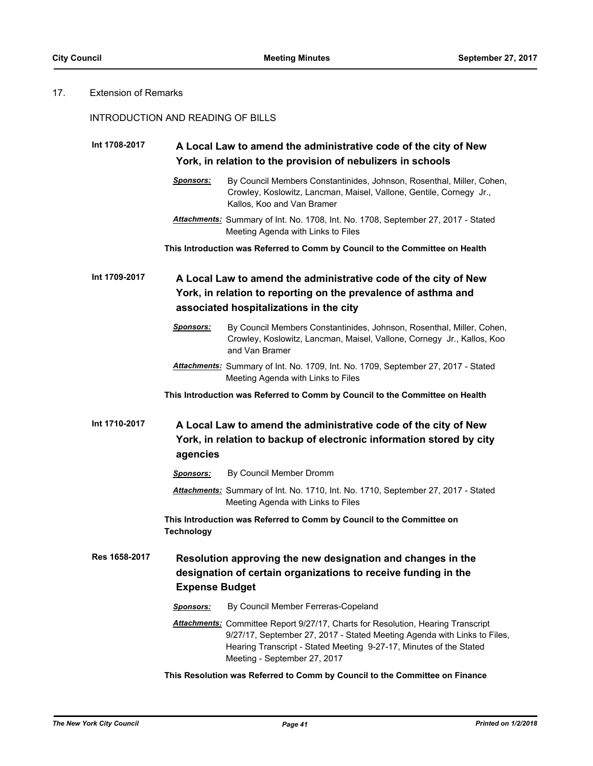# 17. Extension of Remarks

# INTRODUCTION AND READING OF BILLS

| Int 1708-2017 |                       | A Local Law to amend the administrative code of the city of New<br>York, in relation to the provision of nebulizers in schools                                                                                                                                            |
|---------------|-----------------------|---------------------------------------------------------------------------------------------------------------------------------------------------------------------------------------------------------------------------------------------------------------------------|
|               | <b>Sponsors:</b>      | By Council Members Constantinides, Johnson, Rosenthal, Miller, Cohen,<br>Crowley, Koslowitz, Lancman, Maisel, Vallone, Gentile, Cornegy Jr.,<br>Kallos, Koo and Van Bramer                                                                                                |
|               |                       | Attachments: Summary of Int. No. 1708, Int. No. 1708, September 27, 2017 - Stated<br>Meeting Agenda with Links to Files                                                                                                                                                   |
|               |                       | This Introduction was Referred to Comm by Council to the Committee on Health                                                                                                                                                                                              |
| Int 1709-2017 |                       | A Local Law to amend the administrative code of the city of New<br>York, in relation to reporting on the prevalence of asthma and<br>associated hospitalizations in the city                                                                                              |
|               | Sponsors:             | By Council Members Constantinides, Johnson, Rosenthal, Miller, Cohen,<br>Crowley, Koslowitz, Lancman, Maisel, Vallone, Cornegy Jr., Kallos, Koo<br>and Van Bramer                                                                                                         |
|               |                       | Attachments: Summary of Int. No. 1709, Int. No. 1709, September 27, 2017 - Stated<br>Meeting Agenda with Links to Files                                                                                                                                                   |
|               |                       | This Introduction was Referred to Comm by Council to the Committee on Health                                                                                                                                                                                              |
| Int 1710-2017 | agencies              | A Local Law to amend the administrative code of the city of New<br>York, in relation to backup of electronic information stored by city                                                                                                                                   |
|               | Sponsors:             | By Council Member Dromm                                                                                                                                                                                                                                                   |
|               |                       | Attachments: Summary of Int. No. 1710, Int. No. 1710, September 27, 2017 - Stated<br>Meeting Agenda with Links to Files                                                                                                                                                   |
|               | <b>Technology</b>     | This Introduction was Referred to Comm by Council to the Committee on                                                                                                                                                                                                     |
| Res 1658-2017 | <b>Expense Budget</b> | Resolution approving the new designation and changes in the<br>designation of certain organizations to receive funding in the                                                                                                                                             |
|               | <b>Sponsors:</b>      | By Council Member Ferreras-Copeland                                                                                                                                                                                                                                       |
|               |                       | <b>Attachments:</b> Committee Report 9/27/17, Charts for Resolution, Hearing Transcript<br>9/27/17, September 27, 2017 - Stated Meeting Agenda with Links to Files,<br>Hearing Transcript - Stated Meeting 9-27-17, Minutes of the Stated<br>Meeting - September 27, 2017 |
|               |                       | This Resolution was Referred to Comm by Council to the Committee on Finance                                                                                                                                                                                               |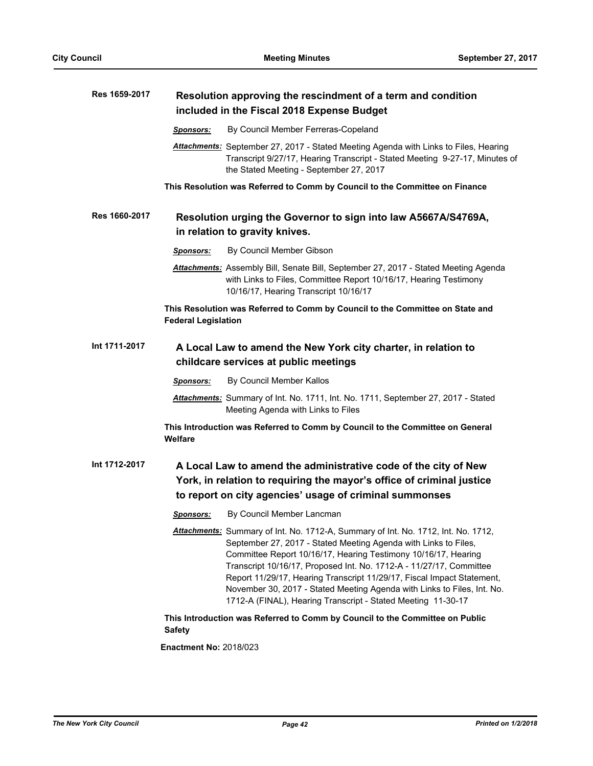| Res 1659-2017 | Resolution approving the rescindment of a term and condition<br>included in the Fiscal 2018 Expense Budget                                                                                                                                                                                                                                                                                                                                                                                                         |  |
|---------------|--------------------------------------------------------------------------------------------------------------------------------------------------------------------------------------------------------------------------------------------------------------------------------------------------------------------------------------------------------------------------------------------------------------------------------------------------------------------------------------------------------------------|--|
|               | By Council Member Ferreras-Copeland<br><b>Sponsors:</b>                                                                                                                                                                                                                                                                                                                                                                                                                                                            |  |
|               | Attachments: September 27, 2017 - Stated Meeting Agenda with Links to Files, Hearing<br>Transcript 9/27/17, Hearing Transcript - Stated Meeting 9-27-17, Minutes of<br>the Stated Meeting - September 27, 2017                                                                                                                                                                                                                                                                                                     |  |
|               | This Resolution was Referred to Comm by Council to the Committee on Finance                                                                                                                                                                                                                                                                                                                                                                                                                                        |  |
| Res 1660-2017 | Resolution urging the Governor to sign into law A5667A/S4769A,<br>in relation to gravity knives.                                                                                                                                                                                                                                                                                                                                                                                                                   |  |
|               | By Council Member Gibson<br><b>Sponsors:</b>                                                                                                                                                                                                                                                                                                                                                                                                                                                                       |  |
|               | Attachments: Assembly Bill, Senate Bill, September 27, 2017 - Stated Meeting Agenda<br>with Links to Files, Committee Report 10/16/17, Hearing Testimony<br>10/16/17, Hearing Transcript 10/16/17                                                                                                                                                                                                                                                                                                                  |  |
|               | This Resolution was Referred to Comm by Council to the Committee on State and<br><b>Federal Legislation</b>                                                                                                                                                                                                                                                                                                                                                                                                        |  |
| Int 1711-2017 | A Local Law to amend the New York city charter, in relation to<br>childcare services at public meetings                                                                                                                                                                                                                                                                                                                                                                                                            |  |
|               | By Council Member Kallos<br><b>Sponsors:</b>                                                                                                                                                                                                                                                                                                                                                                                                                                                                       |  |
|               | Attachments: Summary of Int. No. 1711, Int. No. 1711, September 27, 2017 - Stated<br>Meeting Agenda with Links to Files                                                                                                                                                                                                                                                                                                                                                                                            |  |
|               | This Introduction was Referred to Comm by Council to the Committee on General<br>Welfare                                                                                                                                                                                                                                                                                                                                                                                                                           |  |
| Int 1712-2017 | A Local Law to amend the administrative code of the city of New<br>York, in relation to requiring the mayor's office of criminal justice<br>to report on city agencies' usage of criminal summonses                                                                                                                                                                                                                                                                                                                |  |
|               | By Council Member Lancman<br><u> Sponsors:</u>                                                                                                                                                                                                                                                                                                                                                                                                                                                                     |  |
|               | Attachments: Summary of Int. No. 1712-A, Summary of Int. No. 1712, Int. No. 1712,<br>September 27, 2017 - Stated Meeting Agenda with Links to Files,<br>Committee Report 10/16/17, Hearing Testimony 10/16/17, Hearing<br>Transcript 10/16/17, Proposed Int. No. 1712-A - 11/27/17, Committee<br>Report 11/29/17, Hearing Transcript 11/29/17, Fiscal Impact Statement,<br>November 30, 2017 - Stated Meeting Agenda with Links to Files, Int. No.<br>1712-A (FINAL), Hearing Transcript - Stated Meeting 11-30-17 |  |
|               | This Introduction was Referred to Comm by Council to the Committee on Public<br><b>Safety</b>                                                                                                                                                                                                                                                                                                                                                                                                                      |  |
|               | $E$ nootmant Nai $201002$                                                                                                                                                                                                                                                                                                                                                                                                                                                                                          |  |

**Enactment No:** 2018/023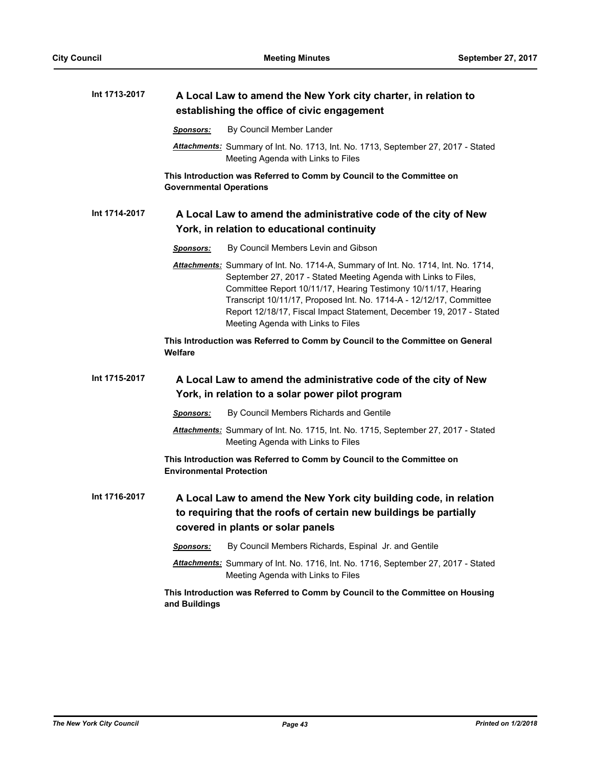| Int 1713-2017 | A Local Law to amend the New York city charter, in relation to<br>establishing the office of civic engagement                                                                                                                                                                                                                                                                                               |
|---------------|-------------------------------------------------------------------------------------------------------------------------------------------------------------------------------------------------------------------------------------------------------------------------------------------------------------------------------------------------------------------------------------------------------------|
|               | By Council Member Lander<br>Sponsors:                                                                                                                                                                                                                                                                                                                                                                       |
|               | Attachments: Summary of Int. No. 1713, Int. No. 1713, September 27, 2017 - Stated<br>Meeting Agenda with Links to Files                                                                                                                                                                                                                                                                                     |
|               | This Introduction was Referred to Comm by Council to the Committee on<br><b>Governmental Operations</b>                                                                                                                                                                                                                                                                                                     |
| Int 1714-2017 | A Local Law to amend the administrative code of the city of New<br>York, in relation to educational continuity                                                                                                                                                                                                                                                                                              |
|               | By Council Members Levin and Gibson<br><b>Sponsors:</b>                                                                                                                                                                                                                                                                                                                                                     |
|               | Attachments: Summary of Int. No. 1714-A, Summary of Int. No. 1714, Int. No. 1714,<br>September 27, 2017 - Stated Meeting Agenda with Links to Files,<br>Committee Report 10/11/17, Hearing Testimony 10/11/17, Hearing<br>Transcript 10/11/17, Proposed Int. No. 1714-A - 12/12/17, Committee<br>Report 12/18/17, Fiscal Impact Statement, December 19, 2017 - Stated<br>Meeting Agenda with Links to Files |
|               | This Introduction was Referred to Comm by Council to the Committee on General<br>Welfare                                                                                                                                                                                                                                                                                                                    |
| Int 1715-2017 | A Local Law to amend the administrative code of the city of New                                                                                                                                                                                                                                                                                                                                             |
|               | York, in relation to a solar power pilot program                                                                                                                                                                                                                                                                                                                                                            |
|               | By Council Members Richards and Gentile<br>Sponsors:                                                                                                                                                                                                                                                                                                                                                        |
|               | Attachments: Summary of Int. No. 1715, Int. No. 1715, September 27, 2017 - Stated<br>Meeting Agenda with Links to Files                                                                                                                                                                                                                                                                                     |
|               | This Introduction was Referred to Comm by Council to the Committee on<br><b>Environmental Protection</b>                                                                                                                                                                                                                                                                                                    |
| Int 1716-2017 | A Local Law to amend the New York city building code, in relation<br>to requiring that the roofs of certain new buildings be partially<br>covered in plants or solar panels                                                                                                                                                                                                                                 |
|               | By Council Members Richards, Espinal Jr. and Gentile<br><b>Sponsors:</b>                                                                                                                                                                                                                                                                                                                                    |
|               | Attachments: Summary of Int. No. 1716, Int. No. 1716, September 27, 2017 - Stated<br>Meeting Agenda with Links to Files                                                                                                                                                                                                                                                                                     |
|               | This Introduction was Referred to Comm by Council to the Committee on Housing<br>and Buildings                                                                                                                                                                                                                                                                                                              |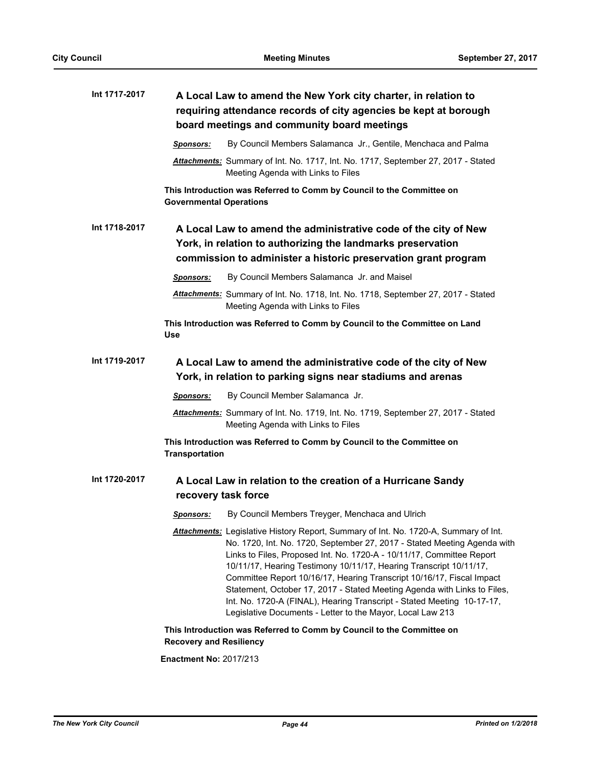| Int 1717-2017 | A Local Law to amend the New York city charter, in relation to<br>requiring attendance records of city agencies be kept at borough<br>board meetings and community board meetings                                                                                                                                                                                                                                                                                                                                                                                                                            |
|---------------|--------------------------------------------------------------------------------------------------------------------------------------------------------------------------------------------------------------------------------------------------------------------------------------------------------------------------------------------------------------------------------------------------------------------------------------------------------------------------------------------------------------------------------------------------------------------------------------------------------------|
|               | By Council Members Salamanca Jr., Gentile, Menchaca and Palma<br>Sponsors:                                                                                                                                                                                                                                                                                                                                                                                                                                                                                                                                   |
|               | Attachments: Summary of Int. No. 1717, Int. No. 1717, September 27, 2017 - Stated<br>Meeting Agenda with Links to Files                                                                                                                                                                                                                                                                                                                                                                                                                                                                                      |
|               | This Introduction was Referred to Comm by Council to the Committee on<br><b>Governmental Operations</b>                                                                                                                                                                                                                                                                                                                                                                                                                                                                                                      |
| Int 1718-2017 | A Local Law to amend the administrative code of the city of New<br>York, in relation to authorizing the landmarks preservation<br>commission to administer a historic preservation grant program                                                                                                                                                                                                                                                                                                                                                                                                             |
|               | By Council Members Salamanca Jr. and Maisel<br><b>Sponsors:</b>                                                                                                                                                                                                                                                                                                                                                                                                                                                                                                                                              |
|               | Attachments: Summary of Int. No. 1718, Int. No. 1718, September 27, 2017 - Stated<br>Meeting Agenda with Links to Files                                                                                                                                                                                                                                                                                                                                                                                                                                                                                      |
|               | This Introduction was Referred to Comm by Council to the Committee on Land<br>Use                                                                                                                                                                                                                                                                                                                                                                                                                                                                                                                            |
| Int 1719-2017 | A Local Law to amend the administrative code of the city of New<br>York, in relation to parking signs near stadiums and arenas                                                                                                                                                                                                                                                                                                                                                                                                                                                                               |
|               | By Council Member Salamanca Jr.<br><b>Sponsors:</b>                                                                                                                                                                                                                                                                                                                                                                                                                                                                                                                                                          |
|               | Attachments: Summary of Int. No. 1719, Int. No. 1719, September 27, 2017 - Stated<br>Meeting Agenda with Links to Files                                                                                                                                                                                                                                                                                                                                                                                                                                                                                      |
|               | This Introduction was Referred to Comm by Council to the Committee on<br><b>Transportation</b>                                                                                                                                                                                                                                                                                                                                                                                                                                                                                                               |
| Int 1720-2017 | A Local Law in relation to the creation of a Hurricane Sandy<br>recovery task force                                                                                                                                                                                                                                                                                                                                                                                                                                                                                                                          |
|               | By Council Members Treyger, Menchaca and Ulrich<br><u>Sponsors:</u>                                                                                                                                                                                                                                                                                                                                                                                                                                                                                                                                          |
|               | Attachments: Legislative History Report, Summary of Int. No. 1720-A, Summary of Int.<br>No. 1720, Int. No. 1720, September 27, 2017 - Stated Meeting Agenda with<br>Links to Files, Proposed Int. No. 1720-A - 10/11/17, Committee Report<br>10/11/17, Hearing Testimony 10/11/17, Hearing Transcript 10/11/17,<br>Committee Report 10/16/17, Hearing Transcript 10/16/17, Fiscal Impact<br>Statement, October 17, 2017 - Stated Meeting Agenda with Links to Files,<br>Int. No. 1720-A (FINAL), Hearing Transcript - Stated Meeting 10-17-17,<br>Legislative Documents - Letter to the Mayor, Local Law 213 |
|               | This Introduction was Referred to Comm by Council to the Committee on<br><b>Recovery and Resiliency</b>                                                                                                                                                                                                                                                                                                                                                                                                                                                                                                      |
|               | <b>Enactment No: 2017/213</b>                                                                                                                                                                                                                                                                                                                                                                                                                                                                                                                                                                                |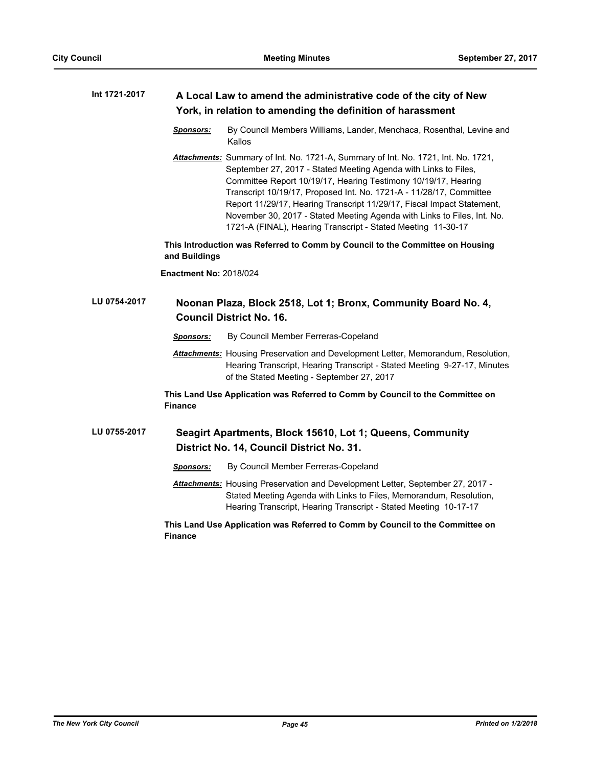| Int 1721-2017 | A Local Law to amend the administrative code of the city of New |
|---------------|-----------------------------------------------------------------|
|               | York, in relation to amending the definition of harassment      |

- *Sponsors:* By Council Members Williams, Lander, Menchaca, Rosenthal, Levine and Kallos
- *Attachments:* Summary of Int. No. 1721-A, Summary of Int. No. 1721, Int. No. 1721, September 27, 2017 - Stated Meeting Agenda with Links to Files, Committee Report 10/19/17, Hearing Testimony 10/19/17, Hearing Transcript 10/19/17, Proposed Int. No. 1721-A - 11/28/17, Committee Report 11/29/17, Hearing Transcript 11/29/17, Fiscal Impact Statement, November 30, 2017 - Stated Meeting Agenda with Links to Files, Int. No. 1721-A (FINAL), Hearing Transcript - Stated Meeting 11-30-17

**This Introduction was Referred to Comm by Council to the Committee on Housing and Buildings**

**Enactment No:** 2018/024

#### **Noonan Plaza, Block 2518, Lot 1; Bronx, Community Board No. 4, Council District No. 16. LU 0754-2017**

*Sponsors:* By Council Member Ferreras-Copeland

*Attachments:* Housing Preservation and Development Letter, Memorandum, Resolution, Hearing Transcript, Hearing Transcript - Stated Meeting 9-27-17, Minutes of the Stated Meeting - September 27, 2017

**This Land Use Application was Referred to Comm by Council to the Committee on Finance**

#### **Seagirt Apartments, Block 15610, Lot 1; Queens, Community District No. 14, Council District No. 31. LU 0755-2017**

*Sponsors:* By Council Member Ferreras-Copeland

*Attachments:* Housing Preservation and Development Letter, September 27, 2017 - Stated Meeting Agenda with Links to Files, Memorandum, Resolution, Hearing Transcript, Hearing Transcript - Stated Meeting 10-17-17

**This Land Use Application was Referred to Comm by Council to the Committee on Finance**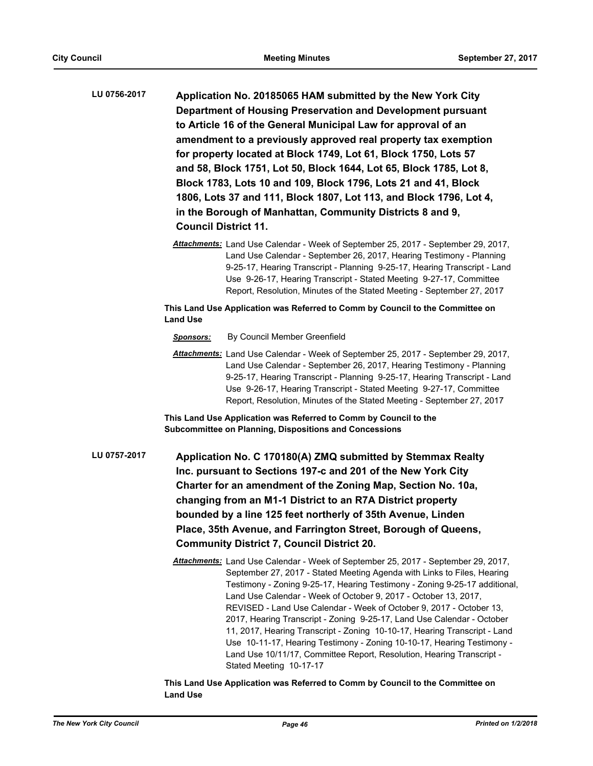- **Application No. 20185065 HAM submitted by the New York City Department of Housing Preservation and Development pursuant to Article 16 of the General Municipal Law for approval of an amendment to a previously approved real property tax exemption for property located at Block 1749, Lot 61, Block 1750, Lots 57 and 58, Block 1751, Lot 50, Block 1644, Lot 65, Block 1785, Lot 8, Block 1783, Lots 10 and 109, Block 1796, Lots 21 and 41, Block 1806, Lots 37 and 111, Block 1807, Lot 113, and Block 1796, Lot 4, in the Borough of Manhattan, Community Districts 8 and 9, Council District 11. LU 0756-2017**
	- *Attachments:* Land Use Calendar Week of September 25, 2017 September 29, 2017, Land Use Calendar - September 26, 2017, Hearing Testimony - Planning 9-25-17, Hearing Transcript - Planning 9-25-17, Hearing Transcript - Land Use 9-26-17, Hearing Transcript - Stated Meeting 9-27-17, Committee Report, Resolution, Minutes of the Stated Meeting - September 27, 2017

- *Sponsors:* By Council Member Greenfield
- *Attachments:* Land Use Calendar Week of September 25, 2017 September 29, 2017, Land Use Calendar - September 26, 2017, Hearing Testimony - Planning 9-25-17, Hearing Transcript - Planning 9-25-17, Hearing Transcript - Land Use 9-26-17, Hearing Transcript - Stated Meeting 9-27-17, Committee Report, Resolution, Minutes of the Stated Meeting - September 27, 2017

**This Land Use Application was Referred to Comm by Council to the Subcommittee on Planning, Dispositions and Concessions**

- **Application No. C 170180(A) ZMQ submitted by Stemmax Realty Inc. pursuant to Sections 197-c and 201 of the New York City Charter for an amendment of the Zoning Map, Section No. 10a, changing from an M1-1 District to an R7A District property bounded by a line 125 feet northerly of 35th Avenue, Linden Place, 35th Avenue, and Farrington Street, Borough of Queens, Community District 7, Council District 20. LU 0757-2017**
	- *Attachments:* Land Use Calendar Week of September 25, 2017 September 29, 2017, September 27, 2017 - Stated Meeting Agenda with Links to Files, Hearing Testimony - Zoning 9-25-17, Hearing Testimony - Zoning 9-25-17 additional, Land Use Calendar - Week of October 9, 2017 - October 13, 2017, REVISED - Land Use Calendar - Week of October 9, 2017 - October 13, 2017, Hearing Transcript - Zoning 9-25-17, Land Use Calendar - October 11, 2017, Hearing Transcript - Zoning 10-10-17, Hearing Transcript - Land Use 10-11-17, Hearing Testimony - Zoning 10-10-17, Hearing Testimony - Land Use 10/11/17, Committee Report, Resolution, Hearing Transcript - Stated Meeting 10-17-17

**This Land Use Application was Referred to Comm by Council to the Committee on Land Use**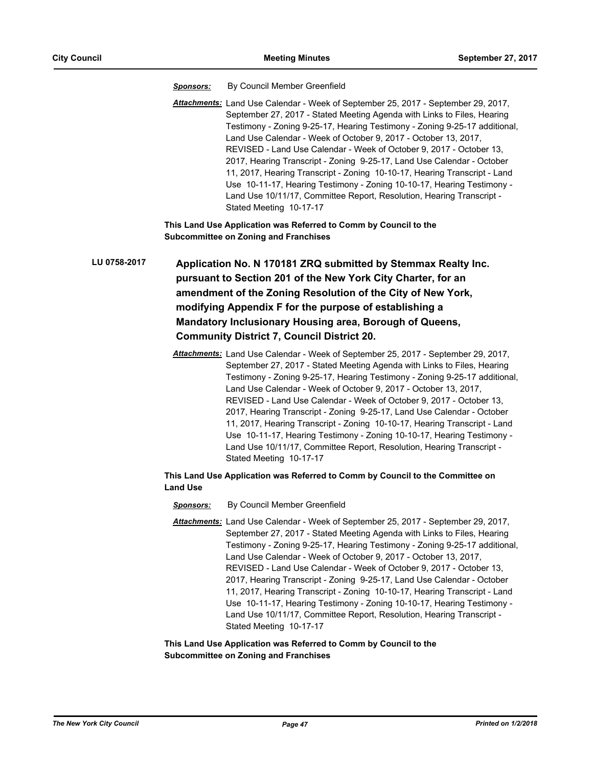*Sponsors:* By Council Member Greenfield

*Attachments:* Land Use Calendar - Week of September 25, 2017 - September 29, 2017, September 27, 2017 - Stated Meeting Agenda with Links to Files, Hearing Testimony - Zoning 9-25-17, Hearing Testimony - Zoning 9-25-17 additional, Land Use Calendar - Week of October 9, 2017 - October 13, 2017, REVISED - Land Use Calendar - Week of October 9, 2017 - October 13, 2017, Hearing Transcript - Zoning 9-25-17, Land Use Calendar - October 11, 2017, Hearing Transcript - Zoning 10-10-17, Hearing Transcript - Land Use 10-11-17, Hearing Testimony - Zoning 10-10-17, Hearing Testimony - Land Use 10/11/17, Committee Report, Resolution, Hearing Transcript - Stated Meeting 10-17-17

**This Land Use Application was Referred to Comm by Council to the Subcommittee on Zoning and Franchises**

**Application No. N 170181 ZRQ submitted by Stemmax Realty Inc. pursuant to Section 201 of the New York City Charter, for an amendment of the Zoning Resolution of the City of New York, modifying Appendix F for the purpose of establishing a Mandatory Inclusionary Housing area, Borough of Queens, Community District 7, Council District 20. LU 0758-2017**

> *Attachments:* Land Use Calendar - Week of September 25, 2017 - September 29, 2017, September 27, 2017 - Stated Meeting Agenda with Links to Files, Hearing Testimony - Zoning 9-25-17, Hearing Testimony - Zoning 9-25-17 additional, Land Use Calendar - Week of October 9, 2017 - October 13, 2017, REVISED - Land Use Calendar - Week of October 9, 2017 - October 13, 2017, Hearing Transcript - Zoning 9-25-17, Land Use Calendar - October 11, 2017, Hearing Transcript - Zoning 10-10-17, Hearing Transcript - Land Use 10-11-17, Hearing Testimony - Zoning 10-10-17, Hearing Testimony - Land Use 10/11/17, Committee Report, Resolution, Hearing Transcript - Stated Meeting 10-17-17

# **This Land Use Application was Referred to Comm by Council to the Committee on Land Use**

- *Sponsors:* By Council Member Greenfield
- *Attachments:* Land Use Calendar Week of September 25, 2017 September 29, 2017, September 27, 2017 - Stated Meeting Agenda with Links to Files, Hearing Testimony - Zoning 9-25-17, Hearing Testimony - Zoning 9-25-17 additional, Land Use Calendar - Week of October 9, 2017 - October 13, 2017, REVISED - Land Use Calendar - Week of October 9, 2017 - October 13, 2017, Hearing Transcript - Zoning 9-25-17, Land Use Calendar - October 11, 2017, Hearing Transcript - Zoning 10-10-17, Hearing Transcript - Land Use 10-11-17, Hearing Testimony - Zoning 10-10-17, Hearing Testimony - Land Use 10/11/17, Committee Report, Resolution, Hearing Transcript - Stated Meeting 10-17-17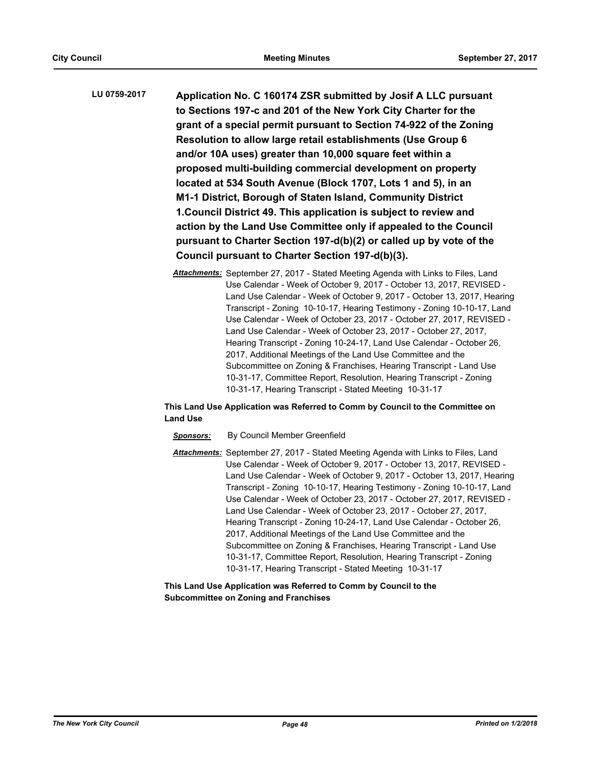**Application No. C 160174 ZSR submitted by Josif A LLC pursuant to Sections 197-c and 201 of the New York City Charter for the grant of a special permit pursuant to Section 74-922 of the Zoning Resolution to allow large retail establishments (Use Group 6 and/or 10A uses) greater than 10,000 square feet within a proposed multi-building commercial development on property located at 534 South Avenue (Block 1707, Lots 1 and 5), in an M1-1 District, Borough of Staten Island, Community District 1.Council District 49. This application is subject to review and action by the Land Use Committee only if appealed to the Council pursuant to Charter Section 197-d(b)(2) or called up by vote of the Council pursuant to Charter Section 197-d(b)(3). LU 0759-2017**

> *Attachments:* September 27, 2017 - Stated Meeting Agenda with Links to Files, Land Use Calendar - Week of October 9, 2017 - October 13, 2017, REVISED - Land Use Calendar - Week of October 9, 2017 - October 13, 2017, Hearing Transcript - Zoning 10-10-17, Hearing Testimony - Zoning 10-10-17, Land Use Calendar - Week of October 23, 2017 - October 27, 2017, REVISED - Land Use Calendar - Week of October 23, 2017 - October 27, 2017, Hearing Transcript - Zoning 10-24-17, Land Use Calendar - October 26, 2017, Additional Meetings of the Land Use Committee and the Subcommittee on Zoning & Franchises, Hearing Transcript - Land Use 10-31-17, Committee Report, Resolution, Hearing Transcript - Zoning 10-31-17, Hearing Transcript - Stated Meeting 10-31-17

# **This Land Use Application was Referred to Comm by Council to the Committee on Land Use**

# *Sponsors:* By Council Member Greenfield

*Attachments:* September 27, 2017 - Stated Meeting Agenda with Links to Files, Land Use Calendar - Week of October 9, 2017 - October 13, 2017, REVISED - Land Use Calendar - Week of October 9, 2017 - October 13, 2017, Hearing Transcript - Zoning 10-10-17, Hearing Testimony - Zoning 10-10-17, Land Use Calendar - Week of October 23, 2017 - October 27, 2017, REVISED - Land Use Calendar - Week of October 23, 2017 - October 27, 2017, Hearing Transcript - Zoning 10-24-17, Land Use Calendar - October 26, 2017, Additional Meetings of the Land Use Committee and the Subcommittee on Zoning & Franchises, Hearing Transcript - Land Use 10-31-17, Committee Report, Resolution, Hearing Transcript - Zoning 10-31-17, Hearing Transcript - Stated Meeting 10-31-17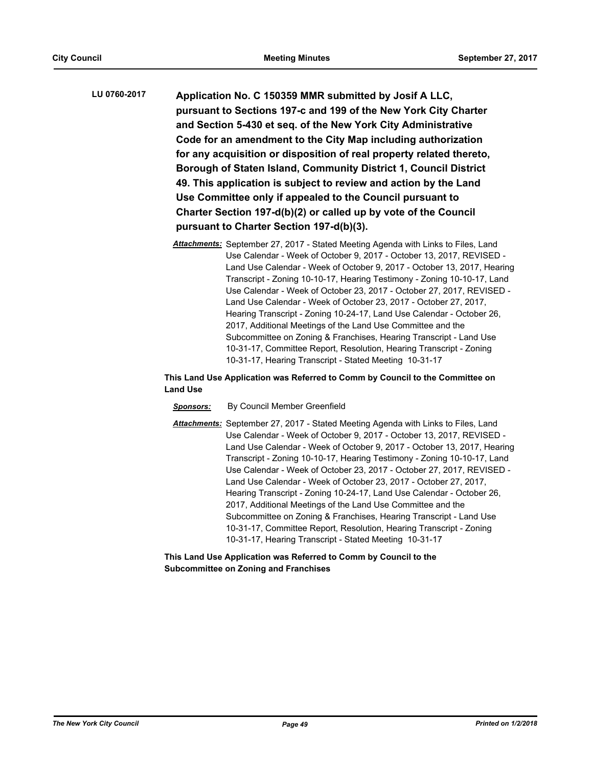- **Application No. C 150359 MMR submitted by Josif A LLC, pursuant to Sections 197-c and 199 of the New York City Charter and Section 5-430 et seq. of the New York City Administrative Code for an amendment to the City Map including authorization for any acquisition or disposition of real property related thereto, Borough of Staten Island, Community District 1, Council District 49. This application is subject to review and action by the Land Use Committee only if appealed to the Council pursuant to Charter Section 197-d(b)(2) or called up by vote of the Council pursuant to Charter Section 197-d(b)(3). LU 0760-2017**
	- *Attachments:* September 27, 2017 Stated Meeting Agenda with Links to Files, Land Use Calendar - Week of October 9, 2017 - October 13, 2017, REVISED - Land Use Calendar - Week of October 9, 2017 - October 13, 2017, Hearing Transcript - Zoning 10-10-17, Hearing Testimony - Zoning 10-10-17, Land Use Calendar - Week of October 23, 2017 - October 27, 2017, REVISED - Land Use Calendar - Week of October 23, 2017 - October 27, 2017, Hearing Transcript - Zoning 10-24-17, Land Use Calendar - October 26, 2017, Additional Meetings of the Land Use Committee and the Subcommittee on Zoning & Franchises, Hearing Transcript - Land Use 10-31-17, Committee Report, Resolution, Hearing Transcript - Zoning 10-31-17, Hearing Transcript - Stated Meeting 10-31-17

- *Sponsors:* By Council Member Greenfield
- *Attachments:* September 27, 2017 Stated Meeting Agenda with Links to Files, Land Use Calendar - Week of October 9, 2017 - October 13, 2017, REVISED - Land Use Calendar - Week of October 9, 2017 - October 13, 2017, Hearing Transcript - Zoning 10-10-17, Hearing Testimony - Zoning 10-10-17, Land Use Calendar - Week of October 23, 2017 - October 27, 2017, REVISED - Land Use Calendar - Week of October 23, 2017 - October 27, 2017, Hearing Transcript - Zoning 10-24-17, Land Use Calendar - October 26, 2017, Additional Meetings of the Land Use Committee and the Subcommittee on Zoning & Franchises, Hearing Transcript - Land Use 10-31-17, Committee Report, Resolution, Hearing Transcript - Zoning 10-31-17, Hearing Transcript - Stated Meeting 10-31-17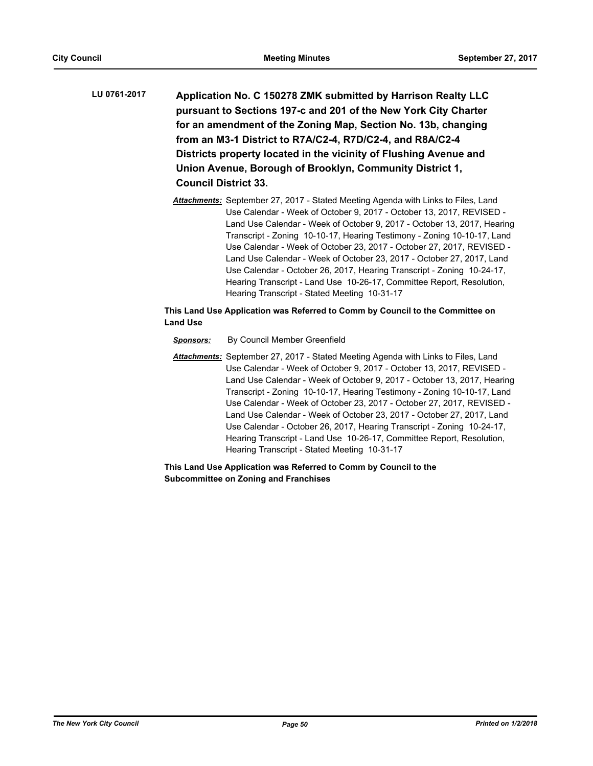- **Application No. C 150278 ZMK submitted by Harrison Realty LLC pursuant to Sections 197-c and 201 of the New York City Charter for an amendment of the Zoning Map, Section No. 13b, changing from an M3-1 District to R7A/C2-4, R7D/C2-4, and R8A/C2-4 Districts property located in the vicinity of Flushing Avenue and Union Avenue, Borough of Brooklyn, Community District 1, Council District 33. LU 0761-2017**
	- *Attachments:* September 27, 2017 Stated Meeting Agenda with Links to Files, Land Use Calendar - Week of October 9, 2017 - October 13, 2017, REVISED - Land Use Calendar - Week of October 9, 2017 - October 13, 2017, Hearing Transcript - Zoning 10-10-17, Hearing Testimony - Zoning 10-10-17, Land Use Calendar - Week of October 23, 2017 - October 27, 2017, REVISED - Land Use Calendar - Week of October 23, 2017 - October 27, 2017, Land Use Calendar - October 26, 2017, Hearing Transcript - Zoning 10-24-17, Hearing Transcript - Land Use 10-26-17, Committee Report, Resolution, Hearing Transcript - Stated Meeting 10-31-17

# *Sponsors:* By Council Member Greenfield

*Attachments:* September 27, 2017 - Stated Meeting Agenda with Links to Files, Land Use Calendar - Week of October 9, 2017 - October 13, 2017, REVISED - Land Use Calendar - Week of October 9, 2017 - October 13, 2017, Hearing Transcript - Zoning 10-10-17, Hearing Testimony - Zoning 10-10-17, Land Use Calendar - Week of October 23, 2017 - October 27, 2017, REVISED - Land Use Calendar - Week of October 23, 2017 - October 27, 2017, Land Use Calendar - October 26, 2017, Hearing Transcript - Zoning 10-24-17, Hearing Transcript - Land Use 10-26-17, Committee Report, Resolution, Hearing Transcript - Stated Meeting 10-31-17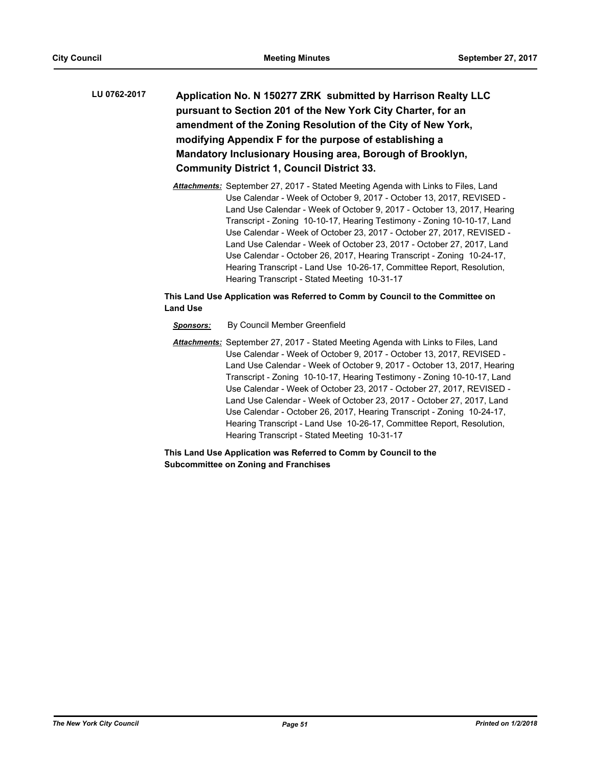- **Application No. N 150277 ZRK submitted by Harrison Realty LLC pursuant to Section 201 of the New York City Charter, for an amendment of the Zoning Resolution of the City of New York, modifying Appendix F for the purpose of establishing a Mandatory Inclusionary Housing area, Borough of Brooklyn, Community District 1, Council District 33. LU 0762-2017**
	- *Attachments:* September 27, 2017 Stated Meeting Agenda with Links to Files, Land Use Calendar - Week of October 9, 2017 - October 13, 2017, REVISED - Land Use Calendar - Week of October 9, 2017 - October 13, 2017, Hearing Transcript - Zoning 10-10-17, Hearing Testimony - Zoning 10-10-17, Land Use Calendar - Week of October 23, 2017 - October 27, 2017, REVISED - Land Use Calendar - Week of October 23, 2017 - October 27, 2017, Land Use Calendar - October 26, 2017, Hearing Transcript - Zoning 10-24-17, Hearing Transcript - Land Use 10-26-17, Committee Report, Resolution, Hearing Transcript - Stated Meeting 10-31-17

- *Sponsors:* By Council Member Greenfield
- *Attachments:* September 27, 2017 Stated Meeting Agenda with Links to Files, Land Use Calendar - Week of October 9, 2017 - October 13, 2017, REVISED - Land Use Calendar - Week of October 9, 2017 - October 13, 2017, Hearing Transcript - Zoning 10-10-17, Hearing Testimony - Zoning 10-10-17, Land Use Calendar - Week of October 23, 2017 - October 27, 2017, REVISED - Land Use Calendar - Week of October 23, 2017 - October 27, 2017, Land Use Calendar - October 26, 2017, Hearing Transcript - Zoning 10-24-17, Hearing Transcript - Land Use 10-26-17, Committee Report, Resolution, Hearing Transcript - Stated Meeting 10-31-17